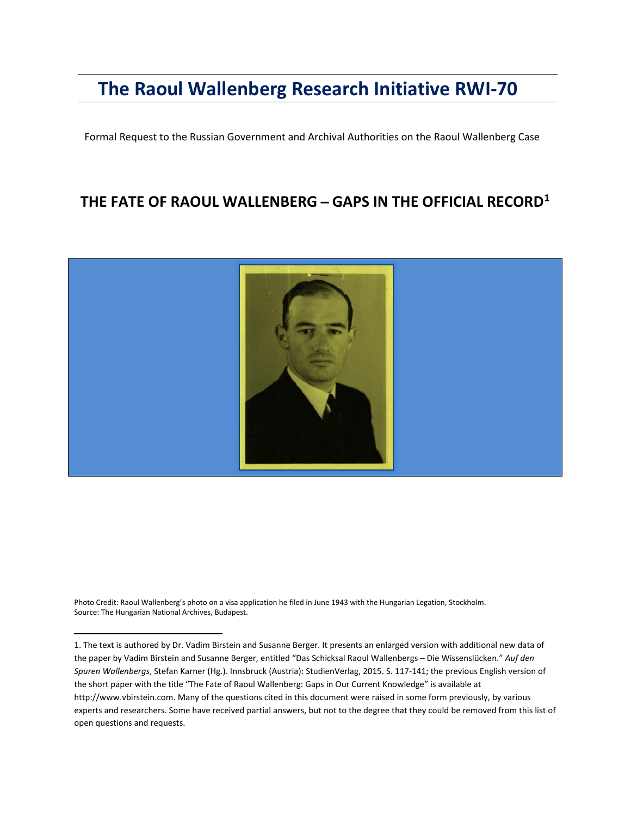# **The Raoul Wallenberg Research Initiative RWI-70**

Formal Request to the Russian Government and Archival Authorities on the Raoul Wallenberg Case

# **THE FATE OF RAOUL WALLENBERG ̶GAPS IN THE OFFICIAL RECORD[1](#page-0-0)**



Photo Credit: Raoul Wallenberg's photo on a visa application he filed in June 1943 with the Hungarian Legation, Stockholm. Source: The Hungarian National Archives, Budapest.

 $\overline{\phantom{a}}$ 

<span id="page-0-0"></span><sup>1.</sup> The text is authored by Dr. Vadim Birstein and Susanne Berger. It presents an enlarged version with additional new data of the paper by Vadim Birstein and Susanne Berger, entitled "Das Schicksal Raoul Wallenbergs – Die Wissenslücken." *Auf den Spuren Wallenbergs*, Stefan Karner (Hg.). Innsbruck (Austria): StudienVerlag, 2015. S. 117-141; the previous English version of the short paper with the title "The Fate of Raoul Wallenberg: Gaps in Our Current Knowledge" is available at [http://www.vbirstein.com.](http://www.vbirstein.com/) Many of the questions cited in this document were raised in some form previously, by various experts and researchers. Some have received partial answers, but not to the degree that they could be removed from this list of open questions and requests.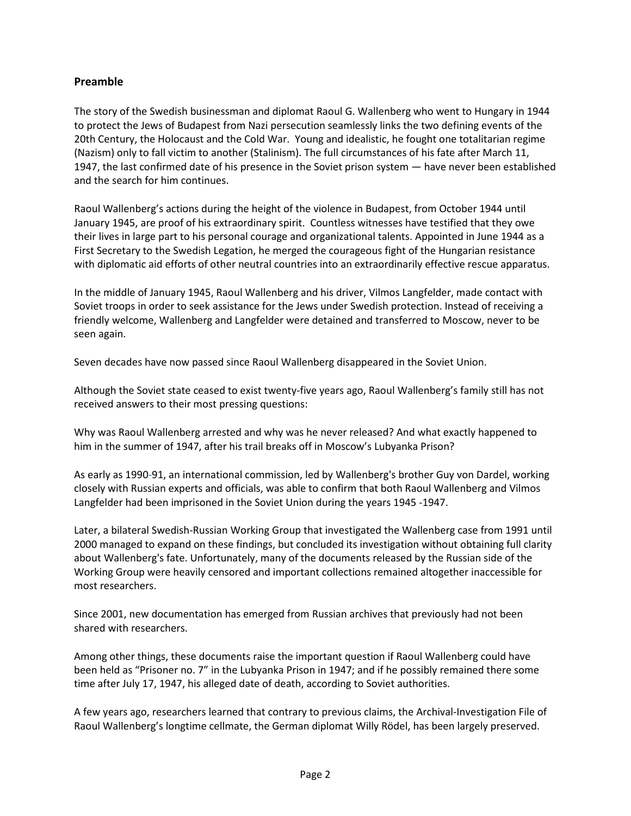#### **Preamble**

The story of the Swedish businessman and diplomat Raoul G. Wallenberg who went to Hungary in 1944 to protect the Jews of Budapest from Nazi persecution seamlessly links the two defining events of the 20th Century, the Holocaust and the Cold War. Young and idealistic, he fought one totalitarian regime (Nazism) only to fall victim to another (Stalinism). The full circumstances of his fate after March 11, 1947, the last confirmed date of his presence in the Soviet prison system — have never been established and the search for him continues.

Raoul Wallenberg's actions during the height of the violence in Budapest, from October 1944 until January 1945, are proof of his extraordinary spirit. Countless witnesses have testified that they owe their lives in large part to his personal courage and organizational talents. Appointed in June 1944 as a First Secretary to the Swedish Legation, he merged the courageous fight of the Hungarian resistance with diplomatic aid efforts of other neutral countries into an extraordinarily effective rescue apparatus.

In the middle of January 1945, Raoul Wallenberg and his driver, Vilmos Langfelder, made contact with Soviet troops in order to seek assistance for the Jews under Swedish protection. Instead of receiving a friendly welcome, Wallenberg and Langfelder were detained and transferred to Moscow, never to be seen again.

Seven decades have now passed since Raoul Wallenberg disappeared in the Soviet Union.

Although the Soviet state ceased to exist twenty-five years ago, Raoul Wallenberg's family still has not received answers to their most pressing questions:

Why was Raoul Wallenberg arrested and why was he never released? And what exactly happened to him in the summer of 1947, after his trail breaks off in Moscow's Lubyanka Prison?

As early as 1990-91, an international commission, led by Wallenberg's brother Guy von Dardel, working closely with Russian experts and officials, was able to confirm that both Raoul Wallenberg and Vilmos Langfelder had been imprisoned in the Soviet Union during the years 1945 -1947.

Later, a bilateral Swedish-Russian Working Group that investigated the Wallenberg case from 1991 until 2000 managed to expand on these findings, but concluded its investigation without obtaining full clarity about Wallenberg's fate. Unfortunately, many of the documents released by the Russian side of the Working Group were heavily censored and important collections remained altogether inaccessible for most researchers.

Since 2001, new documentation has emerged from Russian archives that previously had not been shared with researchers.

Among other things, these documents raise the important question if Raoul Wallenberg could have been held as "Prisoner no. 7" in the Lubyanka Prison in 1947; and if he possibly remained there some time after July 17, 1947, his alleged date of death, according to Soviet authorities.

A few years ago, researchers learned that contrary to previous claims, the Archival-Investigation File of Raoul Wallenberg's longtime cellmate, the German diplomat Willy Rödel, has been largely preserved.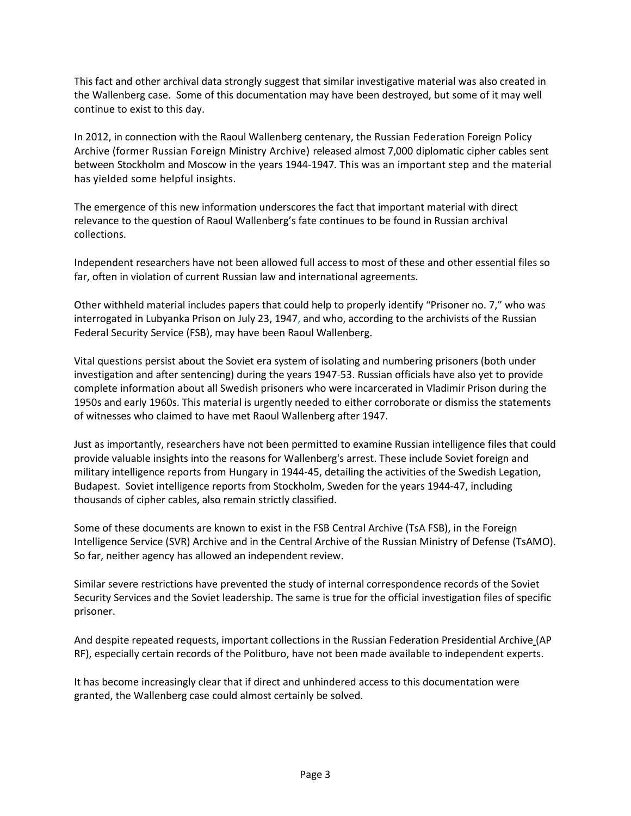This fact and other archival data strongly suggest that similar investigative material was also created in the Wallenberg case. Some of this documentation may have been destroyed, but some of it may well continue to exist to this day.

In 2012, in connection with the Raoul Wallenberg centenary, the Russian Federation Foreign Policy Archive (former Russian Foreign Ministry Archive) released almost 7,000 diplomatic cipher cables sent between Stockholm and Moscow in the years 1944-1947. This was an important step and the material has yielded some helpful insights.

The emergence of this new information underscores the fact that important material with direct relevance to the question of Raoul Wallenberg's fate continues to be found in Russian archival collections.

Independent researchers have not been allowed full access to most of these and other essential files so far, often in violation of current Russian law and international agreements.

Other withheld material includes papers that could help to properly identify "Prisoner no. 7," who was interrogated in Lubyanka Prison on July 23, 1947, and who, according to the archivists of the Russian Federal Security Service (FSB), may have been Raoul Wallenberg.

Vital questions persist about the Soviet era system of isolating and numbering prisoners (both under investigation and after sentencing) during the years 1947-53. Russian officials have also yet to provide complete information about all Swedish prisoners who were incarcerated in Vladimir Prison during the 1950s and early 1960s. This material is urgently needed to either corroborate or dismiss the statements of witnesses who claimed to have met Raoul Wallenberg after 1947.

Just as importantly, researchers have not been permitted to examine Russian intelligence files that could provide valuable insights into the reasons for Wallenberg's arrest. These include Soviet foreign and military intelligence reports from Hungary in 1944-45, detailing the activities of the Swedish Legation, Budapest. Soviet intelligence reports from Stockholm, Sweden for the years 1944-47, including thousands of cipher cables, also remain strictly classified.

Some of these documents are known to exist in the FSB Central Archive (TsA FSB), in the Foreign Intelligence Service (SVR) Archive and in the Central Archive of the Russian Ministry of Defense (TsAMO). So far, neither agency has allowed an independent review.

Similar severe restrictions have prevented the study of internal correspondence records of the Soviet Security Services and the Soviet leadership. The same is true for the official investigation files of specific prisoner.

And despite repeated requests, important collections in the Russian Federation Presidential Archive (AP RF), especially certain records of the Politburo, have not been made available to independent experts.

It has become increasingly clear that if direct and unhindered access to this documentation were granted, the Wallenberg case could almost certainly be solved.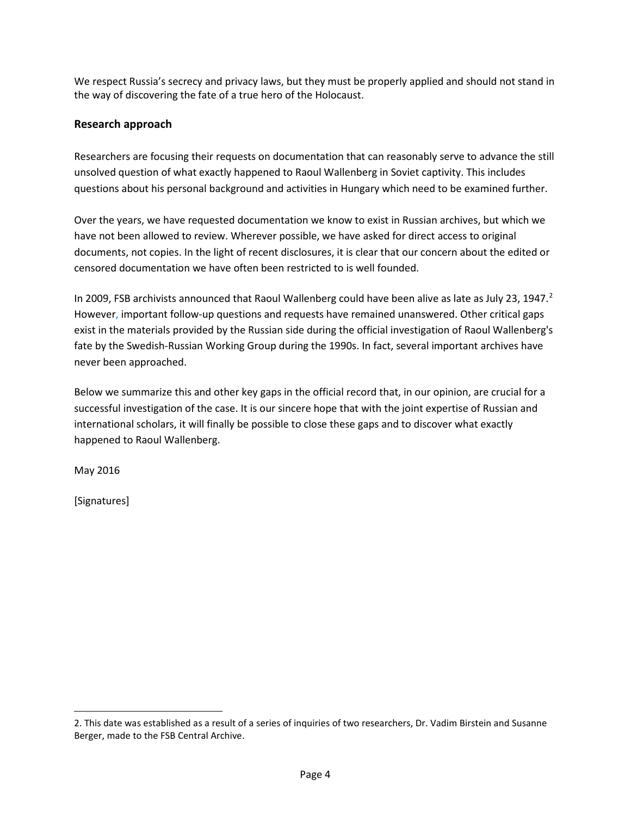We respect Russia's secrecy and privacy laws, but they must be properly applied and should not stand in the way of discovering the fate of a true hero of the Holocaust.

#### **Research approach**

Researchers are focusing their requests on documentation that can reasonably serve to advance the still unsolved question of what exactly happened to Raoul Wallenberg in Soviet captivity. This includes questions about his personal background and activities in Hungary which need to be examined further.

Over the years, we have requested documentation we know to exist in Russian archives, but which we have not been allowed to review. Wherever possible, we have asked for direct access to original documents, not copies. In the light of recent disclosures, it is clear that our concern about the edited or censored documentation we have often been restricted to is well founded.

In [2](#page-3-0)009, FSB archivists announced that Raoul Wallenberg could have been alive as late as July 23, 1947.<sup>2</sup> However, important follow-up questions and requests have remained unanswered. Other critical gaps exist in the materials provided by the Russian side during the official investigation of Raoul Wallenberg's fate by the Swedish-Russian Working Group during the 1990s. In fact, several important archives have never been approached.

Below we summarize this and other key gaps in the official record that, in our opinion, are crucial for a successful investigation of the case. It is our sincere hope that with the joint expertise of Russian and international scholars, it will finally be possible to close these gaps and to discover what exactly happened to Raoul Wallenberg.

May 2016

[Signatures]

 $\overline{a}$ 

<span id="page-3-0"></span><sup>2.</sup> This date was established as a result of a series of inquiries of two researchers, Dr. Vadim Birstein and Susanne Berger, made to the FSB Central Archive.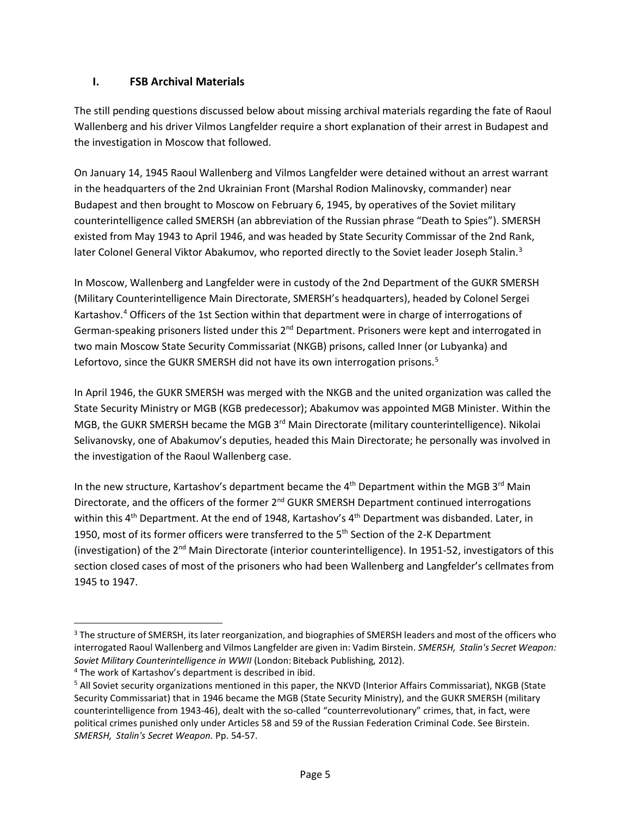#### **I. FSB Archival Materials**

The still pending questions discussed below about missing archival materials regarding the fate of Raoul Wallenberg and his driver Vilmos Langfelder require a short explanation of their arrest in Budapest and the investigation in Moscow that followed.

On January 14, 1945 Raoul Wallenberg and Vilmos Langfelder were detained without an arrest warrant in the headquarters of the 2nd Ukrainian Front (Marshal Rodion Malinovsky, commander) near Budapest and then brought to Moscow on February 6, 1945, by operatives of the Soviet military counterintelligence called SMERSH (an abbreviation of the Russian phrase "Death to Spies"). SMERSH existed from May 1943 to April 1946, and was headed by State Security Commissar of the 2nd Rank, later Colonel General Viktor Abakumov, who reported directly to the Soviet leader Joseph Stalin.<sup>[3](#page-4-0)</sup>

In Moscow, Wallenberg and Langfelder were in custody of the 2nd Department of the GUKR SMERSH (Military Counterintelligence Main Directorate, SMERSH's headquarters), headed by Colonel Sergei Kartashov.[4](#page-4-1) Officers of the 1st Section within that department were in charge of interrogations of German-speaking prisoners listed under this 2<sup>nd</sup> Department. Prisoners were kept and interrogated in two main Moscow State Security Commissariat (NKGB) prisons, called Inner (or Lubyanka) and Lefortovo, since the GUKR SMERSH did not have its own interrogation prisons.<sup>[5](#page-4-2)</sup>

In April 1946, the GUKR SMERSH was merged with the NKGB and the united organization was called the State Security Ministry or MGB (KGB predecessor); Abakumov was appointed MGB Minister. Within the MGB, the GUKR SMERSH became the MGB 3<sup>rd</sup> Main Directorate (military counterintelligence). Nikolai Selivanovsky, one of Abakumov's deputies, headed this Main Directorate; he personally was involved in the investigation of the Raoul Wallenberg case.

In the new structure, Kartashov's department became the  $4<sup>th</sup>$  Department within the MGB 3<sup>rd</sup> Main Directorate, and the officers of the former 2<sup>nd</sup> GUKR SMERSH Department continued interrogations within this  $4<sup>th</sup>$  Department. At the end of 1948, Kartashov's  $4<sup>th</sup>$  Department was disbanded. Later, in 1950, most of its former officers were transferred to the  $5<sup>th</sup>$  Section of the 2-K Department (investigation) of the 2nd Main Directorate (interior counterintelligence). In 1951-52, investigators of this section closed cases of most of the prisoners who had been Wallenberg and Langfelder's cellmates from 1945 to 1947.

<span id="page-4-0"></span><sup>&</sup>lt;sup>3</sup> The structure of SMERSH, its later reorganization, and biographies of SMERSH leaders and most of the officers who interrogated Raoul Wallenberg and Vilmos Langfelder are given in: Vadim Birstein. *SMERSH, Stalin's Secret Weapon: Soviet Military Counterintelligence in WWII* (London: Biteback Publishing, 2012).

<span id="page-4-1"></span><sup>4</sup> The work of Kartashov's department is described in ibid.

<span id="page-4-2"></span><sup>&</sup>lt;sup>5</sup> All Soviet security organizations mentioned in this paper, the NKVD (Interior Affairs Commissariat), NKGB (State Security Commissariat) that in 1946 became the MGB (State Security Ministry), and the GUKR SMERSH (military counterintelligence from 1943-46), dealt with the so-called "counterrevolutionary" crimes, that, in fact, were political crimes punished only under Articles 58 and 59 of the Russian Federation Criminal Code. See Birstein. *SMERSH, Stalin's Secret Weapon.* Pp. 54-57.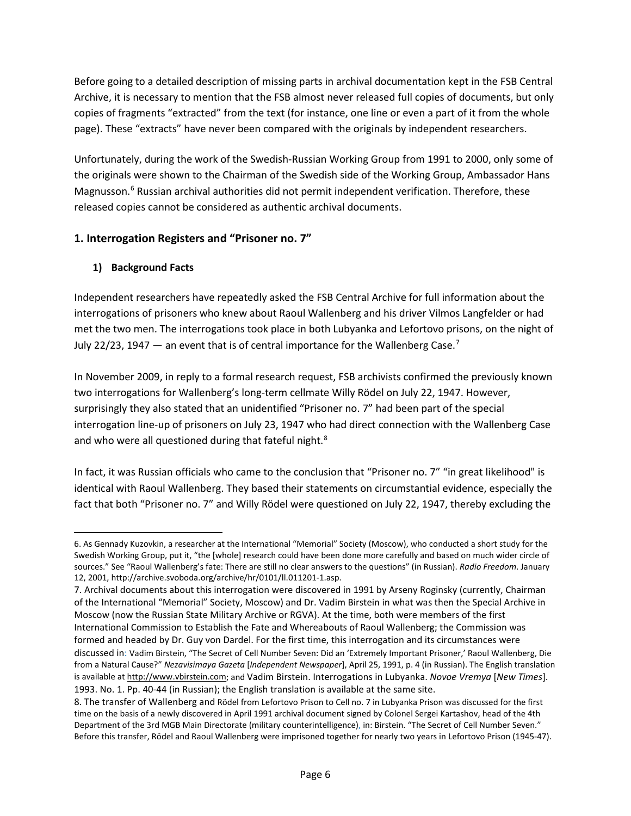Before going to a detailed description of missing parts in archival documentation kept in the FSB Central Archive, it is necessary to mention that the FSB almost never released full copies of documents, but only copies of fragments "extracted" from the text (for instance, one line or even a part of it from the whole page). These "extracts" have never been compared with the originals by independent researchers.

Unfortunately, during the work of the Swedish-Russian Working Group from 1991 to 2000, only some of the originals were shown to the Chairman of the Swedish side of the Working Group, Ambassador Hans Magnusson.<sup>[6](#page-5-0)</sup> Russian archival authorities did not permit independent verification. Therefore, these released copies cannot be considered as authentic archival documents.

#### **1. Interrogation Registers and "Prisoner no. 7"**

#### **1) Background Facts**

 $\overline{\phantom{a}}$ 

Independent researchers have repeatedly asked the FSB Central Archive for full information about the interrogations of prisoners who knew about Raoul Wallenberg and his driver Vilmos Langfelder or had met the two men. The interrogations took place in both Lubyanka and Lefortovo prisons, on the night of July 22/23, 194[7](#page-5-1)  $-$  an event that is of central importance for the Wallenberg Case.<sup>7</sup>

In November 2009, in reply to a formal research request, FSB archivists confirmed the previously known two interrogations for Wallenberg's long-term cellmate Willy Rödel on July 22, 1947. However, surprisingly they also stated that an unidentified "Prisoner no. 7" had been part of the special interrogation line-up of prisoners on July 23, 1947 who had direct connection with the Wallenberg Case and who were all questioned during that fateful night.<sup>[8](#page-5-2)</sup>

In fact, it was Russian officials who came to the conclusion that "Prisoner no. 7" "in great likelihood" is identical with Raoul Wallenberg. They based their statements on circumstantial evidence, especially the fact that both "Prisoner no. 7" and Willy Rödel were questioned on July 22, 1947, thereby excluding the

<span id="page-5-0"></span><sup>6.</sup> As Gennady Kuzovkin, a researcher at the International "Memorial" Society (Moscow), who conducted a short study for the Swedish Working Group, put it, "the [whole] research could have been done more carefully and based on much wider circle of sources." See "Raoul Wallenberg's fate: There are still no clear answers to the questions" (in Russian). *Radio Freedom*. January 12, 2001, http://archive.svoboda.org/archive/hr/0101/ll.011201-1.asp.

<span id="page-5-1"></span><sup>7.</sup> Archival documents about this interrogation were discovered in 1991 by Arseny Roginsky (currently, Chairman of the International "Memorial" Society, Moscow) and Dr. Vadim Birstein in what was then the Special Archive in Moscow (now the Russian State Military Archive or RGVA). At the time, both were members of the first International Commission to Establish the Fate and Whereabouts of Raoul Wallenberg; the Commission was formed and headed by Dr. Guy von Dardel. For the first time, this interrogation and its circumstances were discussed in: Vadim Birstein, "The Secret of Cell Number Seven: Did an 'Extremely Important Prisoner,' Raoul Wallenberg, Die from a Natural Cause?" *Nezavisimaya Gazeta* [*Independent Newspaper*], April 25, 1991, p. 4 (in Russian). The English translation is available a[t http://www.vbirstein.com;](http://www.vbirstein.com/) and Vadim Birstein. Interrogations in Lubyanka. *Novoe Vremya* [*New Times*]. 1993. No. 1. Pp. 40-44 (in Russian); the English translation is available at [the](http://www.vadimbirstein.com/) same site.

<span id="page-5-2"></span><sup>8.</sup> The transfer of Wallenberg and Rödel from Lefortovo Prison to Cell no. 7 in Lubyanka Prison was discussed for the first time on the basis of a newly discovered in April 1991 archival document signed by Colonel Sergei Kartashov, head of the 4th Department of the 3rd MGB Main Directorate (military counterintelligence), in: Birstein. "The Secret of Cell Number Seven." Before this transfer, Rödel and Raoul Wallenberg were imprisoned together for nearly two years in Lefortovo Prison (1945-47).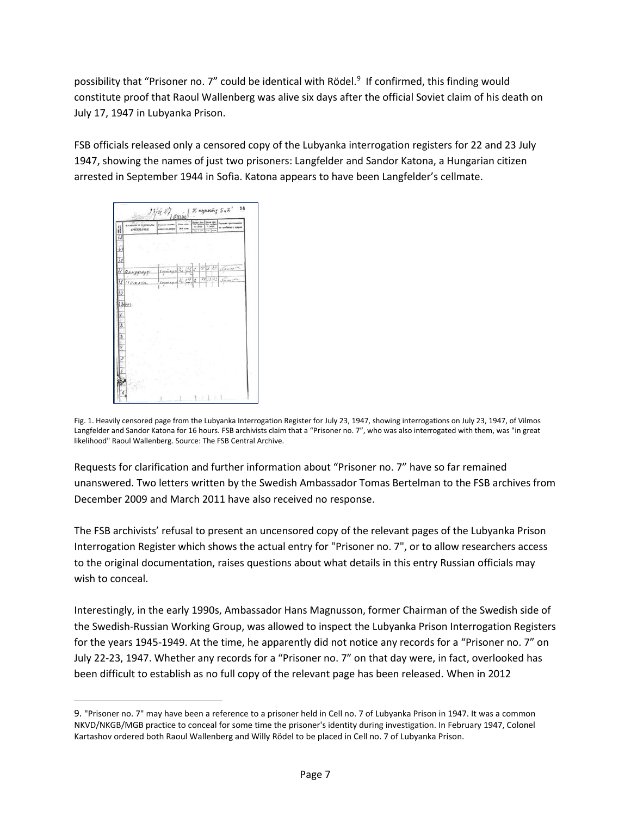possibility that "Prisoner no. 7" could be identical with Rödel.<sup>[9](#page-6-0)</sup> If confirmed, this finding would constitute proof that Raoul Wallenberg was alive six days after the official Soviet claim of his death on July 17, 1947 in Lubyanka Prison.

FSB officials released only a censored copy of the Lubyanka interrogation registers for 22 and 23 July 1947, showing the names of just two prisoners: Langfelder and Sandor Katona, a Hungarian citizen arrested in September 1944 in Sofia. Katona appears to have been Langfelder's cellmate.



 $\overline{\phantom{a}}$ 

Fig. 1. Heavily censored page from the Lubyanka Interrogation Register for July 23, 1947, showing interrogations on July 23, 1947, of Vilmos Langfelder and Sandor Katona for 16 hours. FSB archivists claim that a "Prisoner no. 7", who was also interrogated with them, was "in great likelihood" Raoul Wallenberg. Source: The FSB Central Archive.

Requests for clarification and further information about "Prisoner no. 7" have so far remained unanswered. Two letters written by the Swedish Ambassador Tomas Bertelman to the FSB archives from December 2009 and March 2011 have also received no response.

The FSB archivists' refusal to present an uncensored copy of the relevant pages of the Lubyanka Prison Interrogation Register which shows the actual entry for "Prisoner no. 7", or to allow researchers access to the original documentation, raises questions about what details in this entry Russian officials may wish to conceal.

Interestingly, in the early 1990s, Ambassador Hans Magnusson, former Chairman of the Swedish side of the Swedish-Russian Working Group, was allowed to inspect the Lubyanka Prison Interrogation Registers for the years 1945-1949. At the time, he apparently did not notice any records for a "Prisoner no. 7" on July 22-23, 1947. Whether any records for a "Prisoner no. 7" on that day were, in fact, overlooked has been difficult to establish as no full copy of the relevant page has been released. When in 2012

<span id="page-6-0"></span><sup>9. &</sup>quot;Prisoner no. 7" may have been a reference to a prisoner held in Cell no. 7 of Lubyanka Prison in 1947. It was a common NKVD/NKGB/MGB practice to conceal for some time the prisoner's identity during investigation. In February 1947, Colonel Kartashov ordered both Raoul Wallenberg and Willy Rödel to be placed in Cell no. 7 of Lubyanka Prison.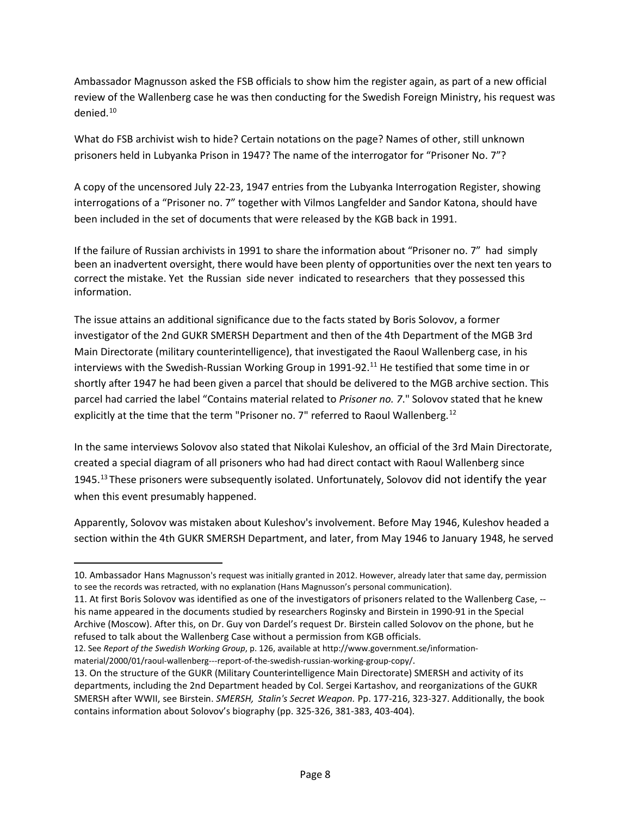Ambassador Magnusson asked the FSB officials to show him the register again, as part of a new official review of the Wallenberg case he was then conducting for the Swedish Foreign Ministry, his request was denied.[10](#page-7-0)

What do FSB archivist wish to hide? Certain notations on the page? Names of other, still unknown prisoners held in Lubyanka Prison in 1947? The name of the interrogator for "Prisoner No. 7"?

A copy of the uncensored July 22-23, 1947 entries from the Lubyanka Interrogation Register, showing interrogations of a "Prisoner no. 7" together with Vilmos Langfelder and Sandor Katona, should have been included in the set of documents that were released by the KGB back in 1991.

If the failure of Russian archivists in 1991 to share the information about "Prisoner no. 7" had simply been an inadvertent oversight, there would have been plenty of opportunities over the next ten years to correct the mistake. Yet the Russian side never indicated to researchers that they possessed this information.

The issue attains an additional significance due to the facts stated by Boris Solovov, a former investigator of the 2nd GUKR SMERSH Department and then of the 4th Department of the MGB 3rd Main Directorate (military counterintelligence), that investigated the Raoul Wallenberg case, in his interviews with the Swedish-Russian Working Group in 1991-92.<sup>[11](#page-7-1)</sup> He testified that some time in or shortly after 1947 he had been given a parcel that should be delivered to the MGB archive section. This parcel had carried the label "Contains material related to *Prisoner no. 7*." Solovov stated that he knew explicitly at the time that the term "Prisoner no. 7" referred to Raoul Wallenberg.<sup>[12](#page-7-2)</sup>

In the same interviews Solovov also stated that Nikolai Kuleshov, an official of the 3rd Main Directorate, created a special diagram of all prisoners who had had direct contact with Raoul Wallenberg since 1945.[13](#page-7-3) These prisoners were subsequently isolated. Unfortunately, Solovov did not identify the year when this event presumably happened.

Apparently, Solovov was mistaken about Kuleshov's involvement. Before May 1946, Kuleshov headed a section within the 4th GUKR SMERSH Department, and later, from May 1946 to January 1948, he served

 $\overline{\phantom{a}}$ 

<span id="page-7-0"></span><sup>10.</sup> Ambassador Hans Magnusson's request was initially granted in 2012. However, already later that same day, permission to see the records was retracted, with no explanation (Hans Magnusson's personal communication).

<span id="page-7-1"></span><sup>11.</sup> At first Boris Solovov was identified as one of the investigators of prisoners related to the Wallenberg Case, - his name appeared in the documents studied by researchers Roginsky and Birstein in 1990-91 in the Special Archive (Moscow). After this, on Dr. Guy von Dardel's request Dr. Birstein called Solovov on the phone, but he refused to talk about the Wallenberg Case without a permission from KGB officials.

<span id="page-7-2"></span><sup>12.</sup> See *Report of the Swedish Working Group*, p. 126, available at [http://www.government.se/information](http://www.government.se/information-material/2000/01/raoul-wallenberg---report-of-the-swedish-russian-working-group-copy/)[material/2000/01/raoul-wallenberg---report-of-the-swedish-russian-working-group-copy/.](http://www.government.se/information-material/2000/01/raoul-wallenberg---report-of-the-swedish-russian-working-group-copy/)

<span id="page-7-3"></span><sup>13.</sup> On the structure of the GUKR (Military Counterintelligence Main Directorate) SMERSH and activity of its departments, including the 2nd Department headed by Col. Sergei Kartashov, and reorganizations of the GUKR SMERSH after WWII, see Birstein. *SMERSH, Stalin's Secret Weapon.* Pp. 177-216, 323-327. Additionally, the book contains information about Solovov's biography (pp. 325-326, 381-383, 403-404).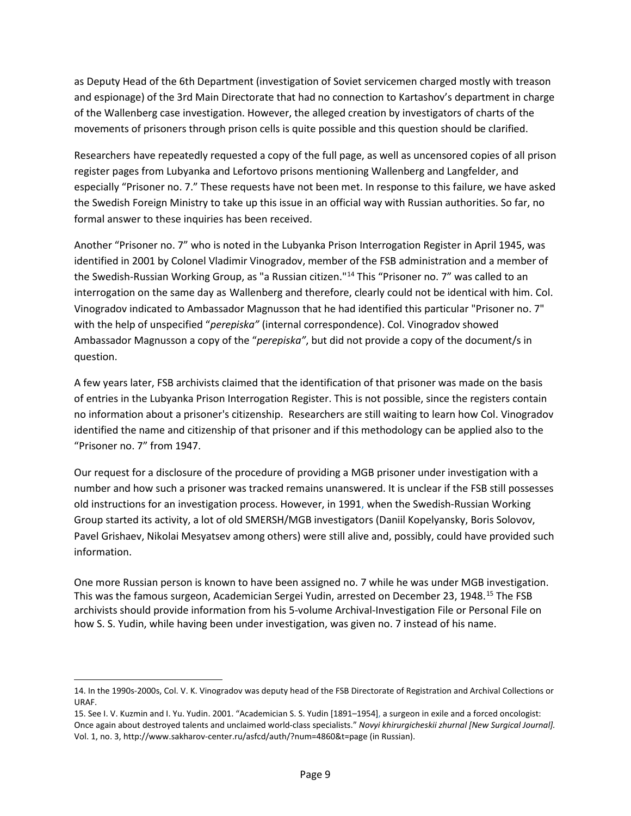as Deputy Head of the 6th Department (investigation of Soviet servicemen charged mostly with treason and espionage) of the 3rd Main Directorate that had no connection to Kartashov's department in charge of the Wallenberg case investigation. However, the alleged creation by investigators of charts of the movements of prisoners through prison cells is quite possible and this question should be clarified.

Researchers have repeatedly requested a copy of the full page, as well as uncensored copies of all prison register pages from Lubyanka and Lefortovo prisons mentioning Wallenberg and Langfelder, and especially "Prisoner no. 7." These requests have not been met. In response to this failure, we have asked the Swedish Foreign Ministry to take up this issue in an official way with Russian authorities. So far, no formal answer to these inquiries has been received.

Another "Prisoner no. 7" who is noted in the Lubyanka Prison Interrogation Register in April 1945, was identified in 2001 by Colonel Vladimir Vinogradov, member of the FSB administration and a member of the Swedish-Russian Working Group, as "a Russian citizen."<sup>[14](#page-8-0)</sup> This "Prisoner no. 7" was called to an interrogation on the same day as Wallenberg and therefore, clearly could not be identical with him. Col. Vinogradov indicated to Ambassador Magnusson that he had identified this particular "Prisoner no. 7" with the help of unspecified "*perepiska"* (internal correspondence). Col. Vinogradov showed Ambassador Magnusson a copy of the "*perepiska"*, but did not provide a copy of the document/s in question.

A few years later, FSB archivists claimed that the identification of that prisoner was made on the basis of entries in the Lubyanka Prison Interrogation Register. This is not possible, since the registers contain no information about a prisoner's citizenship. Researchers are still waiting to learn how Col. Vinogradov identified the name and citizenship of that prisoner and if this methodology can be applied also to the "Prisoner no. 7" from 1947.

Our request for a disclosure of the procedure of providing a MGB prisoner under investigation with a number and how such a prisoner was tracked remains unanswered. It is unclear if the FSB still possesses old instructions for an investigation process. However, in 1991, when the Swedish-Russian Working Group started its activity, a lot of old SMERSH/MGB investigators (Daniil Kopelyansky, Boris Solovov, Pavel Grishaev, Nikolai Mesyatsev among others) were still alive and, possibly, could have provided such information.

One more Russian person is known to have been assigned no. 7 while he was under MGB investigation. This was the famous surgeon, Academician Sergei Yudin, arrested on December 23, 1948.<sup>[15](#page-8-1)</sup> The FSB archivists should provide information from his 5-volume Archival-Investigation File or Personal File on how S. S. Yudin, while having been under investigation, was given no. 7 instead of his name.

l

<span id="page-8-0"></span><sup>14.</sup> In the 1990s-2000s, Col. V. K. Vinogradov was deputy head of the FSB Directorate of Registration and Archival Collections or URAF.

<span id="page-8-1"></span><sup>15.</sup> See I. V. Kuzmin and I. Yu. Yudin. 2001. "Academician S. S. Yudin [1891–1954], a surgeon in exile and a forced oncologist: Once again about destroyed talents and unclaimed world-class specialists." *Novyi khirurgicheskii zhurnal [New Surgical Journal].* Vol. 1, no. 3[, http://www.sakharov-center.ru/asfcd/auth/?num=4860&t=page](http://www.sakharov-center.ru/asfcd/auth/?num=4860&t=page) (in Russian).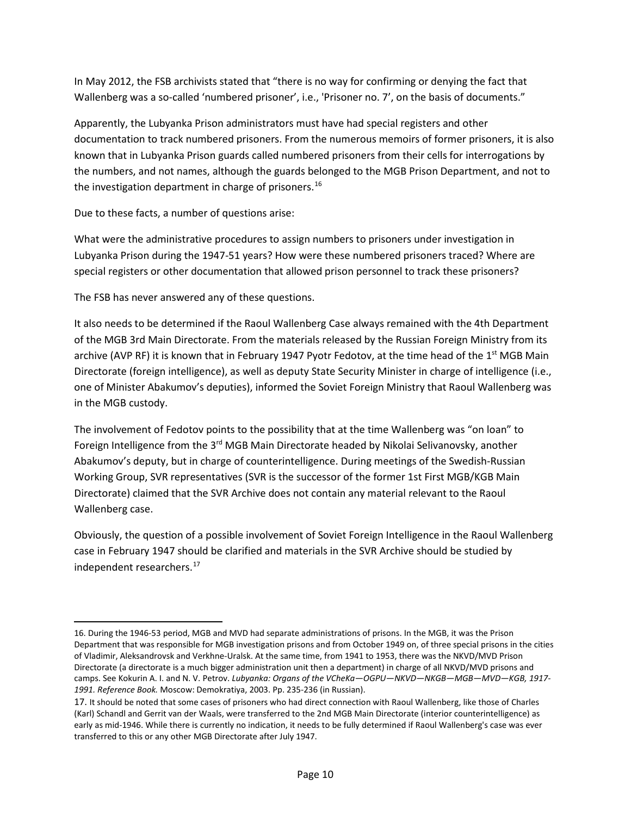In May 2012, the FSB archivists stated that "there is no way for confirming or denying the fact that Wallenberg was a so-called 'numbered prisoner', i.e., 'Prisoner no. 7', on the basis of documents."

Apparently, the Lubyanka Prison administrators must have had special registers and other documentation to track numbered prisoners. From the numerous memoirs of former prisoners, it is also known that in Lubyanka Prison guards called numbered prisoners from their cells for interrogations by the numbers, and not names, although the guards belonged to the MGB Prison Department, and not to the investigation department in charge of prisoners.<sup>16</sup>

Due to these facts, a number of questions arise:

What were the administrative procedures to assign numbers to prisoners under investigation in Lubyanka Prison during the 1947-51 years? How were these numbered prisoners traced? Where are special registers or other documentation that allowed prison personnel to track these prisoners?

The FSB has never answered any of these questions.

 $\overline{\phantom{a}}$ 

It also needs to be determined if the Raoul Wallenberg Case always remained with the 4th Department of the MGB 3rd Main Directorate. From the materials released by the Russian Foreign Ministry from its archive (AVP RF) it is known that in February 1947 Pyotr Fedotov, at the time head of the 1<sup>st</sup> MGB Main Directorate (foreign intelligence), as well as deputy State Security Minister in charge of intelligence (i.e., one of Minister Abakumov's deputies), informed the Soviet Foreign Ministry that Raoul Wallenberg was in the MGB custody.

The involvement of Fedotov points to the possibility that at the time Wallenberg was "on loan" to Foreign Intelligence from the  $3<sup>rd</sup>$  MGB Main Directorate headed by Nikolai Selivanovsky, another Abakumov's deputy, but in charge of counterintelligence. During meetings of the Swedish-Russian Working Group, SVR representatives (SVR is the successor of the former 1st First MGB/KGB Main Directorate) claimed that the SVR Archive does not contain any material relevant to the Raoul Wallenberg case.

Obviously, the question of a possible involvement of Soviet Foreign Intelligence in the Raoul Wallenberg case in February 1947 should be clarified and materials in the SVR Archive should be studied by independent researchers.<sup>[17](#page-9-1)</sup>

<span id="page-9-0"></span><sup>16.</sup> During the 1946-53 period, MGB and MVD had separate administrations of prisons. In the MGB, it was the Prison Department that was responsible for MGB investigation prisons and from October 1949 on, of three special prisons in the cities of Vladimir, Aleksandrovsk and Verkhne-Uralsk. At the same time, from 1941 to 1953, there was the NKVD/MVD Prison Directorate (a directorate is a much bigger administration unit then a department) in charge of all NKVD/MVD prisons and camps. See Kokurin A. I. and N. V. Petrov. *Lubyanka: Organs of the VCheKa—OGPU—NKVD—NKGB—MGB—MVD—KGB, 1917- 1991. Reference Book.* Moscow: Demokratiya, 2003. Pp. 235-236 (in Russian).

<span id="page-9-1"></span><sup>17.</sup> It should be noted that some cases of prisoners who had direct connection with Raoul Wallenberg, like those of Charles (Karl) Schandl and Gerrit van der Waals, were transferred to the 2nd MGB Main Directorate (interior counterintelligence) as early as mid-1946. While there is currently no indication, it needs to be fully determined if Raoul Wallenberg's case was ever transferred to this or any other MGB Directorate after July 1947.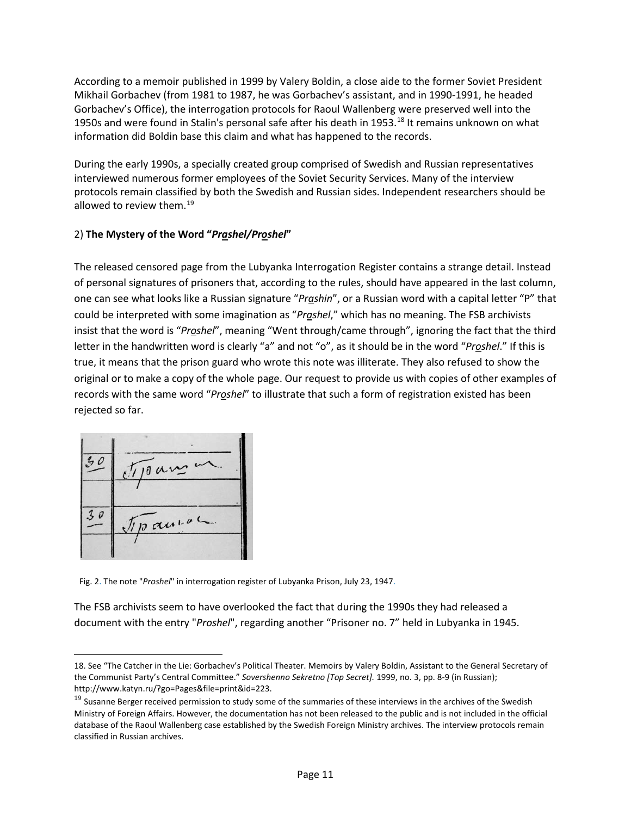According to a memoir published in 1999 by Valery Boldin, a close aide to the former Soviet President Mikhail Gorbachev (from 1981 to 1987, he was Gorbachev's assistant, and in 1990-1991, he headed Gorbachev's Office), the interrogation protocols for Raoul Wallenberg were preserved well into the 1950s and were found in Stalin's personal safe after his death in 1953.<sup>[18](#page-10-0)</sup> It remains unknown on what information did Boldin base this claim and what has happened to the records.

During the early 1990s, a specially created group comprised of Swedish and Russian representatives interviewed numerous former employees of the Soviet Security Services. Many of the interview protocols remain classified by both the Swedish and Russian sides. Independent researchers should be allowed to review them.<sup>[19](#page-10-1)</sup>

#### 2) **The Mystery of the Word "***Prashel/Proshel***"**

The released censored page from the Lubyanka Interrogation Register contains a strange detail. Instead of personal signatures of prisoners that, according to the rules, should have appeared in the last column, one can see what looks like a Russian signature "*Prashin*", or a Russian word with a capital letter "P" that could be interpreted with some imagination as "*Prashel*," which has no meaning. The FSB archivists insist that the word is "*Proshel*", meaning "Went through/came through", ignoring the fact that the third letter in the handwritten word is clearly "a" and not "o", as it should be in the word "*Proshel*." If this is true, it means that the prison guard who wrote this note was illiterate. They also refused to show the original or to make a copy of the whole page. Our request to provide us with copies of other examples of records with the same word "*Proshel*" to illustrate that such a form of registration existed has been rejected so far.



l

Fig. 2. The note "*Proshel*" in interrogation register of Lubyanka Prison, July 23, 1947.

The FSB archivists seem to have overlooked the fact that during the 1990s they had released a document with the entry "*Proshel*", regarding another "Prisoner no. 7" held in Lubyanka in 1945.

<span id="page-10-0"></span><sup>18.</sup> See "The Catcher in the Lie: Gorbachev's Political Theater. Memoirs by Valery Boldin, Assistant to the General Secretary of the Communist Party's Central Committee." *Sovershenno Sekretno [Top Secret].* 1999, no. 3, pp. 8-9 (in Russian); http://www.katyn.ru/?go=Pages&file=print&id=223.

<span id="page-10-1"></span><sup>&</sup>lt;sup>19</sup> Susanne Berger received permission to study some of the summaries of these interviews in the archives of the Swedish Ministry of Foreign Affairs. However, the documentation has not been released to the public and is not included in the official database of the Raoul Wallenberg case established by the Swedish Foreign Ministry archives. The interview protocols remain classified in Russian archives.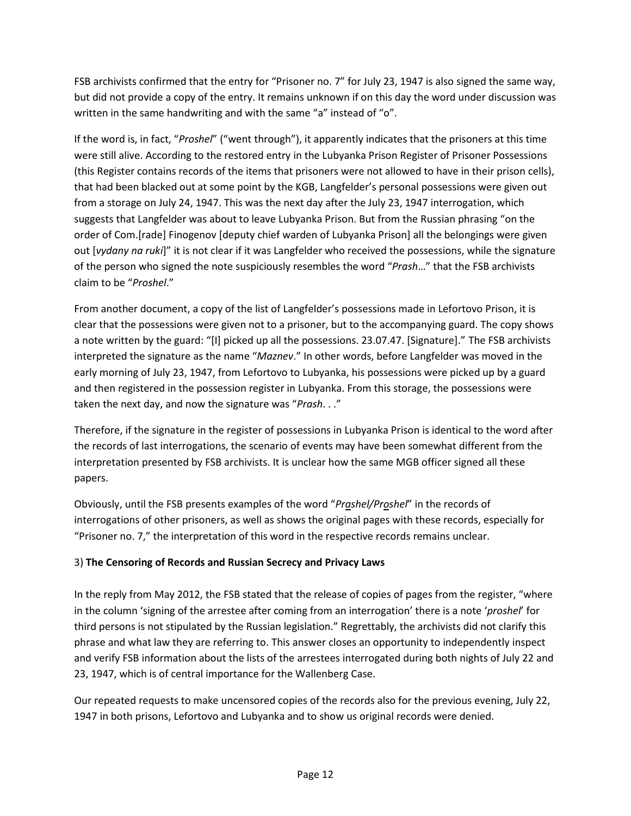FSB archivists confirmed that the entry for "Prisoner no. 7" for July 23, 1947 is also signed the same way, but did not provide a copy of the entry. It remains unknown if on this day the word under discussion was written in the same handwriting and with the same "a" instead of "o".

If the word is, in fact, "*Proshel*" ("went through"), it apparently indicates that the prisoners at this time were still alive. According to the restored entry in the Lubyanka Prison Register of Prisoner Possessions (this Register contains records of the items that prisoners were not allowed to have in their prison cells), that had been blacked out at some point by the KGB, Langfelder's personal possessions were given out from a storage on July 24, 1947. This was the next day after the July 23, 1947 interrogation, which suggests that Langfelder was about to leave Lubyanka Prison. But from the Russian phrasing "on the order of Com.[rade] Finogenov [deputy chief warden of Lubyanka Prison] all the belongings were given out [*vydany na ruki*]" it is not clear if it was Langfelder who received the possessions, while the signature of the person who signed the note suspiciously resembles the word "*Prash*…" that the FSB archivists claim to be "*Proshel*."

From another document, a copy of the list of Langfelder's possessions made in Lefortovo Prison, it is clear that the possessions were given not to a prisoner, but to the accompanying guard. The copy shows a note written by the guard: "[I] picked up all the possessions. 23.07.47. [Signature]." The FSB archivists interpreted the signature as the name "*Maznev*." In other words, before Langfelder was moved in the early morning of July 23, 1947, from Lefortovo to Lubyanka, his possessions were picked up by a guard and then registered in the possession register in Lubyanka. From this storage, the possessions were taken the next day, and now the signature was "*Prash*. . ."

Therefore, if the signature in the register of possessions in Lubyanka Prison is identical to the word after the records of last interrogations, the scenario of events may have been somewhat different from the interpretation presented by FSB archivists. It is unclear how the same MGB officer signed all these papers.

Obviously, until the FSB presents examples of the word "*Prashel/Proshel*" in the records of interrogations of other prisoners, as well as shows the original pages with these records, especially for "Prisoner no. 7," the interpretation of this word in the respective records remains unclear.

#### 3) **The Censoring of Records and Russian Secrecy and Privacy Laws**

In the reply from May 2012, the FSB stated that the release of copies of pages from the register, "where in the column 'signing of the arrestee after coming from an interrogation' there is a note '*proshel*' for third persons is not stipulated by the Russian legislation." Regrettably, the archivists did not clarify this phrase and what law they are referring to. This answer closes an opportunity to independently inspect and verify FSB information about the lists of the arrestees interrogated during both nights of July 22 and 23, 1947, which is of central importance for the Wallenberg Case.

Our repeated requests to make uncensored copies of the records also for the previous evening, July 22, 1947 in both prisons, Lefortovo and Lubyanka and to show us original records were denied.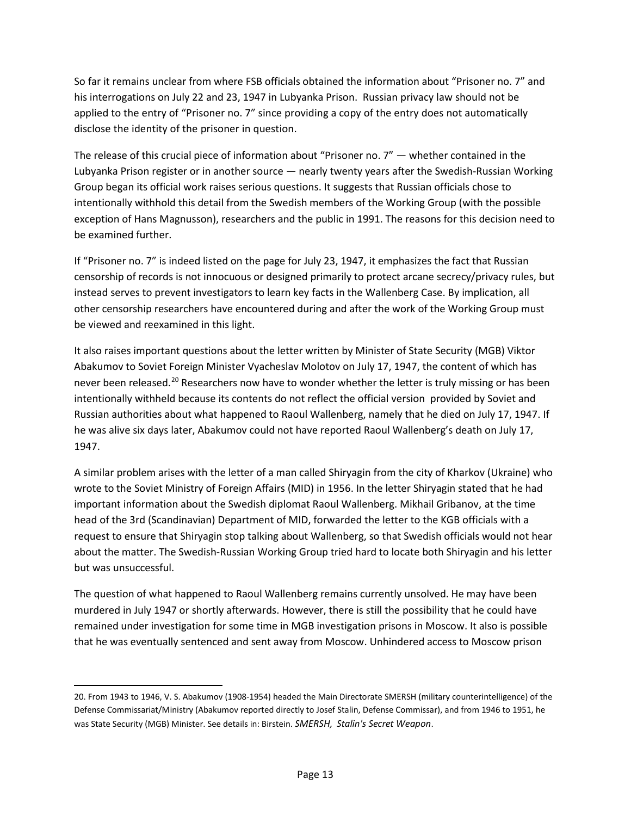So far it remains unclear from where FSB officials obtained the information about "Prisoner no. 7" and his interrogations on July 22 and 23, 1947 in Lubyanka Prison. Russian privacy law should not be applied to the entry of "Prisoner no. 7" since providing a copy of the entry does not automatically disclose the identity of the prisoner in question.

The release of this crucial piece of information about "Prisoner no. 7" — whether contained in the Lubyanka Prison register or in another source — nearly twenty years after the Swedish-Russian Working Group began its official work raises serious questions. It suggests that Russian officials chose to intentionally withhold this detail from the Swedish members of the Working Group (with the possible exception of Hans Magnusson), researchers and the public in 1991. The reasons for this decision need to be examined further.

If "Prisoner no. 7" is indeed listed on the page for July 23, 1947, it emphasizes the fact that Russian censorship of records is not innocuous or designed primarily to protect arcane secrecy/privacy rules, but instead serves to prevent investigators to learn key facts in the Wallenberg Case. By implication, all other censorship researchers have encountered during and after the work of the Working Group must be viewed and reexamined in this light.

It also raises important questions about the letter written by Minister of State Security (MGB) Viktor Abakumov to Soviet Foreign Minister Vyacheslav Molotov on July 17, 1947, the content of which has never been released.<sup>[20](#page-12-0)</sup> Researchers now have to wonder whether the letter is truly missing or has been intentionally withheld because its contents do not reflect the official version provided by Soviet and Russian authorities about what happened to Raoul Wallenberg, namely that he died on July 17, 1947. If he was alive six days later, Abakumov could not have reported Raoul Wallenberg's death on July 17, 1947.

A similar problem arises with the letter of a man called Shiryagin from the city of Kharkov (Ukraine) who wrote to the Soviet Ministry of Foreign Affairs (MID) in 1956. In the letter Shiryagin stated that he had important information about the Swedish diplomat Raoul Wallenberg. Mikhail Gribanov, at the time head of the 3rd (Scandinavian) Department of MID, forwarded the letter to the KGB officials with a request to ensure that Shiryagin stop talking about Wallenberg, so that Swedish officials would not hear about the matter. The Swedish-Russian Working Group tried hard to locate both Shiryagin and his letter but was unsuccessful.

The question of what happened to Raoul Wallenberg remains currently unsolved. He may have been murdered in July 1947 or shortly afterwards. However, there is still the possibility that he could have remained under investigation for some time in MGB investigation prisons in Moscow. It also is possible that he was eventually sentenced and sent away from Moscow. Unhindered access to Moscow prison

l

<span id="page-12-0"></span><sup>20.</sup> From 1943 to 1946, V. S. Abakumov (1908-1954) headed the Main Directorate SMERSH (military counterintelligence) of the Defense Commissariat/Ministry (Abakumov reported directly to Josef Stalin, Defense Commissar), and from 1946 to 1951, he was State Security (MGB) Minister. See details in: Birstein. *SMERSH, Stalin's Secret Weapon*.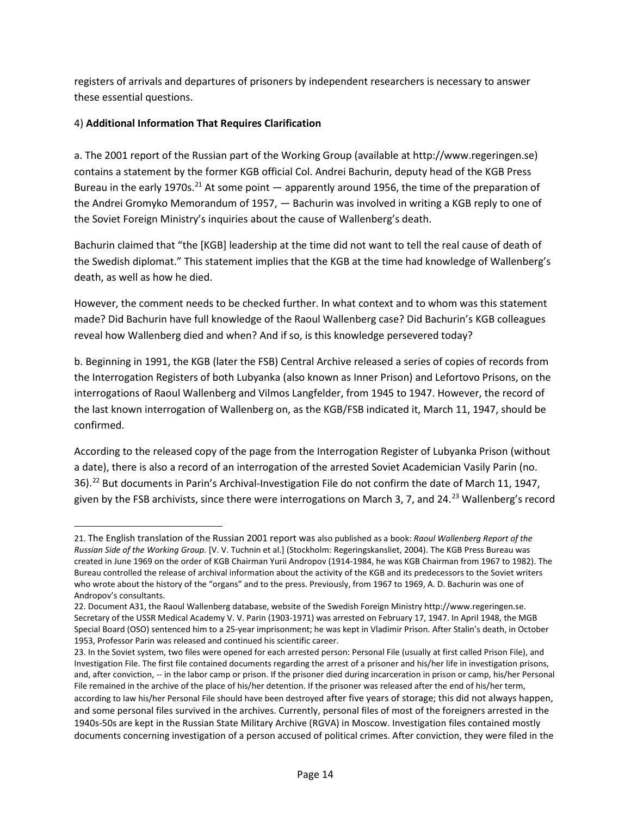registers of arrivals and departures of prisoners by independent researchers is necessary to answer these essential questions.

#### 4) **Additional Information That Requires Clarification**

l

a. The 2001 report of the Russian part of the Working Group (available at [http://www.regeringen.se\)](http://www.regeringen.se/) contains a statement by the former KGB official Col. Andrei Bachurin, deputy head of the KGB Press Bureau in the early 1970s.<sup>[21](#page-13-0)</sup> At some point  $-$  apparently around 1956, the time of the preparation of the Andrei Gromyko Memorandum of 1957, — Bachurin was involved in writing a KGB reply to one of the Soviet Foreign Ministry's inquiries about the cause of Wallenberg's death.

Bachurin claimed that "the [KGB] leadership at the time did not want to tell the real cause of death of the Swedish diplomat." This statement implies that the KGB at the time had knowledge of Wallenberg's death, as well as how he died.

However, the comment needs to be checked further. In what context and to whom was this statement made? Did Bachurin have full knowledge of the Raoul Wallenberg case? Did Bachurin's KGB colleagues reveal how Wallenberg died and when? And if so, is this knowledge persevered today?

b. Beginning in 1991, the KGB (later the FSB) Central Archive released a series of copies of records from the Interrogation Registers of both Lubyanka (also known as Inner Prison) and Lefortovo Prisons, on the interrogations of Raoul Wallenberg and Vilmos Langfelder, from 1945 to 1947. However, the record of the last known interrogation of Wallenberg on, as the KGB/FSB indicated it, March 11, 1947, should be confirmed.

According to the released copy of the page from the Interrogation Register of Lubyanka Prison (without a date), there is also a record of an interrogation of the arrested Soviet Academician Vasily Parin (no. 36).[22](#page-13-1) But documents in Parin's Archival-Investigation File do not confirm the date of March 11, 1947, given by the FSB archivists, since there were interrogations on March 3, 7, and 24.<sup>[23](#page-13-2)</sup> Wallenberg's record

<span id="page-13-0"></span><sup>21.</sup> The English translation of the Russian 2001 report was also published as a book: *Raoul Wallenberg Report of the Russian Side of the Working Group.* [V. V. Tuchnin et al.] (Stockholm: Regeringskansliet, 2004). The KGB Press Bureau was created in June 1969 on the order of KGB Chairman Yurii Andropov (1914-1984, he was KGB Chairman from 1967 to 1982). The Bureau controlled the release of archival information about the activity of the KGB and its predecessors to the Soviet writers who wrote about the history of the "organs" and to the press. Previously, from 1967 to 1969, A. D. Bachurin was one of Andropov's consultants.

<span id="page-13-1"></span><sup>22.</sup> Document A31, the Raoul Wallenberg database, website of the Swedish Foreign Ministry [http://www.regeringen.se.](http://www.regeringen.se/) Secretary of the USSR Medical Academy V. V. Parin (1903-1971) was arrested on February 17, 1947. In April 1948, the MGB Special Board (OSO) sentenced him to a 25-year imprisonment; he was kept in Vladimir Prison. After Stalin's death, in October 1953, Professor Parin was released and continued his scientific career.

<span id="page-13-2"></span><sup>23.</sup> In the Soviet system, two files were opened for each arrested person: Personal File (usually at first called Prison File), and Investigation File. The first file contained documents regarding the arrest of a prisoner and his/her life in investigation prisons, and, after conviction, -- in the labor camp or prison. If the prisoner died during incarceration in prison or camp, his/her Personal File remained in the archive of the place of his/her detention. If the prisoner was released after the end of his/her term, according to law his/her Personal File should have been destroyed after five years of storage; this did not always happen, and some personal files survived in the archives. Currently, personal files of most of the foreigners arrested in the 1940s-50s are kept in the Russian State Military Archive (RGVA) in Moscow. Investigation files contained mostly documents concerning investigation of a person accused of political crimes. After conviction, they were filed in the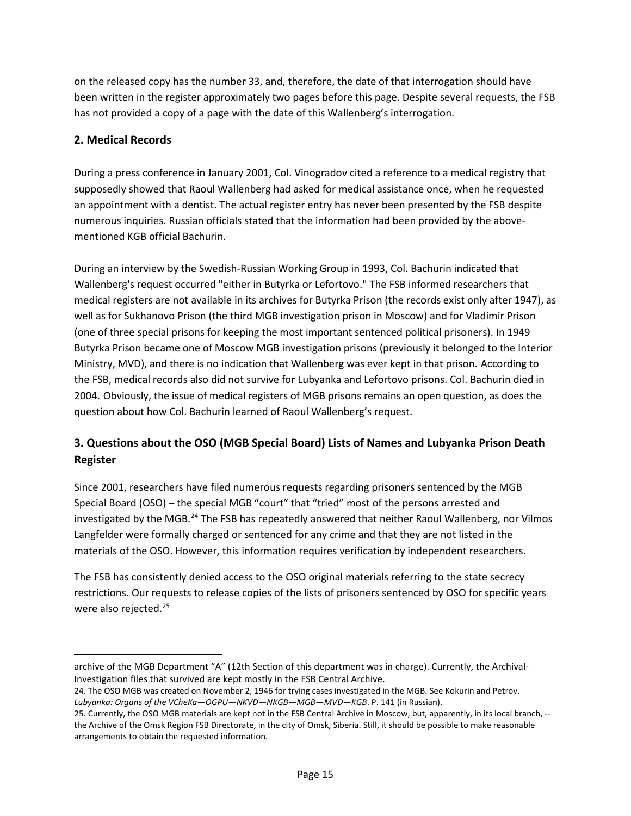on the released copy has the number 33, and, therefore, the date of that interrogation should have been written in the register approximately two pages before this page. Despite several requests, the FSB has not provided a copy of a page with the date of this Wallenberg's interrogation.

#### **2. Medical Records**

l

During a press conference in January 2001, Col. Vinogradov cited a reference to a medical registry that supposedly showed that Raoul Wallenberg had asked for medical assistance once, when he requested an appointment with a dentist. The actual register entry has never been presented by the FSB despite numerous inquiries. Russian officials stated that the information had been provided by the abovementioned KGB official Bachurin.

During an interview by the Swedish-Russian Working Group in 1993, Col. Bachurin indicated that Wallenberg's request occurred "either in Butyrka or Lefortovo." The FSB informed researchers that medical registers are not available in its archives for Butyrka Prison (the records exist only after 1947), as well as for Sukhanovo Prison (the third MGB investigation prison in Moscow) and for Vladimir Prison (one of three special prisons for keeping the most important sentenced political prisoners). In 1949 Butyrka Prison became one of Moscow MGB investigation prisons (previously it belonged to the Interior Ministry, MVD), and there is no indication that Wallenberg was ever kept in that prison. According to the FSB, medical records also did not survive for Lubyanka and Lefortovo prisons. Col. Bachurin died in 2004. Obviously, the issue of medical registers of MGB prisons remains an open question, as does the question about how Col. Bachurin learned of Raoul Wallenberg's request.

# **3. Questions about the OSO (MGB Special Board) Lists of Names and Lubyanka Prison Death Register**

Since 2001, researchers have filed numerous requests regarding prisoners sentenced by the MGB Special Board (OSO) – the special MGB "court" that "tried" most of the persons arrested and investigated by the MGB.<sup>24</sup> The FSB has repeatedly answered that neither Raoul Wallenberg, nor Vilmos Langfelder were formally charged or sentenced for any crime and that they are not listed in the materials of the OSO. However, this information requires verification by independent researchers.

The FSB has consistently denied access to the OSO original materials referring to the state secrecy restrictions. Our requests to release copies of the lists of prisoners sentenced by OSO for specific years were also rejected.<sup>[25](#page-14-1)</sup>

archive of the MGB Department "A" (12th Section of this department was in charge). Currently, the Archival-Investigation files that survived are kept mostly in the FSB Central Archive.

<span id="page-14-0"></span><sup>24.</sup> The OSO MGB was created on November 2, 1946 for trying cases investigated in the MGB. See Kokurin and Petrov. *Lubyanka: Organs of the VCheKa—OGPU—NKVD—NKGB—MGB—MVD—KGB*. P. 141 (in Russian).

<span id="page-14-1"></span><sup>25.</sup> Currently, the OSO MGB materials are kept not in the FSB Central Archive in Moscow, but, apparently, in its local branch, -the Archive of the Omsk Region FSB Directorate, in the city of Omsk, Siberia. Still, it should be possible to make reasonable arrangements to obtain the requested information.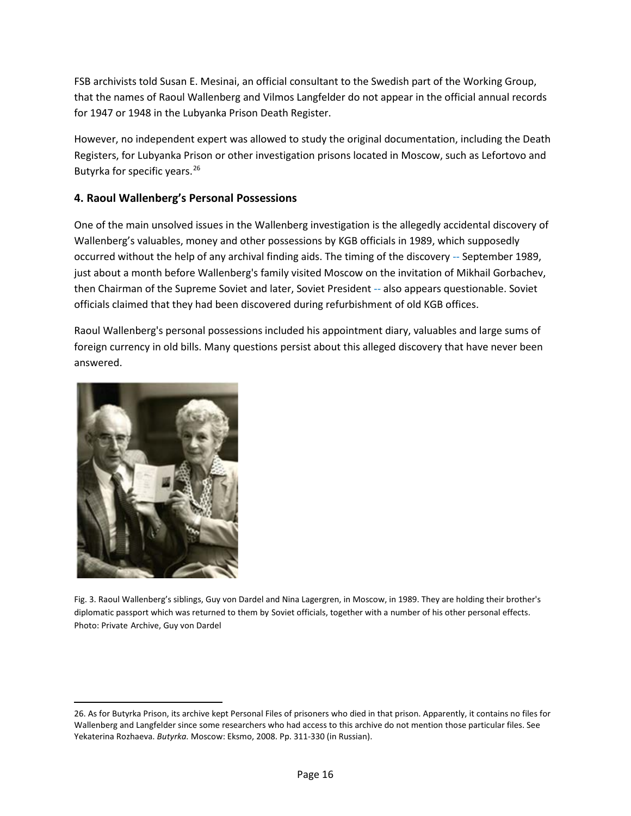FSB archivists told Susan E. Mesinai, an official consultant to the Swedish part of the Working Group, that the names of Raoul Wallenberg and Vilmos Langfelder do not appear in the official annual records for 1947 or 1948 in the Lubyanka Prison Death Register.

However, no independent expert was allowed to study the original documentation, including the Death Registers, for Lubyanka Prison or other investigation prisons located in Moscow, such as Lefortovo and Butyrka for specific years. [26](#page-15-0)

#### **4. Raoul Wallenberg's Personal Possessions**

One of the main unsolved issues in the Wallenberg investigation is the allegedly accidental discovery of Wallenberg's valuables, money and other possessions by KGB officials in 1989, which supposedly occurred without the help of any archival finding aids. The timing of the discovery -- September 1989, just about a month before Wallenberg's family visited Moscow on the invitation of Mikhail Gorbachev, then Chairman of the [Supreme Soviet](https://en.wikipedia.org/wiki/Supreme_Soviet) and later, Soviet President -- also appears questionable. Soviet officials claimed that they had been discovered during refurbishment of old KGB offices.

Raoul Wallenberg's personal possessions included his appointment diary, valuables and large sums of foreign currency in old bills. Many questions persist about this alleged discovery that have never been answered.



 $\overline{a}$ 

Fig. 3. Raoul Wallenberg's siblings, Guy von Dardel and Nina Lagergren, in Moscow, in 1989. They are holding their brother's diplomatic passport which was returned to them by Soviet officials, together with a number of his other personal effects. Photo: Private Archive, Guy von Dardel

<span id="page-15-0"></span><sup>26.</sup> As for Butyrka Prison, its archive kept Personal Files of prisoners who died in that prison. Apparently, it contains no files for Wallenberg and Langfelder since some researchers who had access to this archive do not mention those particular files. See Yekaterina Rozhaeva. *Butyrka.* Moscow: Eksmo, 2008. Pp. 311-330 (in Russian).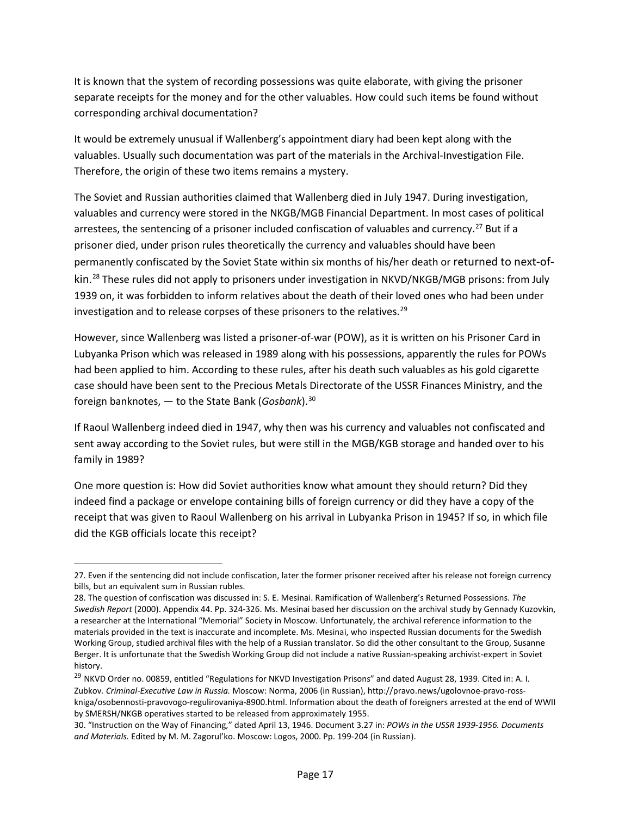It is known that the system of recording possessions was quite elaborate, with giving the prisoner separate receipts for the money and for the other valuables. How could such items be found without corresponding archival documentation?

It would be extremely unusual if Wallenberg's appointment diary had been kept along with the valuables. Usually such documentation was part of the materials in the Archival-Investigation File. Therefore, the origin of these two items remains a mystery.

The Soviet and Russian authorities claimed that Wallenberg died in July 1947. During investigation, valuables and currency were stored in the NKGB/MGB Financial Department. In most cases of political arrestees, the sentencing of a prisoner included confiscation of valuables and currency.<sup>[27](#page-16-0)</sup> But if a prisoner died, under prison rules theoretically the currency and valuables should have been permanently confiscated by the Soviet State within six months of his/her death or returned to next-ofkin. [28](#page-16-1) These rules did not apply to prisoners under investigation in NKVD/NKGB/MGB prisons: from July 1939 on, it was forbidden to inform relatives about the death of their loved ones who had been under investigation and to release corpses of these prisoners to the relatives.<sup>29</sup>

However, since Wallenberg was listed a prisoner-of-war (POW), as it is written on his Prisoner Card in Lubyanka Prison which was released in 1989 along with his possessions, apparently the rules for POWs had been applied to him. According to these rules, after his death such valuables as his gold cigarette case should have been sent to the Precious Metals Directorate of the USSR Finances Ministry, and the foreign banknotes, — to the State Bank (*Gosbank*). [30](#page-16-3)

If Raoul Wallenberg indeed died in 1947, why then was his currency and valuables not confiscated and sent away according to the Soviet rules, but were still in the MGB/KGB storage and handed over to his family in 1989?

One more question is: How did Soviet authorities know what amount they should return? Did they indeed find a package or envelope containing bills of foreign currency or did they have a copy of the receipt that was given to Raoul Wallenberg on his arrival in Lubyanka Prison in 1945? If so, in which file did the KGB officials locate this receipt?

 $\overline{a}$ 

<span id="page-16-0"></span><sup>27.</sup> Even if the sentencing did not include confiscation, later the former prisoner received after his release not foreign currency bills, but an equivalent sum in Russian rubles.

<span id="page-16-1"></span><sup>28.</sup> The question of confiscation was discussed in: S. E. Mesinai. Ramification of Wallenberg's Returned Possessions. *The Swedish Report* (2000). Appendix 44. Pp. 324-326. Ms. Mesinai based her discussion on the archival study by Gennady Kuzovkin, a researcher at the International "Memorial" Society in Moscow. Unfortunately, the archival reference information to the materials provided in the text is inaccurate and incomplete. Ms. Mesinai, who inspected Russian documents for the Swedish Working Group, studied archival files with the help of a Russian translator. So did the other consultant to the Group, Susanne Berger. It is unfortunate that the Swedish Working Group did not include a native Russian-speaking archivist-expert in Soviet history.

<span id="page-16-2"></span><sup>&</sup>lt;sup>29</sup> NKVD Order no. 00859, entitled "Regulations for NKVD Investigation Prisons" and dated August 28, 1939. Cited in: A. I. Zubkov*. Criminal-Executive Law in Russia.* Moscow: Norma, 2006 (in Russian), [http://pravo.news/ugolovnoe-pravo-ross](http://pravo.news/ugolovnoe-pravo-ross-kniga/osobennosti-pravovogo-regulirovaniya-8900.html)[kniga/osobennosti-pravovogo-regulirovaniya-8900.html.](http://pravo.news/ugolovnoe-pravo-ross-kniga/osobennosti-pravovogo-regulirovaniya-8900.html) Information about the death of foreigners arrested at the end of WWII by SMERSH/NKGB operatives started to be released from approximately 1955.

<span id="page-16-3"></span><sup>30. &</sup>quot;Instruction on the Way of Financing," dated April 13, 1946. Document 3.27 in: *POWs in the USSR 1939-1956. Documents and Materials.* Edited by M. M. Zagorul'ko. Moscow: Logos, 2000. Pp. 199-204 (in Russian).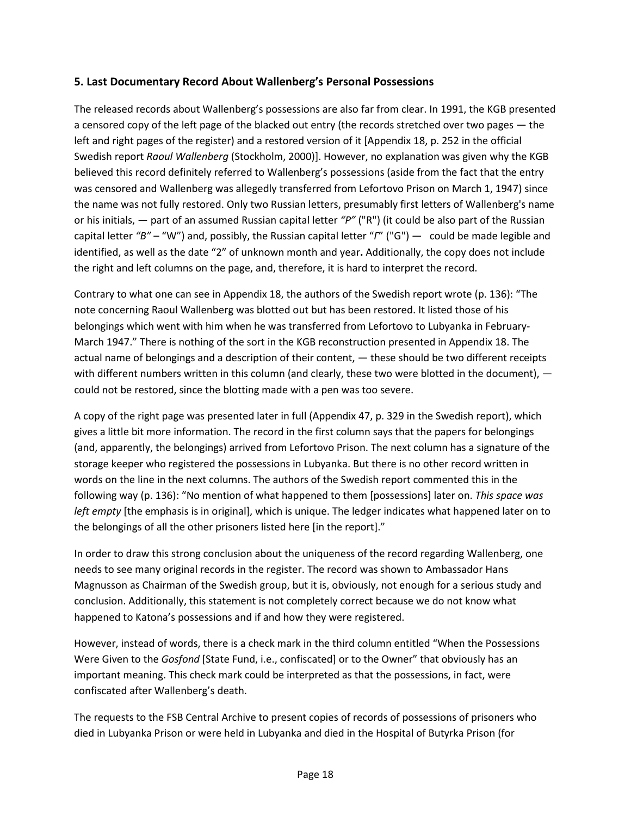#### **5. Last Documentary Record About Wallenberg's Personal Possessions**

The released records about Wallenberg's possessions are also far from clear. In 1991, the KGB presented a censored copy of the left page of the blacked out entry (the records stretched over two pages — the left and right pages of the register) and a restored version of it [Appendix 18, p. 252 in the official Swedish report *Raoul Wallenberg* (Stockholm, 2000)]. However, no explanation was given why the KGB believed this record definitely referred to Wallenberg's possessions (aside from the fact that the entry was censored and Wallenberg was allegedly transferred from Lefortovo Prison on March 1, 1947) since the name was not fully restored. Only two Russian letters, presumably first letters of Wallenberg's name or his initials, — part of an assumed Russian capital letter *"P"* ("R") (it could be also part of the Russian capital letter *"B"* – "W") and, possibly, the Russian capital letter "*Г*" ("G") — could be made legible and identified, as well as the date "2" of unknown month and year**.** Additionally, the copy does not include the right and left columns on the page, and, therefore, it is hard to interpret the record.

Contrary to what one can see in Appendix 18, the authors of the Swedish report wrote (p. 136): "The note concerning Raoul Wallenberg was blotted out but has been restored. It listed those of his belongings which went with him when he was transferred from Lefortovo to Lubyanka in February-March 1947." There is nothing of the sort in the KGB reconstruction presented in Appendix 18. The actual name of belongings and a description of their content, — these should be two different receipts with different numbers written in this column (and clearly, these two were blotted in the document),  $$ could not be restored, since the blotting made with a pen was too severe.

A copy of the right page was presented later in full (Appendix 47, p. 329 in the Swedish report), which gives a little bit more information. The record in the first column says that the papers for belongings (and, apparently, the belongings) arrived from Lefortovo Prison. The next column has a signature of the storage keeper who registered the possessions in Lubyanka. But there is no other record written in words on the line in the next columns. The authors of the Swedish report commented this in the following way (p. 136): "No mention of what happened to them [possessions] later on. *This space was left empty* [the emphasis is in original], which is unique. The ledger indicates what happened later on to the belongings of all the other prisoners listed here [in the report]."

In order to draw this strong conclusion about the uniqueness of the record regarding Wallenberg, one needs to see many original records in the register. The record was shown to Ambassador Hans Magnusson as Chairman of the Swedish group, but it is, obviously, not enough for a serious study and conclusion. Additionally, this statement is not completely correct because we do not know what happened to Katona's possessions and if and how they were registered.

However, instead of words, there is a check mark in the third column entitled "When the Possessions Were Given to the *Gosfond* [State Fund, i.e., confiscated] or to the Owner" that obviously has an important meaning. This check mark could be interpreted as that the possessions, in fact, were confiscated after Wallenberg's death.

The requests to the FSB Central Archive to present copies of records of possessions of prisoners who died in Lubyanka Prison or were held in Lubyanka and died in the Hospital of Butyrka Prison (for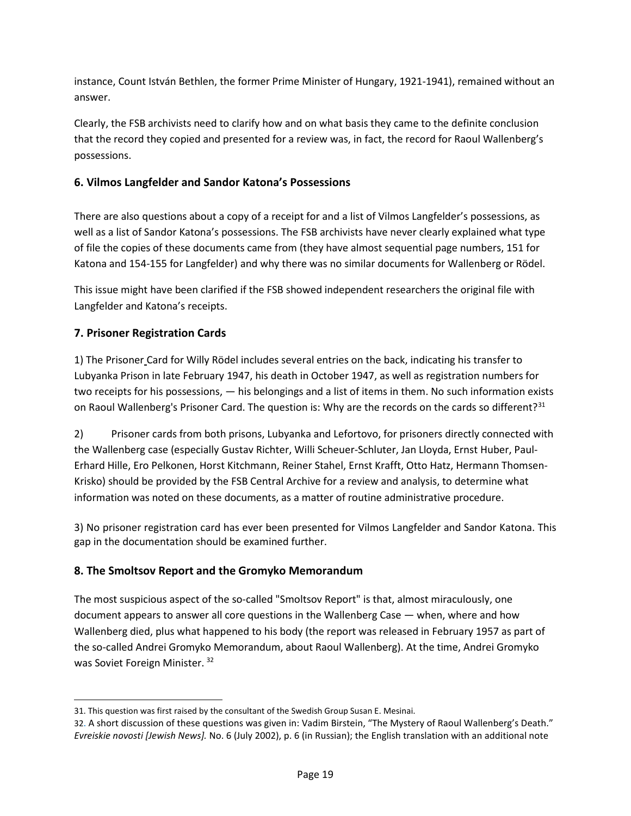instance, Count István Bethlen, the former Prime Minister of Hungary, 1921-1941), remained without an answer.

Clearly, the FSB archivists need to clarify how and on what basis they came to the definite conclusion that the record they copied and presented for a review was, in fact, the record for Raoul Wallenberg's possessions.

# **6. Vilmos Langfelder and Sandor Katona's Possessions**

There are also questions about a copy of a receipt for and a list of Vilmos Langfelder's possessions, as well as a list of Sandor Katona's possessions. The FSB archivists have never clearly explained what type of file the copies of these documents came from (they have almost sequential page numbers, 151 for Katona and 154-155 for Langfelder) and why there was no similar documents for Wallenberg or Rödel.

This issue might have been clarified if the FSB showed independent researchers the original file with Langfelder and Katona's receipts.

# **7. Prisoner Registration Cards**

1) The Prisoner Card for Willy Rödel includes several entries on the back, indicating his transfer to Lubyanka Prison in late February 1947, his death in October 1947, as well as registration numbers for two receipts for his possessions, — his belongings and a list of items in them. No such information exists on Raoul Wallenberg's Prisoner Card. The question is: Why are the records on the cards so different?<sup>[31](#page-18-0)</sup>

2) Prisoner cards from both prisons, Lubyanka and Lefortovo, for prisoners directly connected with the Wallenberg case (especially Gustav Richter, Willi Scheuer-Schluter, Jan Lloyda, Ernst Huber, Paul-Erhard Hille, Ero Pelkonen, Horst Kitchmann, Reiner Stahel, Ernst Krafft, Otto Hatz, Hermann Thomsen-Krisko) should be provided by the FSB Central Archive for a review and analysis, to determine what information was noted on these documents, as a matter of routine administrative procedure.

3) No prisoner registration card has ever been presented for Vilmos Langfelder and Sandor Katona. This gap in the documentation should be examined further.

# **8. The Smoltsov Report and the Gromyko Memorandum**

The most suspicious aspect of the so-called "Smoltsov Report" is that, almost miraculously, one document appears to answer all core questions in the Wallenberg Case — when, where and how Wallenberg died, plus what happened to his body (the report was released in February 1957 as part of the so-called Andrei Gromyko Memorandum, about Raoul Wallenberg). At the time, Andrei Gromyko was Soviet Foreign Minister. [32](#page-18-1)

<span id="page-18-0"></span> $\overline{\phantom{a}}$ 31. This question was first raised by the consultant of the Swedish Group Susan E. Mesinai.

<span id="page-18-1"></span><sup>32.</sup> A short discussion of these questions was given in: Vadim Birstein, "The Mystery of Raoul Wallenberg's Death." *Evreiskie novosti [Jewish News].* No. 6 (July 2002), p. 6 (in Russian); the English translation with an additional note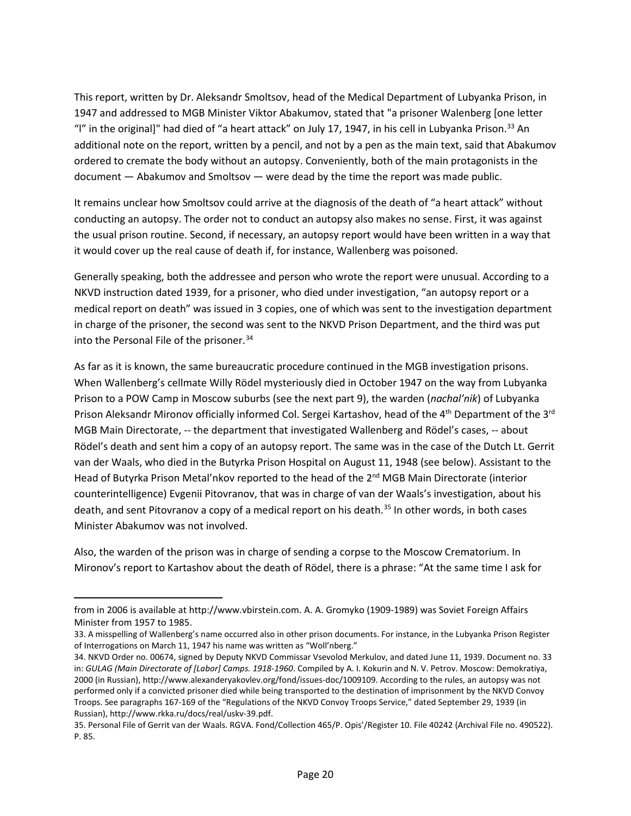This report, written by Dr. Aleksandr Smoltsov, head of the Medical Department of Lubyanka Prison, in 1947 and addressed to MGB Minister Viktor Abakumov, stated that "a prisoner Walenberg [one letter "I" in the original]" had died of "a heart attack" on July 17, 1947, in his cell in Lubyanka Prison.<sup>[33](#page-19-0)</sup> An additional note on the report, written by a pencil, and not by a pen as the main text, said that Abakumov ordered to cremate the body without an autopsy. Conveniently, both of the main protagonists in the document — Abakumov and Smoltsov — were dead by the time the report was made public.

It remains unclear how Smoltsov could arrive at the diagnosis of the death of "a heart attack" without conducting an autopsy. The order not to conduct an autopsy also makes no sense. First, it was against the usual prison routine. Second, if necessary, an autopsy report would have been written in a way that it would cover up the real cause of death if, for instance, Wallenberg was poisoned.

Generally speaking, both the addressee and person who wrote the report were unusual. According to a NKVD instruction dated 1939, for a prisoner, who died under investigation, "an autopsy report or a medical report on death" was issued in 3 copies, one of which was sent to the investigation department in charge of the prisoner, the second was sent to the NKVD Prison Department, and the third was put into the Personal File of the prisoner.<sup>[34](#page-19-1)</sup>

As far as it is known, the same bureaucratic procedure continued in the MGB investigation prisons. When Wallenberg's cellmate Willy Rödel mysteriously died in October 1947 on the way from Lubyanka Prison to a POW Camp in Moscow suburbs (see the next part 9), the warden (*nachal'nik*) of Lubyanka Prison Aleksandr Mironov officially informed Col. Sergei Kartashov, head of the 4<sup>th</sup> Department of the 3<sup>rd</sup> MGB Main Directorate, -- the department that investigated Wallenberg and Rödel's cases, -- about Rödel's death and sent him a copy of an autopsy report. The same was in the case of the Dutch Lt. Gerrit van der Waals, who died in the Butyrka Prison Hospital on August 11, 1948 (see below). Assistant to the Head of Butyrka Prison Metal'nkov reported to the head of the 2<sup>nd</sup> MGB Main Directorate (interior counterintelligence) Evgenii Pitovranov, that was in charge of van der Waals's investigation, about his death, and sent Pitovranov a copy of a medical report on his death.<sup>[35](#page-19-2)</sup> In other words, in both cases Minister Abakumov was not involved.

Also, the warden of the prison was in charge of sending a corpse to the Moscow Crematorium. In Mironov's report to Kartashov about the death of Rödel, there is a phrase: "At the same time I ask for

 $\overline{a}$ 

from in 2006 is available a[t http://www.vbirstein.com.](http://www.vbirstein.com/) A. A. Gromyko (1909-1989) was Soviet Foreign Affairs Minister from 1957 to 1985.

<span id="page-19-0"></span><sup>33.</sup> A misspelling of Wallenberg's name occurred also in other prison documents. For instance, in the Lubyanka Prison Register of Interrogations on March 11, 1947 his name was written as "Woll'nberg."

<span id="page-19-1"></span><sup>34.</sup> NKVD Order no. 00674, signed by Deputy NKVD Commissar Vsevolod Merkulov, and dated June 11, 1939. Document no. 33 in: *GULAG (Main Directorate of [Labor] Camps. 1918-1960*. Compiled by А. I. Kokurin and N. V. Petrov. Moscow: Demokratiya, 2000 (in Russian)[, http://www.alexanderyakovlev.org/fond/issues-doc/1009109.](http://www.alexanderyakovlev.org/fond/issues-doc/1009109) According to the rules, an autopsy was not performed only if a convicted prisoner died while being transported to the destination of imprisonment by the NKVD Convoy Troops. See paragraphs 167-169 of the "Regulations of the NKVD Convoy Troops Service," dated September 29, 1939 (in Russian), http://www.rkka.ru/docs/real/uskv-39.pdf.

<span id="page-19-2"></span><sup>35.</sup> Personal File of Gerrit van der Waals. RGVA. Fond/Collection 465/P. Opis'/Register 10. File 40242 (Archival File no. 490522). P. 85.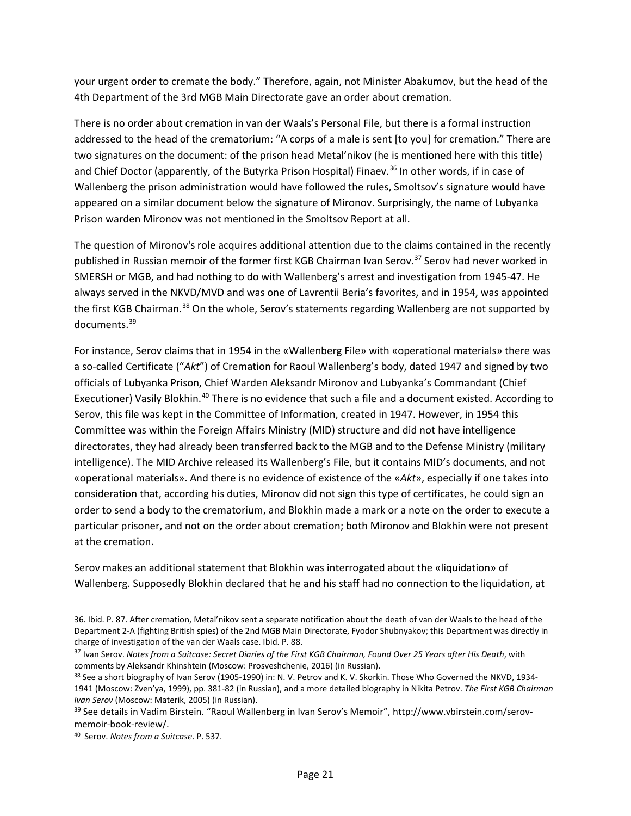your urgent order to cremate the body." Therefore, again, not Minister Abakumov, but the head of the 4th Department of the 3rd MGB Main Directorate gave an order about cremation.

There is no order about cremation in van der Waals's Personal File, but there is a formal instruction addressed to the head of the crematorium: "A corps of a male is sent [to you] for cremation." There are two signatures on the document: of the prison head Metal'nikov (he is mentioned here with this title) and Chief Doctor (apparently, of the Butyrka Prison Hospital) Finaev.<sup>[36](#page-20-0)</sup> In other words, if in case of Wallenberg the prison administration would have followed the rules, Smoltsov's signature would have appeared on a similar document below the signature of Mironov. Surprisingly, the name of Lubyanka Prison warden Mironov was not mentioned in the Smoltsov Report at all.

The question of Mironov's role acquires additional attention due to the claims contained in the recently published in Russian memoir of the former first KGB Chairman Ivan Serov.<sup>[37](#page-20-1)</sup> Serov had never worked in SMERSH or MGB, and had nothing to do with Wallenberg's arrest and investigation from 1945-47. He always served in the NKVD/MVD and was one of Lavrentii Beria's favorites, and in 1954, was appointed the first KGB Chairman.<sup>[38](#page-20-2)</sup> On the whole, Serov's statements regarding Wallenberg are not supported by documents.<sup>[39](#page-20-3)</sup>

For instance, Serov claims that in 1954 in the «Wallenberg File» with «operational materials» there was a so-called Certificate ("*Akt*") of Cremation for Raoul Wallenberg's body, dated 1947 and signed by two officials of Lubyanka Prison, Chief Warden Aleksandr Mironov and Lubyanka's Commandant (Chief Executioner) Vasily Blokhin.<sup>[40](#page-20-4)</sup> There is no evidence that such a file and a document existed. According to Serov, this file was kept in the Committee of Information, created in 1947. However, in 1954 this Committee was within the Foreign Affairs Ministry (MID) structure and did not have intelligence directorates, they had already been transferred back to the MGB and to the Defense Ministry (military intelligence). The MID Archive released its Wallenberg's File, but it contains MID's documents, and not «operational materials». And there is no evidence of existence of the «*Akt*», especially if one takes into consideration that, according his duties, Mironov did not sign this type of certificates, he could sign an order to send a body to the crematorium, and Blokhin made a mark or a note on the order to execute a particular prisoner, and not on the order about cremation; both Mironov and Blokhin were not present at the cremation.

Serov makes an additional statement that Blokhin was interrogated about the «liquidation» of Wallenberg. Supposedly Blokhin declared that he and his staff had no connection to the liquidation, at

 $\overline{\phantom{a}}$ 

<span id="page-20-0"></span><sup>36.</sup> Ibid. P. 87. After cremation, Metal'nikov sent a separate notification about the death of van der Waals to the head of the Department 2-A (fighting British spies) of the 2nd MGB Main Directorate, Fyodor Shubnyakov; this Department was directly in charge of investigation of the van der Waals case. Ibid. P. 88.

<span id="page-20-1"></span><sup>37</sup> Ivan Serov. *Notes from a Suitcase: Secret Diaries of the First KGB Chairman, Found Over 25 Years after His Death*, with comments by Aleksandr Khinshtein (Moscow: Prosveshchenie, 2016) (in Russian).

<span id="page-20-2"></span><sup>38</sup> See a short biography of Ivan Serov (1905-1990) in: N. V. Petrov and K. V. Skorkin. Those Who Governed the NKVD, 1934-1941 (Moscow: Zven'ya, 1999), pp. 381-82 (in Russian), and a more detailed biography in Nikita Petrov. *The First KGB Chairman Ivan Serov* (Moscow: Materik, 2005) (in Russian).

<span id="page-20-3"></span><sup>39</sup> See details in Vadim Birstein. "Raoul Wallenberg in Ivan Serov's Memoir", http://www.vbirstein.com/serovmemoir-book-review/.

<span id="page-20-4"></span><sup>40</sup> Serov. *Notes from a Suitcase*. P. 537.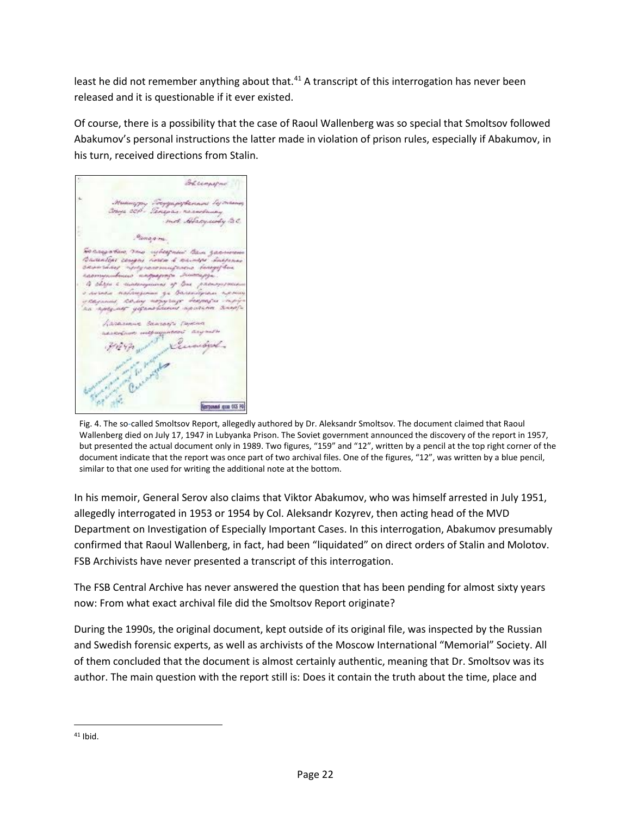least he did not remember anything about that.<sup>[41](#page-21-0)</sup> A transcript of this interrogation has never been released and it is questionable if it ever existed.

Of course, there is a possibility that the case of Raoul Wallenberg was so special that Smoltsov followed Abakumov's personal instructions the latter made in violation of prison rules, especially if Abakumov, in his turn, received directions from Stalin.

Bhumayne mot Alexander &C Pananny "werngarken (2mg-upheepaas" lisa gaarama<br>lesaanlees ceugeu noren d'animer Inspena<br>caivardine "norgeanomispenai doregefrai гаступившие поградное этоторуе to chain a cumum una of tre painty о лична наблизомы за балкобрам про s avroka, maximpiona, yr spiracotycha, ripoweg<br>czagoniai, 20.iag wojnyrazy benjenzia inipój<br><u>na riptyineg ydzinolitaniai mp</u>istrine, tinop<u>i</u>a Lasasanic Scassor Tax m mapaggunooni any o Kursidya Cucangha **Response que OS RP** 

Fig. 4. The so-called Smoltsov Report, allegedly authored by Dr. Aleksandr Smoltsov. The document claimed that Raoul Wallenberg died on July 17, 1947 in Lubyanka Prison. The Soviet government announced the discovery of the report in 1957, but presented the actual document only in 1989. Two figures, "159" and "12", written by a pencil at the top right corner of the document indicate that the report was once part of two archival files. One of the figures, "12", was written by a blue pencil, similar to that one used for writing the additional note at the bottom.

In his memoir, General Serov also claims that Viktor Abakumov, who was himself arrested in July 1951, allegedly interrogated in 1953 or 1954 by Col. Aleksandr Kozyrev, then acting head of the MVD Department on Investigation of Especially Important Cases. In this interrogation, Abakumov presumably confirmed that Raoul Wallenberg, in fact, had been "liquidated" on direct orders of Stalin and Molotov. FSB Archivists have never presented a transcript of this interrogation.

The FSB Central Archive has never answered the question that has been pending for almost sixty years now: From what exact archival file did the Smoltsov Report originate?

During the 1990s, the original document, kept outside of its original file, was inspected by the Russian and Swedish forensic experts, as well as archivists of the Moscow International "Memorial" Society. All of them concluded that the document is almost certainly authentic, meaning that Dr. Smoltsov was its author. The main question with the report still is: Does it contain the truth about the time, place and

<span id="page-21-0"></span> <sup>41</sup> Ibid.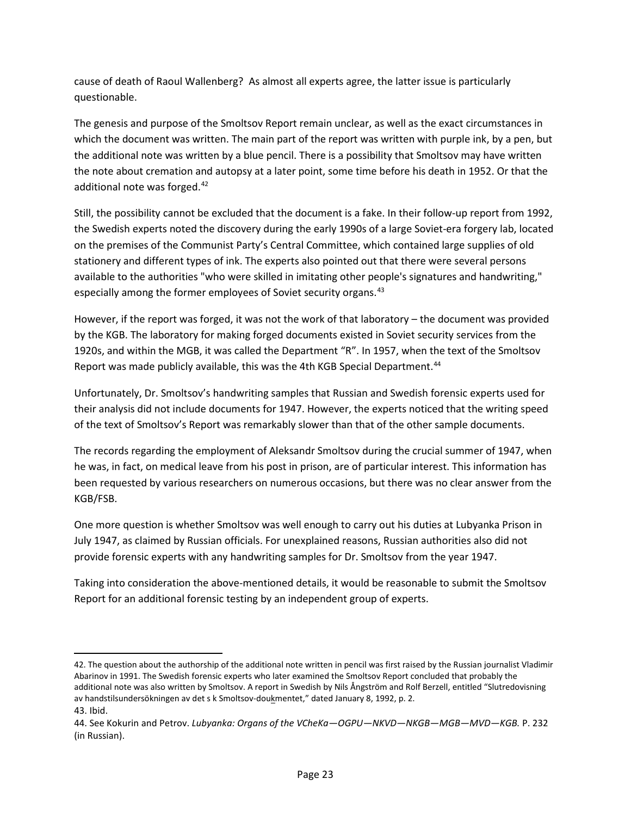cause of death of Raoul Wallenberg? As almost all experts agree, the latter issue is particularly questionable.

The genesis and purpose of the Smoltsov Report remain unclear, as well as the exact circumstances in which the document was written. The main part of the report was written with purple ink, by a pen, but the additional note was written by a blue pencil. There is a possibility that Smoltsov may have written the note about cremation and autopsy at a later point, some time before his death in 1952. Or that the additional note was forged.<sup>[42](#page-22-0)</sup>

Still, the possibility cannot be excluded that the document is a fake. In their follow-up report from 1992, the Swedish experts noted the discovery during the early 1990s of a large Soviet-era forgery lab, located on the premises of the Communist Party's Central Committee, which contained large supplies of old stationery and different types of ink. The experts also pointed out that there were several persons available to the authorities "who were skilled in imitating other people's signatures and handwriting," especially among the former employees of Soviet security organs.<sup>[43](#page-22-1)</sup>

However, if the report was forged, it was not the work of that laboratory – the document was provided by the KGB. The laboratory for making forged documents existed in Soviet security services from the 1920s, and within the MGB, it was called the Department "R". In 1957, when the text of the Smoltsov Report was made publicly available, this was the 4th KGB Special Department.<sup>44</sup>

Unfortunately, Dr. Smoltsov's handwriting samples that Russian and Swedish forensic experts used for their analysis did not include documents for 1947. However, the experts noticed that the writing speed of the text of Smoltsov's Report was remarkably slower than that of the other sample documents.

The records regarding the employment of Aleksandr Smoltsov during the crucial summer of 1947, when he was, in fact, on medical leave from his post in prison, are of particular interest. This information has been requested by various researchers on numerous occasions, but there was no clear answer from the KGB/FSB.

One more question is whether Smoltsov was well enough to carry out his duties at Lubyanka Prison in July 1947, as claimed by Russian officials. For unexplained reasons, Russian authorities also did not provide forensic experts with any handwriting samples for Dr. Smoltsov from the year 1947.

Taking into consideration the above-mentioned details, it would be reasonable to submit the Smoltsov Report for an additional forensic testing by an independent group of experts.

l

<span id="page-22-0"></span><sup>42.</sup> The question about the authorship of the additional note written in pencil was first raised by the Russian journalist Vladimir Abarinov in 1991. The Swedish forensic experts who later examined the Smoltsov Report concluded that probably the additional note was also written by Smoltsov. A report in Swedish by Nils Ångström and Rolf Berzell, entitled "Slutredovisning av handstilsundersökningen av det s k Smoltsov-doukmentet," dated January 8, 1992, p. 2.

<span id="page-22-1"></span><sup>43.</sup> Ibid.

<span id="page-22-2"></span><sup>44.</sup> See Kokurin and Petrov. *Lubyanka: Organs of the VCheKa—OGPU—NKVD—NKGB—MGB—MVD—KGB.* P. 232 (in Russian).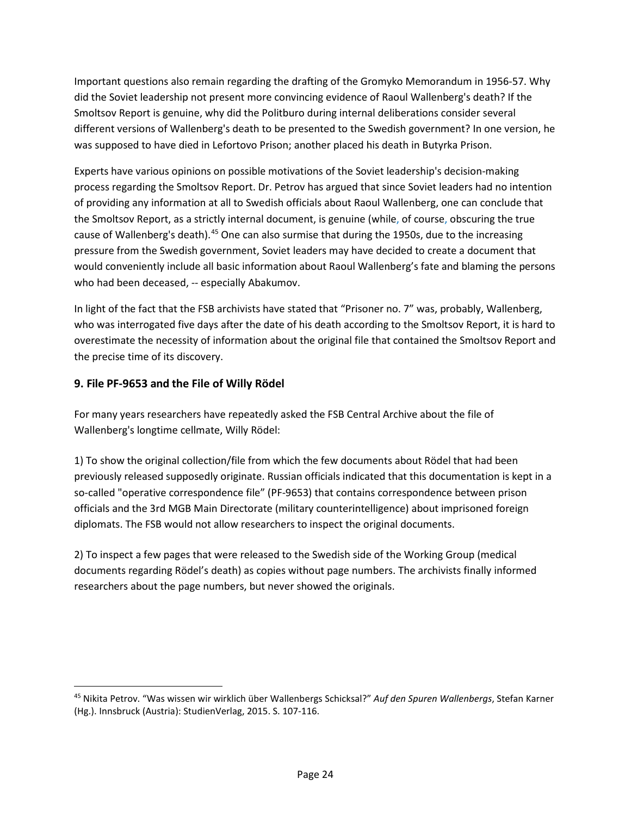Important questions also remain regarding the drafting of the Gromyko Memorandum in 1956-57. Why did the Soviet leadership not present more convincing evidence of Raoul Wallenberg's death? If the Smoltsov Report is genuine, why did the Politburo during internal deliberations consider several different versions of Wallenberg's death to be presented to the Swedish government? In one version, he was supposed to have died in Lefortovo Prison; another placed his death in Butyrka Prison.

Experts have various opinions on possible motivations of the Soviet leadership's decision-making process regarding the Smoltsov Report. Dr. Petrov has argued that since Soviet leaders had no intention of providing any information at all to Swedish officials about Raoul Wallenberg, one can conclude that the Smoltsov Report, as a strictly internal document, is genuine (while, of course, obscuring the true cause of Wallenberg's death).<sup>[45](#page-23-0)</sup> One can also surmise that during the 1950s, due to the increasing pressure from the Swedish government, Soviet leaders may have decided to create a document that would conveniently include all basic information about Raoul Wallenberg's fate and blaming the persons who had been deceased, -- especially Abakumov.

In light of the fact that the FSB archivists have stated that "Prisoner no. 7" was, probably, Wallenberg, who was interrogated five days after the date of his death according to the Smoltsov Report, it is hard to overestimate the necessity of information about the original file that contained the Smoltsov Report and the precise time of its discovery.

# **9. File PF-9653 and the File of Willy Rödel**

For many years researchers have repeatedly asked the FSB Central Archive about the file of Wallenberg's longtime cellmate, Willy Rödel:

1) To show the original collection/file from which the few documents about Rödel that had been previously released supposedly originate. Russian officials indicated that this documentation is kept in a so-called "operative correspondence file" (PF-9653) that contains correspondence between prison officials and the 3rd MGB Main Directorate (military counterintelligence) about imprisoned foreign diplomats. The FSB would not allow researchers to inspect the original documents.

2) To inspect a few pages that were released to the Swedish side of the Working Group (medical documents regarding Rödel's death) as copies without page numbers. The archivists finally informed researchers about the page numbers, but never showed the originals.

<span id="page-23-0"></span> <sup>45</sup> Nikita Petrov. "Was wissen wir wirklich über Wallenbergs Schicksal?" *Auf den Spuren Wallenbergs*, Stefan Karner (Hg.). Innsbruck (Austria): StudienVerlag, 2015. S. 107-116.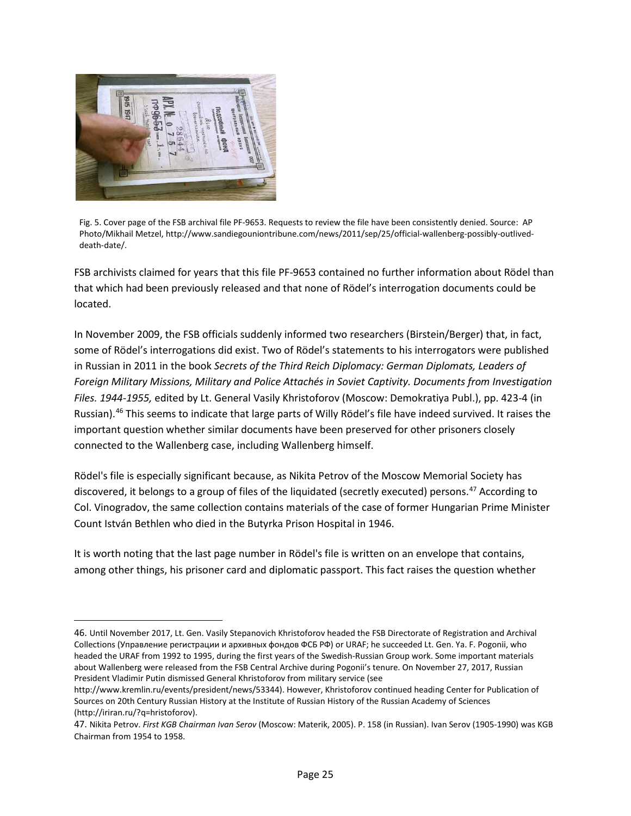

l

Fig. 5. Cover page of the FSB archival file PF-9653. Requests to review the file have been consistently denied. Source: AP Photo/Mikhail Metzel, [http://www.sandiegouniontribune.com/news/2011/sep/25/official-wallenberg-possibly-outlived](http://www.sandiegouniontribune.com/news/2011/sep/25/official-wallenberg-possibly-outlived-death-date/)[death-date/.](http://www.sandiegouniontribune.com/news/2011/sep/25/official-wallenberg-possibly-outlived-death-date/)

FSB archivists claimed for years that this file PF-9653 contained no further information about Rödel than that which had been previously released and that none of Rödel's interrogation documents could be located.

In November 2009, the FSB officials suddenly informed two researchers (Birstein/Berger) that, in fact, some of Rödel's interrogations did exist. Two of Rödel's statements to his interrogators were published in Russian in 2011 in the book *Secrets of the Third Reich Diplomacy: German Diplomats, Leaders of Foreign Military Missions, Military and Police Attachés in Soviet Captivity. Documents from Investigation Files. 1944-1955,* edited by Lt. General Vasily Khristoforov (Moscow: Demokratiya Publ.), pp. 423-4 (in Russian).[46](#page-24-0) This seems to indicate that large parts of Willy Rödel's file have indeed survived. It raises the important question whether similar documents have been preserved for other prisoners closely connected to the Wallenberg case, including Wallenberg himself.

Rödel's file is especially significant because, as Nikita Petrov of the Moscow Memorial Society has discovered, it belongs to a group of files of the liquidated (secretly executed) persons. [47](#page-24-1) According to Col. Vinogradov, the same collection contains materials of the case of former Hungarian Prime Minister Count István Bethlen who died in the Butyrka Prison Hospital in 1946.

It is worth noting that the last page number in Rödel's file is written on an envelope that contains, among other things, his prisoner card and diplomatic passport. This fact raises the question whether

<span id="page-24-0"></span><sup>46.</sup> Until November 2017, Lt. Gen. Vasily Stepanovich Khristoforov headed the FSB Directorate of Registration and Archival Collections (Управлениe регистрации и архивных фондов ФСБ РФ) or URAF; he succeeded Lt. Gen. Ya. F. Pogonii, who headed the URAF from 1992 to 1995, during the first years of the Swedish-Russian Group work. Some important materials about Wallenberg were released from the FSB Central Archive during Pogonii's tenure. On November 27, 2017, Russian President Vladimir Putin dismissed General Khristoforov from military service (see

[http://www.kremlin.ru/events/president/news/53344\).](http://www.kremlin.ru/events/president/news/53344) However, Khristoforov continued heading Center for Publication of Sources on 20th Century Russian History at the Institute of Russian History of the Russian Academy of Sciences (http://iriran.ru/?q=hristoforov).

<span id="page-24-1"></span><sup>47.</sup> Nikita Petrov. *First KGB Chairman Ivan Serov* (Moscow: Materik, 2005). P. 158 (in Russian). Ivan Serov (1905-1990) was KGB Chairman from 1954 to 1958.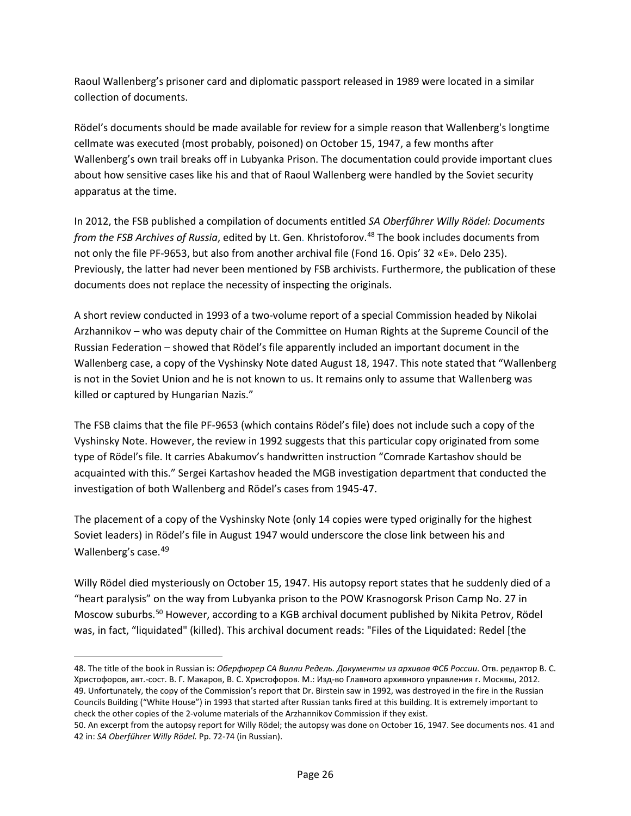Raoul Wallenberg's prisoner card and diplomatic passport released in 1989 were located in a similar collection of documents.

Rödel's documents should be made available for review for a simple reason that Wallenberg's longtime cellmate was executed (most probably, poisoned) on October 15, 1947, a few months after Wallenberg's own trail breaks off in Lubyanka Prison. The documentation could provide important clues about how sensitive cases like his and that of Raoul Wallenberg were handled by the Soviet security apparatus at the time.

In 2012, the FSB published a compilation of documents entitled *SA Oberfűhrer Willy Rödel: Documents from the FSB Archives of Russia*, edited by Lt. Gen. Khristoforov.<sup>[48](#page-25-0)</sup> The book includes documents from not only the file PF-9653, but also from another archival file (Fond 16. Opis' 32 «E». Delo 235). Previously, the latter had never been mentioned by FSB archivists. Furthermore, the publication of these documents does not replace the necessity of inspecting the originals.

A short review conducted in 1993 of a two-volume report of a special Commission headed by Nikolai Arzhannikov – who was deputy chair of the Committee on Human Rights at the Supreme Council of the Russian Federation – showed that Rödel's file apparently included an important document in the Wallenberg case, a copy of the Vyshinsky Note dated August 18, 1947. This note stated that "Wallenberg is not in the Soviet Union and he is not known to us. It remains only to assume that Wallenberg was killed or captured by Hungarian Nazis."

The FSB claims that the file PF-9653 (which contains Rödel's file) does not include such a copy of the Vyshinsky Note. However, the review in 1992 suggests that this particular copy originated from some type of Rödel's file. It carries Abakumov's handwritten instruction "Comrade Kartashov should be acquainted with this." Sergei Kartashov headed the MGB investigation department that conducted the investigation of both Wallenberg and Rödel's cases from 1945-47.

The placement of a copy of the Vyshinsky Note (only 14 copies were typed originally for the highest Soviet leaders) in Rödel's file in August 1947 would underscore the close link between his and Wallenberg's case. [49](#page-25-1)

Willy Rödel died mysteriously on October 15, 1947. His autopsy report states that he suddenly died of a "heart paralysis" on the way from Lubyanka prison to the POW Krasnogorsk Prison Camp No. 27 in Moscow suburbs.<sup>[50](#page-25-2)</sup> However, according to a KGB archival document published by Nikita Petrov, Rödel was, in fact, "liquidated" (killed). This archival document reads: "Files of the Liquidated: Redel [the

 $\overline{\phantom{a}}$ 

<span id="page-25-1"></span><span id="page-25-0"></span><sup>48.</sup> The title of the book in Russian is: *Оберфюрер СА Вилли Редель. Документы из архивов ФСБ России.* Отв. редактор В. С. Христофоров, авт.-сост. В. Г. Макаров, В. С. Христофоров. М.: Изд-во Главного архивного управления г. Москвы, 2012. 49. Unfortunately, the copy of the Commission's report that Dr. Birstein saw in 1992, was destroyed in the fire in the Russian Councils Building ("White House") in 1993 that started after Russian tanks fired at this building. It is extremely important to check the other copies of the 2-volume materials of the Arzhannikov Commission if they exist.

<span id="page-25-2"></span><sup>50.</sup> An excerpt from the autopsy report for Willy Rödel; the autopsy was done on October 16, 1947. See documents nos. 41 and 42 in: *SA Oberfűhrer Willy Rödel.* Pp. 72-74 (in Russian).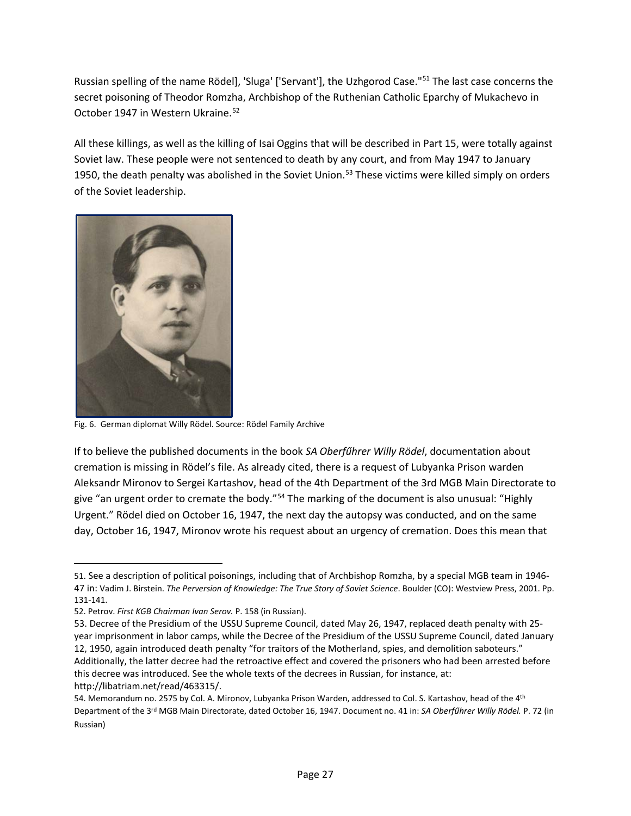Russian spelling of the name Rödel], 'Sluga' ['Servant'], the Uzhgorod Case."[51](#page-26-0) The last case concerns the secret poisoning of Theodor Romzha, Archbishop of the Ruthenian Catholic Eparchy of Mukachevo in October 1947 in Western Ukraine.<sup>[52](#page-26-1)</sup>

All these killings, as well as the killing of Isai Oggins that will be described in Part 15, were totally against Soviet law. These people were not sentenced to death by any court, and from May 1947 to January 1950, the death penalty was abolished in the Soviet Union.<sup>[53](#page-26-2)</sup> These victims were killed simply on orders of the Soviet leadership.



Fig. 6. German diplomat Willy Rödel. Source: Rödel Family Archive

If to believe the published documents in the book *SA Oberfűhrer Willy Rödel*, documentation about cremation is missing in Rödel's file. As already cited, there is a request of Lubyanka Prison warden Aleksandr Mironov to Sergei Kartashov, head of the 4th Department of the 3rd MGB Main Directorate to give "an urgent order to cremate the body."<sup>[54](#page-26-3)</sup> The marking of the document is also unusual: "Highly Urgent." Rödel died on October 16, 1947, the next day the autopsy was conducted, and on the same day, October 16, 1947, Mironov wrote his request about an urgency of cremation. Does this mean that

l

<span id="page-26-0"></span><sup>51.</sup> See a description of political poisonings, including that of Archbishop Romzha, by a special MGB team in 1946- 47 in: Vadim J. Birstein. *The Perversion of Knowledge: The True Story of Soviet Science*. Boulder (CO): Westview Press, 2001. Pp. 131-141.

<span id="page-26-1"></span><sup>52.</sup> Petrov. *First KGB Chairman Ivan Serov.* P. 158 (in Russian).

<span id="page-26-2"></span><sup>53.</sup> Decree of the Presidium of the USSU Supreme Council, dated May 26, 1947, replaced death penalty with 25 year imprisonment in labor camps, while the Decree of the Presidium of the USSU Supreme Council, dated January 12, 1950, again introduced death penalty "for traitors of the Motherland, spies, and demolition saboteurs." Additionally, the latter decree had the retroactive effect and covered the prisoners who had been arrested before this decree was introduced. See the whole texts of the decrees in Russian, for instance, at: http://libatriam.net/read/463315/.

<span id="page-26-3"></span><sup>54.</sup> Memorandum no. 2575 by Col. A. Mironov, Lubyanka Prison Warden, addressed to Col. S. Kartashov, head of the 4th Department of the 3rd MGB Main Directorate, dated October 16, 1947. Document no. 41 in: *SA Oberfűhrer Willy Rödel.* P. 72 (in Russian)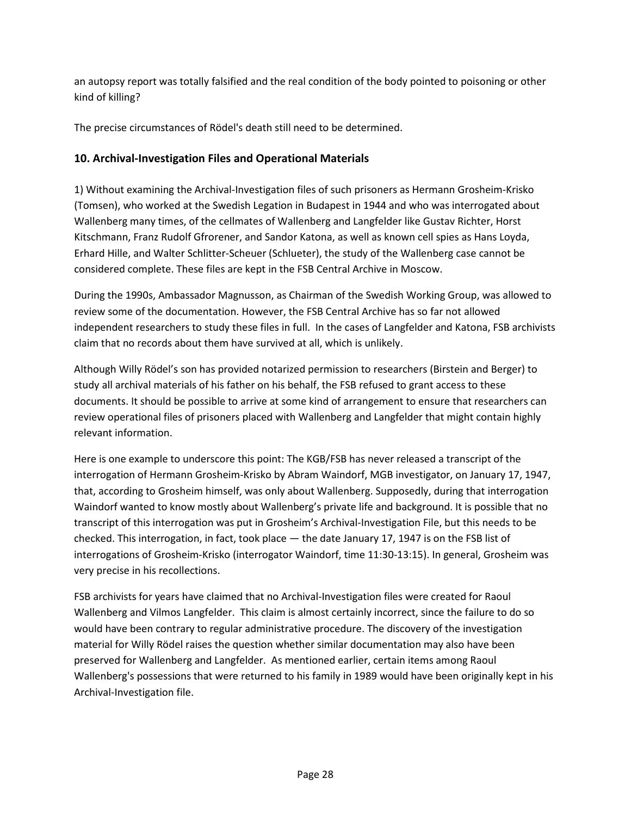an autopsy report was totally falsified and the real condition of the body pointed to poisoning or other kind of killing?

The precise circumstances of Rödel's death still need to be determined.

# **10. Archival-Investigation Files and Operational Materials**

1) Without examining the Archival-Investigation files of such prisoners as Hermann Grosheim-Krisko (Tomsen), who worked at the Swedish Legation in Budapest in 1944 and who was interrogated about Wallenberg many times, of the cellmates of Wallenberg and Langfelder like Gustav Richter, Horst Kitschmann, Franz Rudolf Gfrorener, and Sandor Katona, as well as known cell spies as Hans Loyda, Erhard Hille, and Walter Schlitter-Scheuer (Schlueter), the study of the Wallenberg case cannot be considered complete. These files are kept in the FSB Central Archive in Moscow.

During the 1990s, Ambassador Magnusson, as Chairman of the Swedish Working Group, was allowed to review some of the documentation. However, the FSB Central Archive has so far not allowed independent researchers to study these files in full. In the cases of Langfelder and Katona, FSB archivists claim that no records about them have survived at all, which is unlikely.

Although Willy Rödel's son has provided notarized permission to researchers (Birstein and Berger) to study all archival materials of his father on his behalf, the FSB refused to grant access to these documents. It should be possible to arrive at some kind of arrangement to ensure that researchers can review operational files of prisoners placed with Wallenberg and Langfelder that might contain highly relevant information.

Here is one example to underscore this point: The KGB/FSB has never released a transcript of the interrogation of Hermann Grosheim-Krisko by Abram Waindorf, MGB investigator, on January 17, 1947, that, according to Grosheim himself, was only about Wallenberg. Supposedly, during that interrogation Waindorf wanted to know mostly about Wallenberg's private life and background. It is possible that no transcript of this interrogation was put in Grosheim's Archival-Investigation File, but this needs to be checked. This interrogation, in fact, took place — the date January 17, 1947 is on the FSB list of interrogations of Grosheim-Krisko (interrogator Waindorf, time 11:30-13:15). In general, Grosheim was very precise in his recollections.

FSB archivists for years have claimed that no Archival-Investigation files were created for Raoul Wallenberg and Vilmos Langfelder. This claim is almost certainly incorrect, since the failure to do so would have been contrary to regular administrative procedure. The discovery of the investigation material for Willy Rödel raises the question whether similar documentation may also have been preserved for Wallenberg and Langfelder. As mentioned earlier, certain items among Raoul Wallenberg's possessions that were returned to his family in 1989 would have been originally kept in his Archival-Investigation file.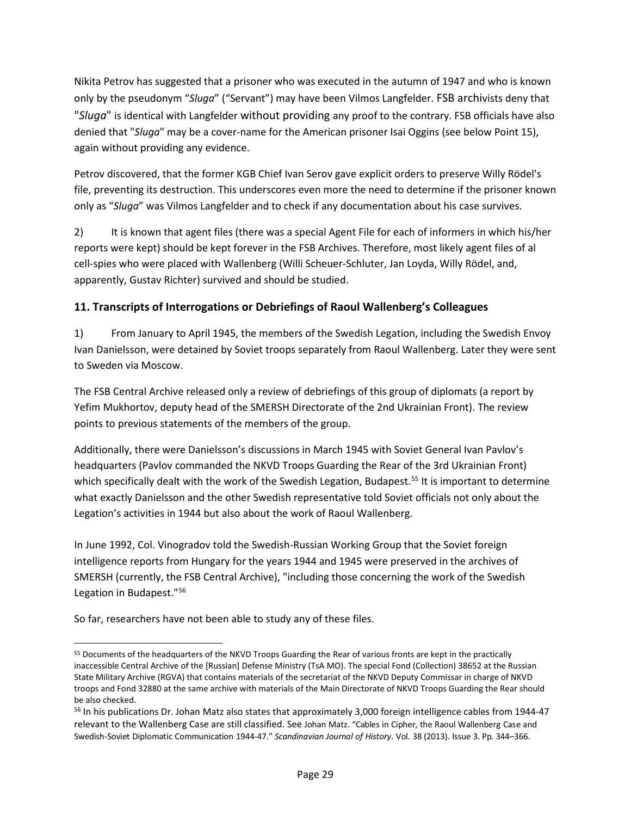Nikita Petrov has suggested that a prisoner who was executed in the autumn of 1947 and who is known only by the pseudonym "*Sluga*" ("Servant") may have been Vilmos Langfelder. FSB archivists deny that "*Sluga*" is identical with Langfelder without providing any proof to the contrary. FSB officials have also denied that "*Sluga*" may be a cover-name for the American prisoner Isai Oggins (see below Point 15), again without providing any evidence.

Petrov discovered, that the former KGB Chief Ivan Serov gave explicit orders to preserve Willy Rödel's file, preventing its destruction. This underscores even more the need to determine if the prisoner known only as "*Sluga*" was Vilmos Langfelder and to check if any documentation about his case survives.

2) It is known that agent files (there was a special Agent File for each of informers in which his/her reports were kept) should be kept forever in the FSB Archives. Therefore, most likely agent files of al cell-spies who were placed with Wallenberg (Willi Scheuer-Schluter, Jan Loyda, Willy Rödel, and, apparently, Gustav Richter) survived and should be studied.

# **11. Transcripts of Interrogations or Debriefings of Raoul Wallenberg's Colleagues**

1) From January to April 1945, the members of the Swedish Legation, including the Swedish Envoy Ivan Danielsson, were detained by Soviet troops separately from Raoul Wallenberg. Later they were sent to Sweden via Moscow.

The FSB Central Archive released only a review of debriefings of this group of diplomats (a report by Yefim Mukhortov, deputy head of the SMERSH Directorate of the 2nd Ukrainian Front). The review points to previous statements of the members of the group.

Additionally, there were Danielsson's discussions in March 1945 with Soviet General Ivan Pavlov's headquarters (Pavlov commanded the NKVD Troops Guarding the Rear of the 3rd Ukrainian Front) which specifically dealt with the work of the Swedish Legation, Budapest.<sup>[55](#page-28-0)</sup> It is important to determine what exactly Danielsson and the other Swedish representative told Soviet officials not only about the Legation's activities in 1944 but also about the work of Raoul Wallenberg.

In June 1992, Col. Vinogradov told the Swedish-Russian Working Group that the Soviet foreign intelligence reports from Hungary for the years 1944 and 1945 were preserved in the archives of SMERSH (currently, the FSB Central Archive), "including those concerning the work of the Swedish Legation in Budapest."[56](#page-28-1)

So far, researchers have not been able to study any of these files.

<span id="page-28-0"></span> <sup>55</sup> Documents of the headquarters of the NKVD Troops Guarding the Rear of various fronts are kept in the practically inaccessible Central Archive of the [Russian] Defense Ministry (TsA MO). The special Fond (Collection) 38652 at the Russian State Military Archive (RGVA) that contains materials of the secretariat of the NKVD Deputy Commissar in charge of NKVD troops and Fond 32880 at the same archive with materials of the Main Directorate of NKVD Troops Guarding the Rear should be also checked.<br><sup>56</sup> In his publications Dr. Johan Matz also states that approximately 3,000 foreign intelligence cables from 1944-47

<span id="page-28-1"></span>relevant to the Wallenberg Case are still classified. See Johan Matz. "Cables in Cipher, the Raoul Wallenberg Case and Swedish-Soviet Diplomatic Communication 1944-47." *Scandinavian Journal of History*. Vol. 38 (2013). Issue 3. Pp. 344–366.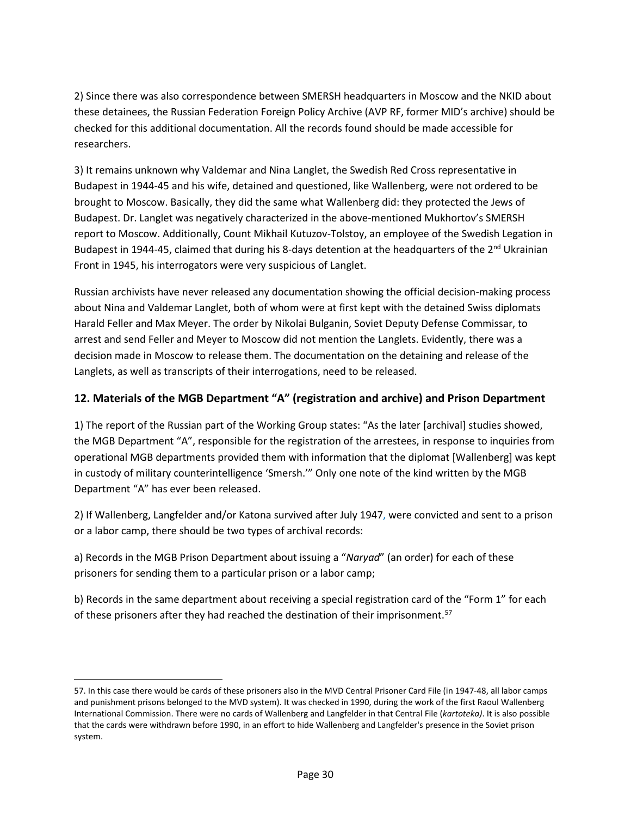2) Since there was also correspondence between SMERSH headquarters in Moscow and the NKID about these detainees, the Russian Federation Foreign Policy Archive (AVP RF, former MID's archive) should be checked for this additional documentation. All the records found should be made accessible for researchers.

3) It remains unknown why Valdemar and Nina Langlet, the Swedish Red Cross representative in Budapest in 1944-45 and his wife, detained and questioned, like Wallenberg, were not ordered to be brought to Moscow. Basically, they did the same what Wallenberg did: they protected the Jews of Budapest. Dr. Langlet was negatively characterized in the above-mentioned Mukhortov's SMERSH report to Moscow. Additionally, Count Mikhail Kutuzov-Tolstoy, an employee of the Swedish Legation in Budapest in 1944-45, claimed that during his 8-days detention at the headquarters of the 2<sup>nd</sup> Ukrainian Front in 1945, his interrogators were very suspicious of Langlet.

Russian archivists have never released any documentation showing the official decision-making process about Nina and Valdemar Langlet, both of whom were at first kept with the detained Swiss diplomats Harald Feller and Max Meyer. The order by Nikolai Bulganin, Soviet Deputy Defense Commissar, to arrest and send Feller and Meyer to Moscow did not mention the Langlets. Evidently, there was a decision made in Moscow to release them. The documentation on the detaining and release of the Langlets, as well as transcripts of their interrogations, need to be released.

#### **12. Materials of the MGB Department "A" (registration and archive) and Prison Department**

1) The report of the Russian part of the Working Group states: "As the later [archival] studies showed, the MGB Department "A", responsible for the registration of the arrestees, in response to inquiries from operational MGB departments provided them with information that the diplomat [Wallenberg] was kept in custody of military counterintelligence 'Smersh.'" Only one note of the kind written by the MGB Department "A" has ever been released.

2) If Wallenberg, Langfelder and/or Katona survived after July 1947, were convicted and sent to a prison or a labor camp, there should be two types of archival records:

a) Records in the MGB Prison Department about issuing a "*Naryad*" (an order) for each of these prisoners for sending them to a particular prison or a labor camp;

l

b) Records in the same department about receiving a special registration card of the "Form 1" for each of these prisoners after they had reached the destination of their imprisonment.<sup>[57](#page-29-0)</sup>

<span id="page-29-0"></span><sup>57.</sup> In this case there would be cards of these prisoners also in the MVD Central Prisoner Card File (in 1947-48, all labor camps and punishment prisons belonged to the MVD system). It was checked in 1990, during the work of the first Raoul Wallenberg International Commission. There were no cards of Wallenberg and Langfelder in that Central File (*kartoteka)*. It is also possible that the cards were withdrawn before 1990, in an effort to hide Wallenberg and Langfelder's presence in the Soviet prison system.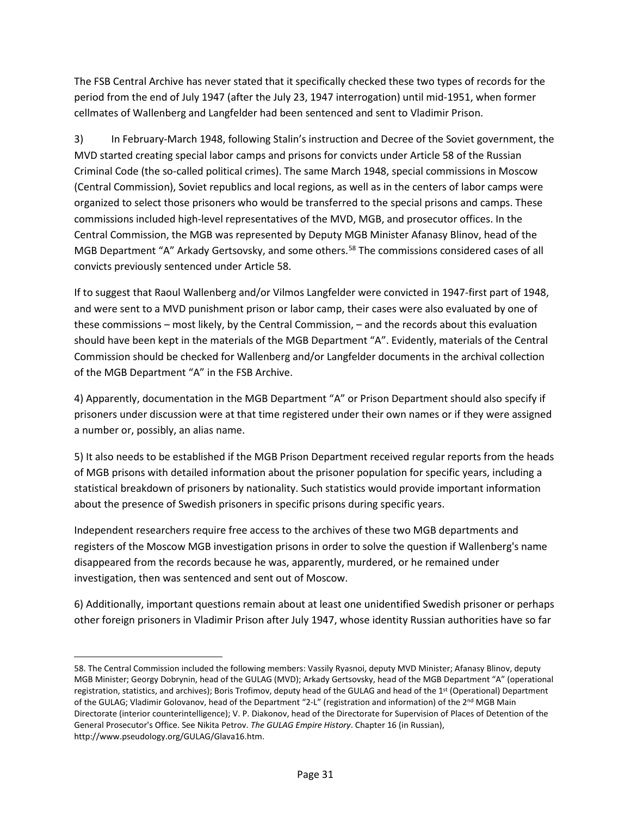The FSB Central Archive has never stated that it specifically checked these two types of records for the period from the end of July 1947 (after the July 23, 1947 interrogation) until mid-1951, when former cellmates of Wallenberg and Langfelder had been sentenced and sent to Vladimir Prison.

3) In February-March 1948, following Stalin's instruction and Decree of the Soviet government, the MVD started creating special labor camps and prisons for convicts under Article 58 of the Russian Criminal Code (the so-called political crimes). The same March 1948, special commissions in Moscow (Central Commission), Soviet republics and local regions, as well as in the centers of labor camps were organized to select those prisoners who would be transferred to the special prisons and camps. These commissions included high-level representatives of the MVD, MGB, and prosecutor offices. In the Central Commission, the MGB was represented by Deputy MGB Minister Afanasy Blinov, head of the MGB Department "A" Arkady Gertsovsky, and some others.<sup>[58](#page-30-0)</sup> The commissions considered cases of all convicts previously sentenced under Article 58.

If to suggest that Raoul Wallenberg and/or Vilmos Langfelder were convicted in 1947-first part of 1948, and were sent to a MVD punishment prison or labor camp, their cases were also evaluated by one of these commissions – most likely, by the Central Commission, – and the records about this evaluation should have been kept in the materials of the MGB Department "A". Evidently, materials of the Central Commission should be checked for Wallenberg and/or Langfelder documents in the archival collection of the MGB Department "A" in the FSB Archive.

4) Apparently, documentation in the MGB Department "A" or Prison Department should also specify if prisoners under discussion were at that time registered under their own names or if they were assigned a number or, possibly, an alias name.

5) It also needs to be established if the MGB Prison Department received regular reports from the heads of MGB prisons with detailed information about the prisoner population for specific years, including a statistical breakdown of prisoners by nationality. Such statistics would provide important information about the presence of Swedish prisoners in specific prisons during specific years.

Independent researchers require free access to the archives of these two MGB departments and registers of the Moscow MGB investigation prisons in order to solve the question if Wallenberg's name disappeared from the records because he was, apparently, murdered, or he remained under investigation, then was sentenced and sent out of Moscow.

6) Additionally, important questions remain about at least one unidentified Swedish prisoner or perhaps other foreign prisoners in Vladimir Prison after July 1947, whose identity Russian authorities have so far

 $\overline{\phantom{a}}$ 

<span id="page-30-0"></span><sup>58.</sup> The Central Commission included the following members: Vassily Ryasnoi, deputy MVD Minister; Afanasy Blinov, deputy MGB Minister; Georgy Dobrynin, head of the GULAG (MVD); Arkady Gertsovsky, head of the MGB Department "A" (operational registration, statistics, and archives); Boris Trofimov, deputy head of the GULAG and head of the 1<sup>st</sup> (Operational) Department of the GULAG; Vladimir Golovanov, head of the Department "2-L" (registration and information) of the 2<sup>nd</sup> MGB Main Directorate (interior counterintelligence); V. P. Diakonov, head of the Directorate for Supervision of Places of Detention of the General Prosecutor's Office. See Nikita Petrov. *The GULAG Empire History*. Chapter 16 (in Russian), [http://www.pseudology.org/GULAG/Glava16.htm.](http://www.pseudology.org/GULAG/Glava16.htm)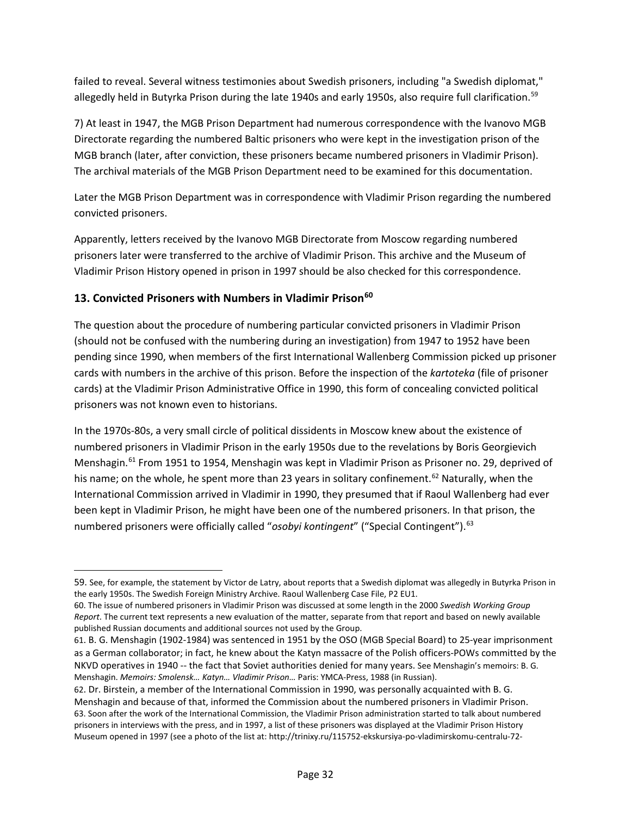failed to reveal. Several witness testimonies about Swedish prisoners, including "a Swedish diplomat," allegedly held in Butyrka Prison during the late 1940s and early 1950s, also require full clarification.<sup>[59](#page-31-0)</sup>

7) At least in 1947, the MGB Prison Department had numerous correspondence with the Ivanovo MGB Directorate regarding the numbered Baltic prisoners who were kept in the investigation prison of the MGB branch (later, after conviction, these prisoners became numbered prisoners in Vladimir Prison). The archival materials of the MGB Prison Department need to be examined for this documentation.

Later the MGB Prison Department was in correspondence with Vladimir Prison regarding the numbered convicted prisoners.

Apparently, letters received by the Ivanovo MGB Directorate from Moscow regarding numbered prisoners later were transferred to the archive of Vladimir Prison. This archive and the Museum of Vladimir Prison History opened in prison in 1997 should be also checked for this correspondence.

# **13. Convicted Prisoners with Numbers in Vladimir Prison[60](#page-31-1)**

l

The question about the procedure of numbering particular convicted prisoners in Vladimir Prison (should not be confused with the numbering during an investigation) from 1947 to 1952 have been pending since 1990, when members of the first International Wallenberg Commission picked up prisoner cards with numbers in the archive of this prison. Before the inspection of the *kartoteka* (file of prisoner cards) at the Vladimir Prison Administrative Office in 1990, this form of concealing convicted political prisoners was not known even to historians.

In the 1970s-80s, a very small circle of political dissidents in Moscow knew about the existence of numbered prisoners in Vladimir Prison in the early 1950s due to the revelations by Boris Georgievich Menshagin.<sup>[61](#page-31-2)</sup> From 1951 to 1954, Menshagin was kept in Vladimir Prison as Prisoner no. 29, deprived of his name; on the whole, he spent more than 23 years in solitary confinement.<sup>[62](#page-31-3)</sup> Naturally, when the International Commission arrived in Vladimir in 1990, they presumed that if Raoul Wallenberg had ever been kept in Vladimir Prison, he might have been one of the numbered prisoners. In that prison, the numbered prisoners were officially called "osobyi kontingent" ("Special Contingent").<sup>[63](#page-31-4)</sup>

<span id="page-31-0"></span><sup>59.</sup> See, for example, the statement by Victor de Latry, about reports that a Swedish diplomat was allegedly in Butyrka Prison in the early 1950s. The Swedish Foreign Ministry Archive. Raoul Wallenberg Case File, P2 EU1.

<span id="page-31-1"></span><sup>60.</sup> The issue of numbered prisoners in Vladimir Prison was discussed at some length in the 2000 *Swedish Working Group Report*. The current text represents a new evaluation of the matter, separate from that report and based on newly available published Russian documents and additional sources not used by the Group.

<span id="page-31-2"></span><sup>61.</sup> B. G. Menshagin (1902-1984) was sentenced in 1951 by the OSO (MGB Special Board) to 25-year imprisonment as a German collaborator; in fact, he knew about the Katyn massacre of the Polish officers-POWs committed by the NKVD operatives in 1940 -- the fact that Soviet authorities denied for many years. See Menshagin's memoirs: B. G. Menshagin. *Memoirs: Smolensk… Katyn… Vladimir Prison…* Paris: YMCA-Press, 1988 (in Russian).

<span id="page-31-4"></span><span id="page-31-3"></span><sup>62.</sup> Dr. Birstein, a member of the International Commission in 1990, was personally acquainted with B. G. Menshagin and because of that, informed the Commission about the numbered prisoners in Vladimir Prison. 63. Soon after the work of the International Commission, the Vladimir Prison administration started to talk about numbered prisoners in interviews with the press, and in 1997, a list of these prisoners was displayed at the Vladimir Prison History Museum opened in 1997 (see a photo of the list at: http://trinixy.ru/115752-ekskursiya-po-vladimirskomu-centralu-72-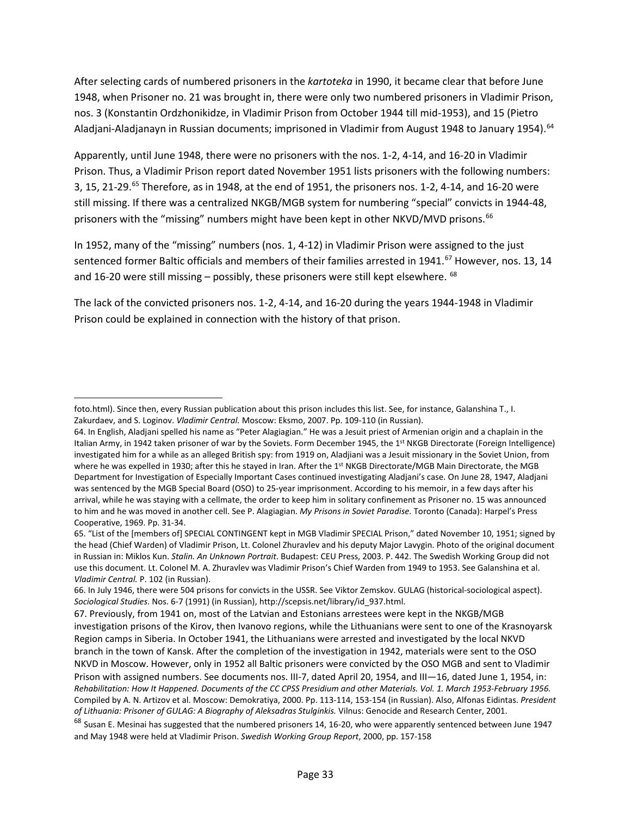After selecting cards of numbered prisoners in the *kartoteka* in 1990, it became clear that before June 1948, when Prisoner no. 21 was brought in, there were only two numbered prisoners in Vladimir Prison, nos. 3 (Konstantin Ordzhonikidze, in Vladimir Prison from October 1944 till mid-1953), and 15 (Pietro Aladjani-Aladjanayn in Russian documents; imprisoned in Vladimir from August 1948 to January 1954). [64](#page-32-0)

Apparently, until June 1948, there were no prisoners with the nos. 1-2, 4-14, and 16-20 in Vladimir Prison. Thus, a Vladimir Prison report dated November 1951 lists prisoners with the following numbers: 3, 15, 21-29.[65](#page-32-1) Therefore, as in 1948, at the end of 1951, the prisoners nos. 1-2, 4-14, and 16-20 were still missing. If there was a centralized NKGB/MGB system for numbering "special" convicts in 1944-48, prisoners with the "missing" numbers might have been kept in other NKVD/MVD prisons.<sup>[66](#page-32-2)</sup>

In 1952, many of the "missing" numbers (nos. 1, 4-12) in Vladimir Prison were assigned to the just sentenced former Baltic officials and members of their families arrested in 1941.<sup>[67](#page-32-3)</sup> However, nos. 13, 14 and 16-20 were still missing – possibly, these prisoners were still kept elsewhere.  $68$ 

The lack of the convicted prisoners nos. 1-2, 4-14, and 16-20 during the years 1944-1948 in Vladimir Prison could be explained in connection with the history of that prison.

l

foto.html). Since then, every Russian publication about this prison includes this list. See, for instance, Galanshina T., I. Zakurdaev, and S. Loginov. *Vladimir Central.* Moscow: Eksmo, 2007. Pp. 109-110 (in Russian).

<span id="page-32-0"></span><sup>64.</sup> In English, Aladjani spelled his name as "Peter Alagiagian." He was a Jesuit priest of Armenian origin and a chaplain in the Italian Army, in 1942 taken prisoner of war by the Soviets. Form December 1945, the 1<sup>st</sup> NKGB Directorate (Foreign Intelligence) investigated him for a while as an alleged British spy: from 1919 on, Aladjiani was a Jesuit missionary in the Soviet Union, from where he was expelled in 1930; after this he stayed in Iran. After the 1st NKGB Directorate/MGB Main Directorate, the MGB Department for Investigation of Especially Important Cases continued investigating Aladjani's case. On June 28, 1947, Aladjani was sentenced by the MGB Special Board (OSO) to 25-year imprisonment. According to his memoir, in a few days after his arrival, while he was staying with a cellmate, the order to keep him in solitary confinement as Prisoner no. 15 was announced to him and he was moved in another cell. See P. Alagiagian. *My Prisons in Soviet Paradise.* Toronto (Canada): Harpel's Press Cooperative, 1969. Pp. 31-34.

<span id="page-32-1"></span><sup>65. &</sup>quot;List of the [members of] SPECIAL CONTINGENT kept in MGB Vladimir SPECIAL Prison," dated November 10, 1951; signed by the head (Chief Warden) of Vladimir Prison, Lt. Colonel Zhuravlev and his deputy Major Lavygin. Photo of the original document in Russian in: Miklos Kun. *Stalin. An Unknown Portrait*. Budapest: CEU Press, 2003. P. 442. The Swedish Working Group did not use this document. Lt. Colonel M. A. Zhuravlev was Vladimir Prison's Chief Warden from 1949 to 1953. See Galanshina et al. *Vladimir Central.* P. 102 (in Russian).

<span id="page-32-2"></span><sup>66.</sup> In July 1946, there were 504 prisons for convicts in the USSR. See Viktor Zemskov. GULAG (historical-sociological aspect). *Sociological Studies*. Nos. 6-7 (1991) (in Russian), [http://scepsis.net/library/id\\_937.html.](http://scepsis.net/library/id_937.html)

<span id="page-32-3"></span><sup>67.</sup> Previously, from 1941 on, most of the Latvian and Estonians arrestees were kept in the NKGB/MGB investigation prisons of the Kirov, then Ivanovo regions, while the Lithuanians were sent to one of the Krasnoyarsk Region camps in Siberia. In October 1941, the Lithuanians were arrested and investigated by the local NKVD branch in the town of Kansk. After the completion of the investigation in 1942, materials were sent to the OSO NKVD in Moscow. However, only in 1952 all Baltic prisoners were convicted by the OSO MGB and sent to Vladimir Prison with assigned numbers. See documents nos. III-7, dated April 20, 1954, and III—16, dated June 1, 1954, in: *Rehabilitation: How It Happened. Documents of the CC CPSS Presidium and other Materials. Vol. 1. March 1953-February 1956.* Compiled by A. N. Artizov et al. Moscow: Demokratiya, 2000. Pp. 113-114, 153-154 (in Russian). Also, Alfonas Eidintas. *President of Lithuania: Prisoner of GULAG: A Biography of Aleksadras Stulginkis.* Vilnus: Genocide and Research Center, 2001.

<span id="page-32-4"></span><sup>&</sup>lt;sup>68</sup> Susan E. Mesinai has suggested that the numbered prisoners 14, 16-20, who were apparently sentenced between June 1947 and May 1948 were held at Vladimir Prison. *Swedish Working Group Report*, 2000, pp. 157-158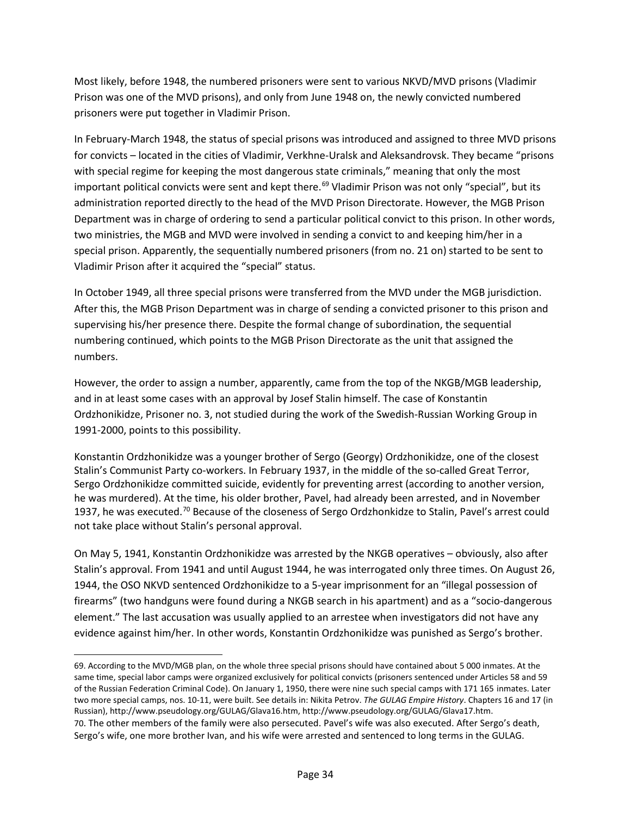Most likely, before 1948, the numbered prisoners were sent to various NKVD/MVD prisons (Vladimir Prison was one of the MVD prisons), and only from June 1948 on, the newly convicted numbered prisoners were put together in Vladimir Prison.

In February-March 1948, the status of special prisons was introduced and assigned to three MVD prisons for convicts – located in the cities of Vladimir, Verkhne-Uralsk and Aleksandrovsk. They became "prisons with special regime for keeping the most dangerous state criminals," meaning that only the most important political convicts were sent and kept there.<sup>69</sup> Vladimir Prison was not only "special", but its administration reported directly to the head of the MVD Prison Directorate. However, the MGB Prison Department was in charge of ordering to send a particular political convict to this prison. In other words, two ministries, the MGB and MVD were involved in sending a convict to and keeping him/her in a special prison. Apparently, the sequentially numbered prisoners (from no. 21 on) started to be sent to Vladimir Prison after it acquired the "special" status.

In October 1949, all three special prisons were transferred from the MVD under the MGB jurisdiction. After this, the MGB Prison Department was in charge of sending a convicted prisoner to this prison and supervising his/her presence there. Despite the formal change of subordination, the sequential numbering continued, which points to the MGB Prison Directorate as the unit that assigned the numbers.

However, the order to assign a number, apparently, came from the top of the NKGB/MGB leadership, and in at least some cases with an approval by Josef Stalin himself. The case of Konstantin Ordzhonikidze, Prisoner no. 3, not studied during the work of the Swedish-Russian Working Group in 1991-2000, points to this possibility.

Konstantin Ordzhonikidze was a younger brother of Sergo (Georgy) Ordzhonikidze, one of the closest Stalin's Communist Party co-workers. In February 1937, in the middle of the so-called Great Terror, Sergo Ordzhonikidze committed suicide, evidently for preventing arrest (according to another version, he was murdered). At the time, his older brother, Pavel, had already been arrested, and in November 1937, he was executed.<sup>[70](#page-33-1)</sup> Because of the closeness of Sergo Ordzhonkidze to Stalin, Pavel's arrest could not take place without Stalin's personal approval.

On May 5, 1941, Konstantin Ordzhonikidze was arrested by the NKGB operatives – obviously, also after Stalin's approval. From 1941 and until August 1944, he was interrogated only three times. On August 26, 1944, the OSO NKVD sentenced Ordzhonikidze to a 5-year imprisonment for an "illegal possession of firearms" (two handguns were found during a NKGB search in his apartment) and as a "socio-dangerous element." The last accusation was usually applied to an arrestee when investigators did not have any evidence against him/her. In other words, Konstantin Ordzhonikidze was punished as Sergo's brother.

l

<span id="page-33-1"></span><span id="page-33-0"></span><sup>69.</sup> According to the MVD/MGB plan, on the whole three special prisons should have contained about 5 000 inmates. At the same time, special labor camps were organized exclusively for political convicts (prisoners sentenced under Articles 58 and 59 of the Russian Federation Criminal Code). On January 1, 1950, there were nine such special camps with 171 165 inmates. Later two more special camps, nos. 10-11, were built. See details in: Nikita Petrov. *The GULAG Empire History*. Chapters 16 and 17 (in Russian), [http://www.pseudology.org/GULAG/Glava16.htm,](http://www.pseudology.org/GULAG/Glava16.htm) http://www.pseudology.org/GULAG/Glava17.htm. 70. The other members of the family were also persecuted. Pavel's wife was also executed. After Sergo's death, Sergo's wife, one more brother Ivan, and his wife were arrested and sentenced to long terms in the GULAG.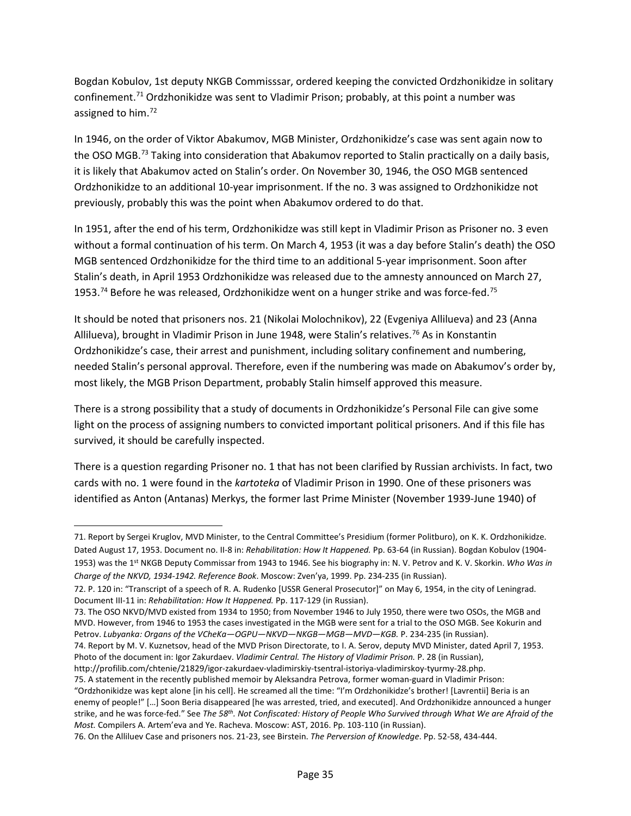Bogdan Kobulov, 1st deputy NKGB Commisssar, ordered keeping the convicted Ordzhonikidze in solitary confinement.<sup>71</sup> Ordzhonikidze was sent to Vladimir Prison; probably, at this point a number was assigned to him.<sup>72</sup>

In 1946, on the order of Viktor Abakumov, MGB Minister, Ordzhonikidze's case was sent again now to the OSO MGB.<sup>[73](#page-34-2)</sup> Taking into consideration that Abakumov reported to Stalin practically on a daily basis, it is likely that Abakumov acted on Stalin's order. On November 30, 1946, the OSO MGB sentenced Ordzhonikidze to an additional 10-year imprisonment. If the no. 3 was assigned to Ordzhonikidze not previously, probably this was the point when Abakumov ordered to do that.

In 1951, after the end of his term, Ordzhonikidze was still kept in Vladimir Prison as Prisoner no. 3 even without a formal continuation of his term. On March 4, 1953 (it was a day before Stalin's death) the OSO MGB sentenced Ordzhonikidze for the third time to an additional 5-year imprisonment. Soon after Stalin's death, in April 1953 Ordzhonikidze was released due to the amnesty announced on March 27, 1953.<sup>[74](#page-34-3)</sup> Before he was released, Ordzhonikidze went on a hunger strike and was force-fed.<sup>[75](#page-34-4)</sup>

It should be noted that prisoners nos. 21 (Nikolai Molochnikov), 22 (Evgeniya Allilueva) and 23 (Anna Allilueva), brought in Vladimir Prison in June 1948, were Stalin's relatives.<sup>[76](#page-34-5)</sup> As in Konstantin Ordzhonikidze's case, their arrest and punishment, including solitary confinement and numbering, needed Stalin's personal approval. Therefore, even if the numbering was made on Abakumov's order by, most likely, the MGB Prison Department, probably Stalin himself approved this measure.

There is a strong possibility that a study of documents in Ordzhonikidze's Personal File can give some light on the process of assigning numbers to convicted important political prisoners. And if this file has survived, it should be carefully inspected.

There is a question regarding Prisoner no. 1 that has not been clarified by Russian archivists. In fact, two cards with no. 1 were found in the *kartoteka* of Vladimir Prison in 1990. One of these prisoners was identified as Anton (Antanas) Merkys, the former last Prime Minister (November 1939-June 1940) of

 $\overline{a}$ 

<span id="page-34-0"></span><sup>71.</sup> Report by Sergei Kruglov, MVD Minister, to the Central Committee's Presidium (former Politburo), on K. K. Ordzhonikidze. Dated August 17, 1953. Document no. II-8 in: *Rehabilitation: How It Happened.* Pp. 63-64 (in Russian). Bogdan Kobulov (1904- 1953) was the 1st NKGB Deputy Commissar from 1943 to 1946. See his biography in: N. V. Petrov and K. V. Skorkin. *Who Was in Charge of the NKVD, 1934-1942. Reference Book*. Moscow: Zven'ya, 1999. Pp. 234-235 (in Russian).

<span id="page-34-1"></span><sup>72.</sup> P. 120 in: "Transcript of a speech of R. A. Rudenko [USSR General Prosecutor]" on May 6, 1954, in the city of Leningrad. Document III-11 in: *Rehabilitation: How It Happened.* Pp. 117-129 (in Russian).

<span id="page-34-2"></span><sup>73.</sup> The OSO NKVD/MVD existed from 1934 to 1950; from November 1946 to July 1950, there were two OSOs, the MGB and MVD. However, from 1946 to 1953 the cases investigated in the MGB were sent for a trial to the OSO MGB. See Kokurin and Petrov. Lubyanka: Organs of the VCheKa-OGPU-NKVD-NKGB-MGB-MVD-KGB. P. 234-235 (in Russian).

<span id="page-34-3"></span><sup>74.</sup> Report by M. V. Kuznetsov, head of the MVD Prison Directorate, to I. A. Serov, deputy MVD Minister, dated April 7, 1953. Photo of the document in: Igor Zakurdaev. *Vladimir Central. The History of Vladimir Prison.* P. 28 (in Russian),

http://profilib.com/chtenie/21829/igor-zakurdaev-vladimirskiy-tsentral-istoriya-vladimirskoy-tyurmy-28.php.

<span id="page-34-4"></span><sup>75.</sup> A statement in the recently published memoir by Aleksandra Petrova, former woman-guard in Vladimir Prison:

<sup>&</sup>quot;Ordzhonikidze was kept alone [in his cell]. He screamed all the time: "I'm Ordzhonikidze's brother! [Lavrentii] Beria is an enemy of people!" […] Soon Beria disappeared [he was arrested, tried, and executed]. And Ordzhonikidze announced a hunger strike, and he was force-fed." See *The 58th. Not Confiscated: History of People Who Survived through What We are Afraid of the Most.* Compilers A. Artem'eva and Ye. Racheva. Moscow: AST, 2016. Pp. 103-110 (in Russian).

<span id="page-34-5"></span><sup>76.</sup> On the Alliluev Case and prisoners nos. 21-23, see Birstein. *The Perversion of Knowledge*. Pp. 52-58, 434-444.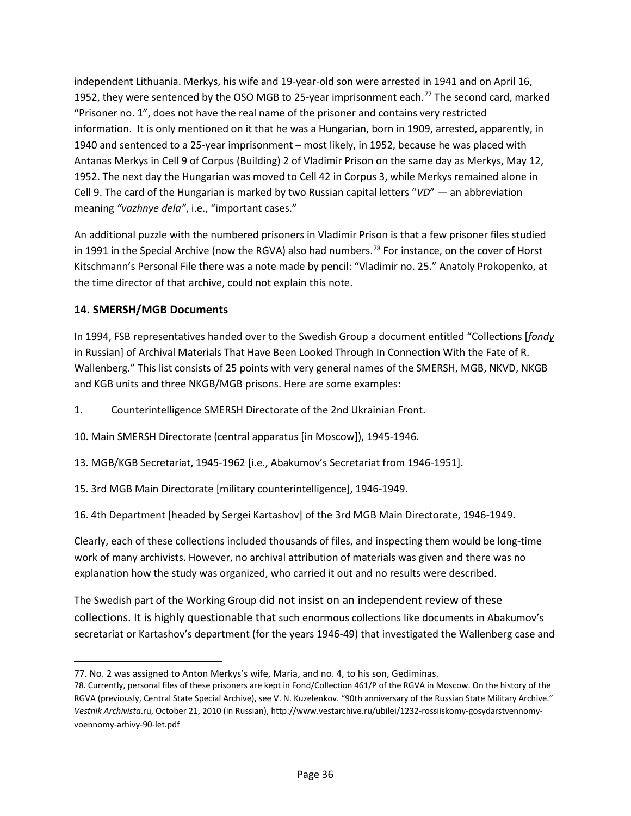independent Lithuania. Merkys, his wife and 19-year-old son were arrested in 1941 and on April 16, 1952, they were sentenced by the OSO MGB to 25-year imprisonment each.<sup>[77](#page-35-0)</sup> The second card, marked "Prisoner no. 1", does not have the real name of the prisoner and contains very restricted information. It is only mentioned on it that he was a Hungarian, born in 1909, arrested, apparently, in 1940 and sentenced to a 25-year imprisonment – most likely, in 1952, because he was placed with Antanas Merkys in Cell 9 of Corpus (Building) 2 of Vladimir Prison on the same day as Merkys, May 12, 1952. The next day the Hungarian was moved to Cell 42 in Corpus 3, while Merkys remained alone in Cell 9. The card of the Hungarian is marked by two Russian capital letters "*VD*" *—* an abbreviation meaning *"vazhnye dela"*, i.e., "important cases."

An additional puzzle with the numbered prisoners in Vladimir Prison is that a few prisoner files studied in 1991 in the Special Archive (now the RGVA) also had numbers.<sup>78</sup> For instance, on the cover of Horst Kitschmann's Personal File there was a note made by pencil: "Vladimir no. 25." Anatoly Prokopenko, at the time director of that archive, could not explain this note.

# **14. SMERSH/MGB Documents**

 $\overline{a}$ 

In 1994, FSB representatives handed over to the Swedish Group a document entitled "Collections [*fondy* in Russian] of Archival Materials That Have Been Looked Through In Connection With the Fate of R. Wallenberg." This list consists of 25 points with very general names of the SMERSH, MGB, NKVD, NKGB and KGB units and three NKGB/MGB prisons. Here are some examples:

1. Counterintelligence SMERSH Directorate of the 2nd Ukrainian Front.

10. Main SMERSH Directorate (central apparatus [in Moscow]), 1945-1946.

13. MGB/KGB Secretariat, 1945-1962 [i.e., Abakumov's Secretariat from 1946-1951].

15. 3rd MGB Main Directorate [military counterintelligence], 1946-1949.

16. 4th Department [headed by Sergei Kartashov] of the 3rd MGB Main Directorate, 1946-1949.

Clearly, each of these collections included thousands of files, and inspecting them would be long-time work of many archivists. However, no archival attribution of materials was given and there was no explanation how the study was organized, who carried it out and no results were described.

The Swedish part of the Working Group did not insist on an independent review of these collections. It is highly questionable that such enormous collections like documents in Abakumov's secretariat or Kartashov's department (for the years 1946-49) that investigated the Wallenberg case and

<span id="page-35-0"></span><sup>77.</sup> No. 2 was assigned to Anton Merkys's wife, Maria, and no. 4, to his son, Gediminas.

<span id="page-35-1"></span><sup>78.</sup> Currently, personal files of these prisoners are kept in Fond/Collection 461/P of the RGVA in Moscow. On the history of the RGVA (previously, Central State Special Archive), see V. N. Kuzelenkov. "90th anniversary of the Russian State Military Archive." *Vestnik Archivista*.ru, October 21, 2010 (in Russian), http://www.vestarchive.ru/ubilei/1232-rossiiskomy-gosydarstvennomyvoennomy-arhivy-90-let.pdf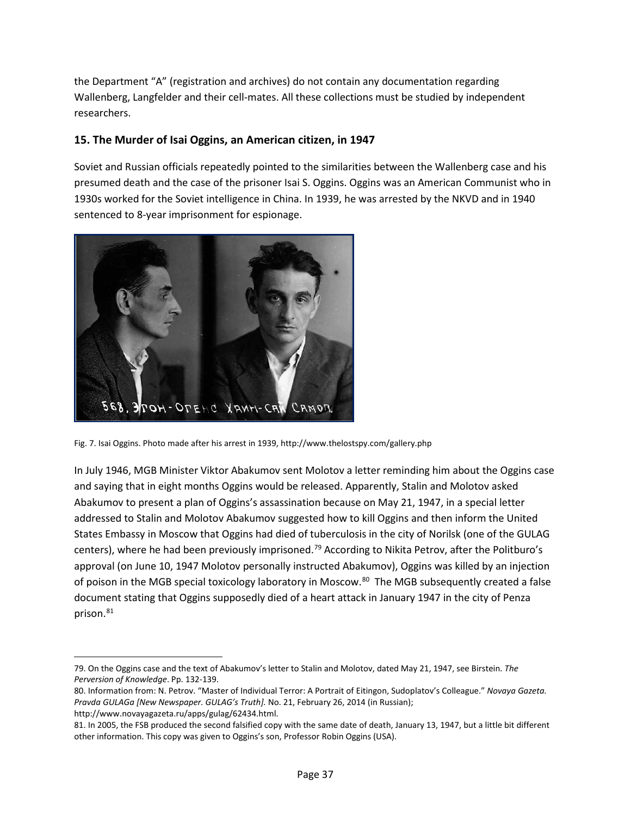the Department "A" (registration and archives) do not contain any documentation regarding Wallenberg, Langfelder and their cell-mates. All these collections must be studied by independent researchers.

#### **15. The Murder of Isai Oggins, an American citizen, in 1947**

Soviet and Russian officials repeatedly pointed to the similarities between the Wallenberg case and his presumed death and the case of the prisoner Isai S. Oggins. Oggins was an American Communist who in 1930s worked for the Soviet intelligence in China. In 1939, he was arrested by the NKVD and in 1940 sentenced to 8-year imprisonment for espionage.



Fig. 7. Isai Oggins. Photo made after his arrest in 1939, <http://www.thelostspy.com/gallery.php>

In July 1946, MGB Minister Viktor Abakumov sent Molotov a letter reminding him about the Oggins case and saying that in eight months Oggins would be released. Apparently, Stalin and Molotov asked Abakumov to present a plan of Oggins's assassination because on May 21, 1947, in a special letter addressed to Stalin and Molotov Abakumov suggested how to kill Oggins and then inform the United States Embassy in Moscow that Oggins had died of tuberculosis in the city of Norilsk (one of the GULAG centers), where he had been previously imprisoned.<sup>[79](#page-36-0)</sup> According to Nikita Petrov, after the Politburo's approval (on June 10, 1947 Molotov personally instructed Abakumov), Oggins was killed by an injection of poison in the MGB special toxicology laboratory in Moscow.<sup>[80](#page-36-1)</sup> The MGB subsequently created a false document stating that Oggins supposedly died of a heart attack in January 1947 in the city of Penza prison.<sup>[81](#page-36-2)</sup>

 $\overline{\phantom{a}}$ 

<span id="page-36-0"></span><sup>79.</sup> On the Oggins case and the text of Abakumov's letter to Stalin and Molotov, dated May 21, 1947, see Birstein. *The Perversion of Knowledge*. Pp. 132-139.

<span id="page-36-1"></span><sup>80.</sup> Information from: N. Petrov. "Master of Individual Terror: A Portrait of Eitingon, Sudoplatov's Colleague." *Novaya Gazeta. Pravda GULAGa [New Newspaper. GULAG's Truth].* No. 21, February 26, 2014 (in Russian);

[http://www.novayagazeta.ru/apps/gulag/62434.html.](http://www.novayagazeta.ru/apps/gulag/62434.html)

<span id="page-36-2"></span><sup>81.</sup> In 2005, the FSB produced the second falsified copy with the same date of death, January 13, 1947, but a little bit different other information. This copy was given to Oggins's son, Professor Robin Oggins (USA).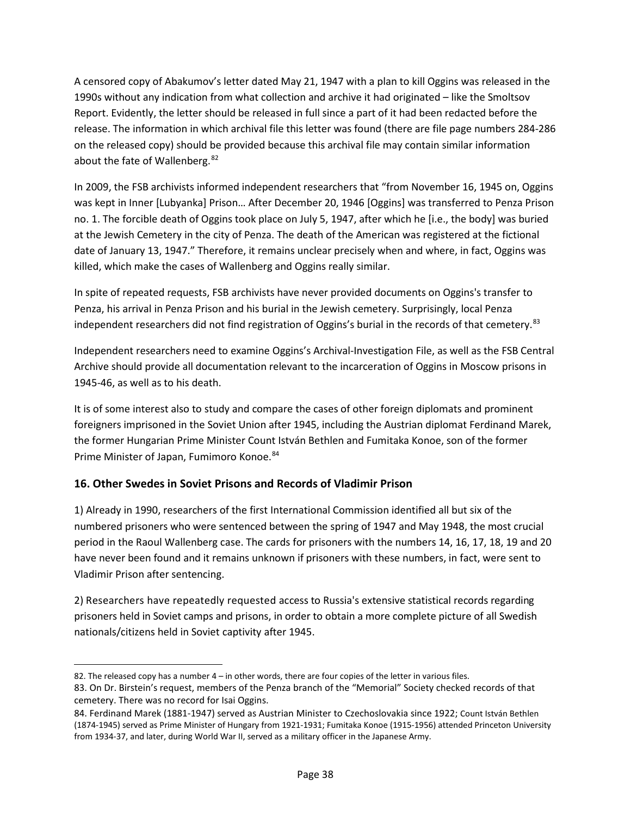A censored copy of Abakumov's letter dated May 21, 1947 with a plan to kill Oggins was released in the 1990s without any indication from what collection and archive it had originated – like the Smoltsov Report. Evidently, the letter should be released in full since a part of it had been redacted before the release. The information in which archival file this letter was found (there are file page numbers 284-286 on the released copy) should be provided because this archival file may contain similar information about the fate of Wallenberg.<sup>[82](#page-37-0)</sup>

In 2009, the FSB archivists informed independent researchers that "from November 16, 1945 on, Oggins was kept in Inner [Lubyanka] Prison… After December 20, 1946 [Oggins] was transferred to Penza Prison no. 1. The forcible death of Oggins took place on July 5, 1947, after which he [i.e., the body] was buried at the Jewish Cemetery in the city of Penza. The death of the American was registered at the fictional date of January 13, 1947." Therefore, it remains unclear precisely when and where, in fact, Oggins was killed, which make the cases of Wallenberg and Oggins really similar.

In spite of repeated requests, FSB archivists have never provided documents on Oggins's transfer to Penza, his arrival in Penza Prison and his burial in the Jewish cemetery. Surprisingly, local Penza independent researchers did not find registration of Oggins's burial in the records of that cemetery.<sup>[83](#page-37-1)</sup>

Independent researchers need to examine Oggins's Archival-Investigation File, as well as the FSB Central Archive should provide all documentation relevant to the incarceration of Oggins in Moscow prisons in 1945-46, as well as to his death.

It is of some interest also to study and compare the cases of other foreign diplomats and prominent foreigners imprisoned in the Soviet Union after 1945, including the Austrian diplomat Ferdinand Marek, the former Hungarian Prime Minister Count István Bethlen and Fumitaka Konoe, son of the former Prime Minister of Japan, Fumimoro Konoe.<sup>[84](#page-37-2)</sup>

# **16. Other Swedes in Soviet Prisons and Records of Vladimir Prison**

1) Already in 1990, researchers of the first International Commission identified all but six of the numbered prisoners who were sentenced between the spring of 1947 and May 1948, the most crucial period in the Raoul Wallenberg case. The cards for prisoners with the numbers 14, 16, 17, 18, 19 and 20 have never been found and it remains unknown if prisoners with these numbers, in fact, were sent to Vladimir Prison after sentencing.

2) Researchers have repeatedly requested access to Russia's extensive statistical records regarding prisoners held in Soviet camps and prisons, in order to obtain a more complete picture of all Swedish nationals/citizens held in Soviet captivity after 1945.

<span id="page-37-0"></span>l 82. The released copy has a number 4 – in other words, there are four copies of the letter in various files.

<span id="page-37-1"></span><sup>83.</sup> On Dr. Birstein's request, members of the Penza branch of the "Memorial" Society checked records of that cemetery. There was no record for Isai Oggins.

<span id="page-37-2"></span><sup>84.</sup> Ferdinand Marek (1881-1947) served as Austrian Minister to Czechoslovakia since 1922; Count István Bethlen (1874-1945) served as Prime Minister of Hungary from 1921-1931; Fumitaka Konoe (1915-1956) attended Princeton University from 1934-37, and later, during World War II, served as a military officer in the Japanese Army.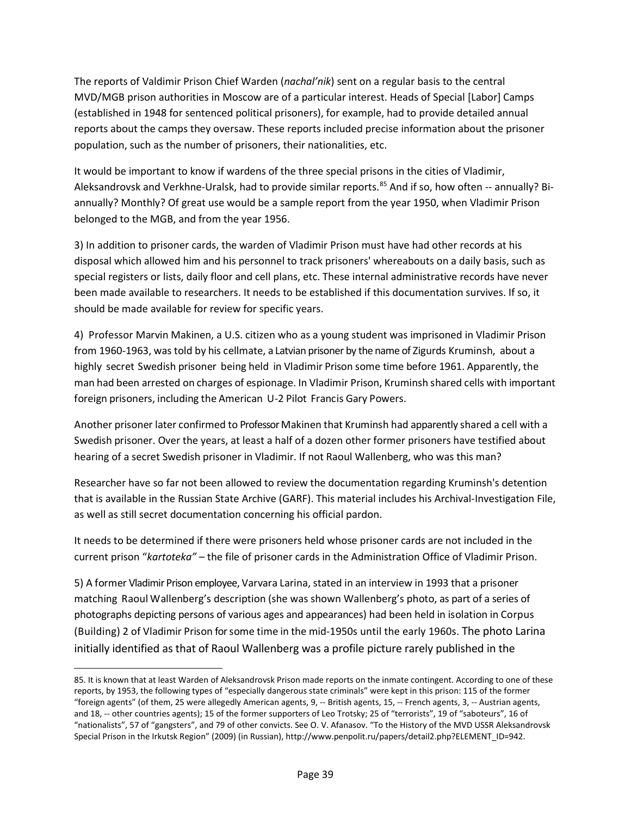The reports of Valdimir Prison Chief Warden (*nachal'nik*) sent on a regular basis to the central MVD/MGB prison authorities in Moscow are of a particular interest. Heads of Special [Labor] Camps (established in 1948 for sentenced political prisoners), for example, had to provide detailed annual reports about the camps they oversaw. These reports included precise information about the prisoner population, such as the number of prisoners, their nationalities, etc.

It would be important to know if wardens of the three special prisons in the cities of Vladimir, Aleksandrovsk and Verkhne-Uralsk, had to provide similar reports.<sup>[85](#page-38-0)</sup> And if so, how often -- annually? Biannually? Monthly? Of great use would be a sample report from the year 1950, when Vladimir Prison belonged to the MGB, and from the year 1956.

3) In addition to prisoner cards, the warden of Vladimir Prison must have had other records at his disposal which allowed him and his personnel to track prisoners' whereabouts on a daily basis, such as special registers or lists, daily floor and cell plans, etc. These internal administrative records have never been made available to researchers. It needs to be established if this documentation survives. If so, it should be made available for review for specific years.

4) Professor Marvin Makinen, a U.S. citizen who as a young student was imprisoned in Vladimir Prison from 1960-1963, was told by his cellmate, a Latvian prisoner by the name of Zigurds Kruminsh, about a highly secret Swedish prisoner being held in Vladimir Prison some time before 1961. Apparently, the man had been arrested on charges of espionage. In Vladimir Prison, Kruminsh shared cells with important foreign prisoners, including the American U-2 Pilot Francis Gary Powers.

Another prisoner later confirmed to Professor Makinen that Kruminsh had apparently shared a cell with a Swedish prisoner. Over the years, at least a half of a dozen other former prisoners have testified about hearing of a secret Swedish prisoner in Vladimir. If not Raoul Wallenberg, who was this man?

Researcher have so far not been allowed to review the documentation regarding Kruminsh's detention that is available in the Russian State Archive (GARF). This material includes his Archival-Investigation File, as well as still secret documentation concerning his official pardon.

It needs to be determined if there were prisoners held whose prisoner cards are not included in the current prison "*kartoteka"* – the file of prisoner cards in the Administration Office of Vladimir Prison.

5) A former Vladimir Prison employee, Varvara Larina, stated in an interview in 1993 that a prisoner matching Raoul Wallenberg's description (she was shown Wallenberg's photo, as part of a series of photographs depicting persons of various ages and appearances) had been held in isolation in Corpus (Building) 2 of Vladimir Prison for some time in the mid-1950s until the early 1960s. The photo Larina initially identified as that of Raoul Wallenberg was a profile picture rarely published in the

l

<span id="page-38-0"></span><sup>85.</sup> It is known that at least Warden of Aleksandrovsk Prison made reports on the inmate contingent. According to one of these reports, by 1953, the following types of "especially dangerous state criminals" were kept in this prison: 115 of the former "foreign agents" (of them, 25 were allegedly American agents, 9, -- British agents, 15, -- French agents, 3, -- Austrian agents, and 18, -- other countries agents); 15 of the former supporters of Leo Trotsky; 25 of "terrorists", 19 of "saboteurs", 16 of "nationalists", 57 of "gangsters", and 79 of other convicts. See O. V. Afanasov. "To the History of the MVD USSR Aleksandrovsk Special Prison in the Irkutsk Region" (2009) (in Russian)[, http://www.penpolit.ru/papers/detail2.php?ELEMENT\\_ID=942.](http://www.penpolit.ru/papers/detail2.php?ELEMENT_ID=942.)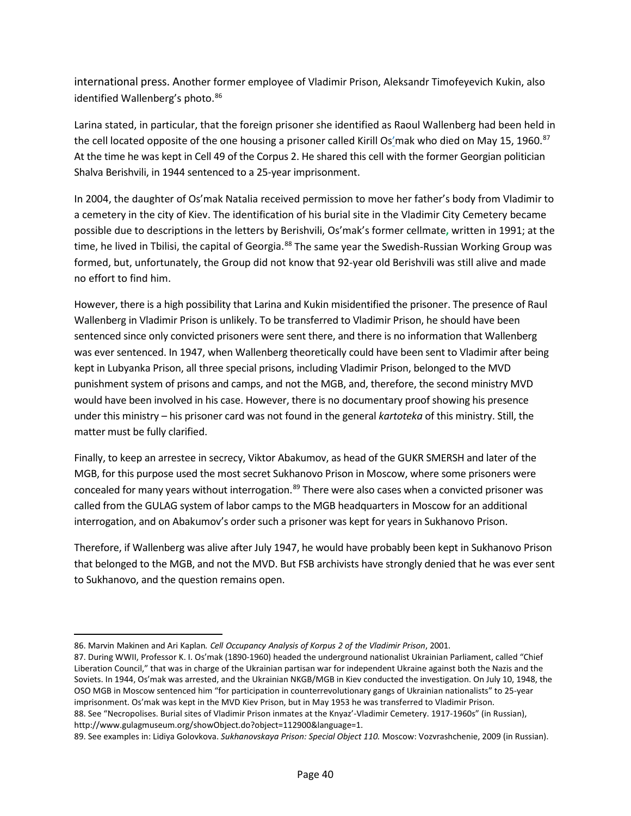international press. Another former employee of Vladimir Prison, Aleksandr Timofeyevich Kukin, also identified Wallenberg's photo.<sup>[86](#page-39-0)</sup>

Larina stated, in particular, that the foreign prisoner she identified as Raoul Wallenberg had been held in the cell located opposite of the one housing a prisoner called Kirill Os'mak who died on May 15, 1960.<sup>[87](#page-39-1)</sup> At the time he was kept in Cell 49 of the Corpus 2. He shared this cell with the former Georgian politician Shalva Berishvili, in 1944 sentenced to a 25-year imprisonment.

In 2004, the daughter of Os'mak Natalia received permission to move her father's body from Vladimir to a cemetery in the city of Kiev. The identification of his burial site in the Vladimir City Cemetery became possible due to descriptions in the letters by Berishvili, Os'mak's former cellmate**,** written in 1991; at the time, he lived in Tbilisi, the capital of Georgia.<sup>[88](#page-39-2)</sup> The same year the Swedish-Russian Working Group was formed, but, unfortunately, the Group did not know that 92-year old Berishvili was still alive and made no effort to find him.

However, there is a high possibility that Larina and Kukin misidentified the prisoner. The presence of Raul Wallenberg in Vladimir Prison is unlikely. To be transferred to Vladimir Prison, he should have been sentenced since only convicted prisoners were sent there, and there is no information that Wallenberg was ever sentenced. In 1947, when Wallenberg theoretically could have been sent to Vladimir after being kept in Lubyanka Prison, all three special prisons, including Vladimir Prison, belonged to the MVD punishment system of prisons and camps, and not the MGB, and, therefore, the second ministry MVD would have been involved in his case. However, there is no documentary proof showing his presence under this ministry – his prisoner card was not found in the general *kartoteka* of this ministry. Still, the matter must be fully clarified.

Finally, to keep an arrestee in secrecy, Viktor Abakumov, as head of the GUKR SMERSH and later of the MGB, for this purpose used the most secret Sukhanovo Prison in Moscow, where some prisoners were concealed for many years without interrogation.<sup>[89](#page-39-3)</sup> There were also cases when a convicted prisoner was called from the GULAG system of labor camps to the MGB headquarters in Moscow for an additional interrogation, and on Abakumov's order such a prisoner was kept for years in Sukhanovo Prison.

Therefore, if Wallenberg was alive after July 1947, he would have probably been kept in Sukhanovo Prison that belonged to the MGB, and not the MVD. But FSB archivists have strongly denied that he was ever sent to Sukhanovo, and the question remains open.

l

<span id="page-39-0"></span><sup>86.</sup> Marvin Makinen and Ari Kaplan*. Cell Occupancy Analysis of Korpus 2 of the Vladimir Prison*, 2001.

<span id="page-39-1"></span><sup>87.</sup> During WWII, Professor K. I. Os'mak (1890-1960) headed the underground nationalist Ukrainian Parliament, called "Chief Liberation Council," that was in charge of the Ukrainian partisan war for independent Ukraine against both the Nazis and the Soviets. In 1944, Os'mak was arrested, and the Ukrainian NKGB/MGB in Kiev conducted the investigation. On July 10, 1948, the OSO MGB in Moscow sentenced him "for participation in counterrevolutionary gangs of Ukrainian nationalists" to 25-year imprisonment. Os'mak was kept in the MVD Kiev Prison, but in May 1953 he was transferred to Vladimir Prison. 88. See "Necropolises. Burial sites of Vladimir Prison inmates at the Knyaz'-Vladimir Cemetery. 1917-1960s" (in Russian), [http://www.gulagmuseum.org/showObject.do?object=112900&language=1.](http://www.gulagmuseum.org/showObject.do?object=112900&language=1.In)

<span id="page-39-3"></span><span id="page-39-2"></span><sup>89.</sup> See examples in: Lidiya Golovkova. *Sukhanovskaya Prison: Special Object 110.* Moscow: Vozvrashchenie, 2009 (in Russian).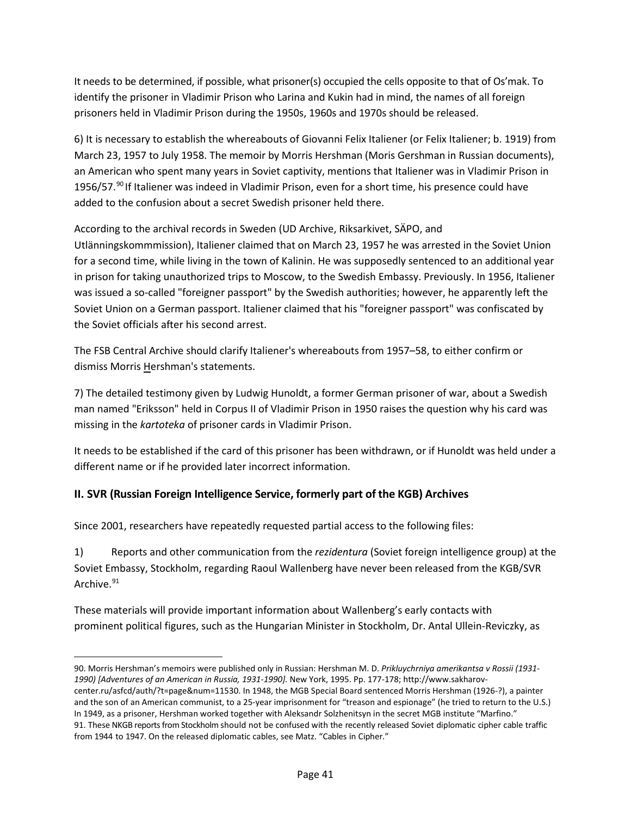It needs to be determined, if possible, what prisoner(s) occupied the cells opposite to that of Os'mak. To identify the prisoner in Vladimir Prison who Larina and Kukin had in mind, the names of all foreign prisoners held in Vladimir Prison during the 1950s, 1960s and 1970s should be released.

6) It is necessary to establish the whereabouts of Giovanni Felix Italiener (or Felix Italiener; b. 1919) from March 23, 1957 to July 1958. The memoir by Morris Hershman (Moris Gershman in Russian documents), an American who spent many years in Soviet captivity, mentions that Italiener was in Vladimir Prison in 1956/57.<sup>[90](#page-40-0)</sup> If Italiener was indeed in Vladimir Prison, even for a short time, his presence could have added to the confusion about a secret Swedish prisoner held there.

According to the archival records in Sweden (UD Archive, Riksarkivet, SÄPO, and

Utlänningskommmission), Italiener claimed that on March 23, 1957 he was arrested in the Soviet Union for a second time, while living in the town of Kalinin. He was supposedly sentenced to an additional year in prison for taking unauthorized trips to Moscow, to the Swedish Embassy. Previously. In 1956, Italiener was issued a so-called "foreigner passport" by the Swedish authorities; however, he apparently left the Soviet Union on a German passport. Italiener claimed that his "foreigner passport" was confiscated by the Soviet officials after his second arrest.

The FSB Central Archive should clarify Italiener's whereabouts from 1957–58, to either confirm or dismiss Morris Hershman's statements.

7) The detailed testimony given by Ludwig Hunoldt, a former German prisoner of war, about a Swedish man named "Eriksson" held in Corpus II of Vladimir Prison in 1950 raises the question why his card was missing in the *kartoteka* of prisoner cards in Vladimir Prison.

It needs to be established if the card of this prisoner has been withdrawn, or if Hunoldt was held under a different name or if he provided later incorrect information.

# **II. SVR (Russian Foreign Intelligence Service, formerly part of the KGB) Archives**

Since 2001, researchers have repeatedly requested partial access to the following files:

 $\overline{\phantom{a}}$ 

1) Reports and other communication from the *rezidentura* (Soviet foreign intelligence group) at the Soviet Embassy, Stockholm, regarding Raoul Wallenberg have never been released from the KGB/SVR Archive.<sup>[91](#page-40-1)</sup>

These materials will provide important information about Wallenberg's early contacts with prominent political figures, such as the Hungarian Minister in Stockholm, Dr. Antal Ullein-Reviczky, as

<span id="page-40-1"></span><span id="page-40-0"></span><sup>90.</sup> Morris Hershman's memoirs were published only in Russian: Hershman M. D. *Prikluychrniya amerikantsa v Rossii (1931- 1990) [Adventures of an American in Russia, 1931-1990].* New York, 1995. Pp. 177-178; http://www.sakharovcenter.ru/asfcd/auth/?t=page&num=11530. In 1948, the MGB Special Board sentenced Morris Hershman (1926-?), a painter and the son of an American communist, to a 25-year imprisonment for "treason and espionage" (he tried to return to the U.S.) In 1949, as a prisoner, Hershman worked together with Aleksandr Solzhenitsyn in the secret MGB institute "Marfino." 91. These NKGB reports from Stockholm should not be confused with the recently released Soviet diplomatic cipher cable traffic from 1944 to 1947. On the released diplomatic cables, see Matz. "Cables in Cipher."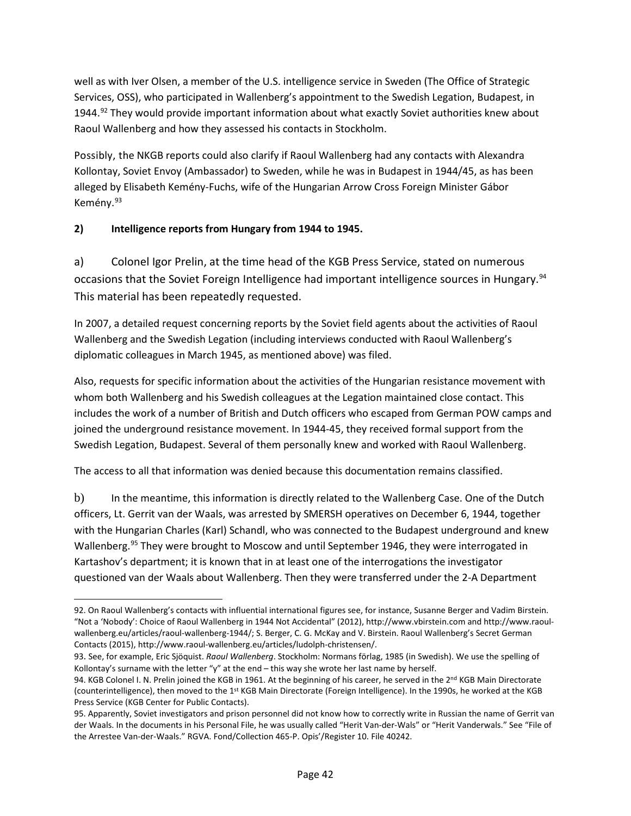well as with Iver Olsen, a member of the U.S. intelligence service in Sweden (The Office of Strategic Services, OSS), who participated in Wallenberg's appointment to the Swedish Legation, Budapest, in 1944.<sup>[92](#page-41-0)</sup> They would provide important information about what exactly Soviet authorities knew about Raoul Wallenberg and how they assessed his contacts in Stockholm.

Possibly, the NKGB reports could also clarify if Raoul Wallenberg had any contacts with Alexandra Kollontay, Soviet Envoy (Ambassador) to Sweden, while he was in Budapest in 1944/45, as has been alleged by Elisabeth Kemény-Fuchs, wife of the Hungarian Arrow Cross Foreign Minister Gábor Kemény. [93](#page-41-1)

#### **2) Intelligence reports from Hungary from 1944 to 1945.**

 $\overline{a}$ 

a) Colonel Igor Prelin, at the time head of the KGB Press Service, stated on numerous occasions that the Soviet Foreign Intelligence had important intelligence sources in Hungary[.94](#page-41-2) This material has been repeatedly requested.

In 2007, a detailed request concerning reports by the Soviet field agents about the activities of Raoul Wallenberg and the Swedish Legation (including interviews conducted with Raoul Wallenberg's diplomatic colleagues in March 1945, as mentioned above) was filed.

Also, requests for specific information about the activities of the Hungarian resistance movement with whom both Wallenberg and his Swedish colleagues at the Legation maintained close contact. This includes the work of a number of British and Dutch officers who escaped from German POW camps and joined the underground resistance movement. In 1944-45, they received formal support from the Swedish Legation, Budapest. Several of them personally knew and worked with Raoul Wallenberg.

The access to all that information was denied because this documentation remains classified.

b) In the meantime, this information is directly related to the Wallenberg Case. One of the Dutch officers, Lt. Gerrit van der Waals, was arrested by SMERSH operatives on December 6, 1944, together with the Hungarian Charles (Karl) Schandl, who was connected to the Budapest underground and knew Wallenberg.<sup>[95](#page-41-3)</sup> They were brought to Moscow and until September 1946, they were interrogated in Kartashov's department; it is known that in at least one of the interrogations the investigator questioned van der Waals about Wallenberg. Then they were transferred under the 2-A Department

<span id="page-41-0"></span><sup>92.</sup> On Raoul Wallenberg's contacts with influential international figures see, for instance, Susanne Berger and Vadim Birstein. "Not a 'Nobody': Choice of Raoul Wallenberg in 1944 Not Accidental" (2012)[, http://www.vbirstein.com](http://www.vbirstein.com/) an[d http://www.raoul](http://www.raoul-wallenberg.eu/articles/raoul-wallenberg-1944/)[wallenberg.eu/articles/raoul-wallenberg-1944/;](http://www.raoul-wallenberg.eu/articles/raoul-wallenberg-1944/) S. Berger, C. G. McKay and V. Birstein. Raoul Wallenberg's Secret German Contacts (2015), http://www.raoul-wallenberg.eu/articles/ludolph-christensen/.

<span id="page-41-1"></span><sup>93.</sup> See, for example, Eric Sjöquist. *Raoul Wallenberg*. Stockholm: Normans förlag, 1985 (in Swedish). We use the spelling of Kollontay's surname with the letter "y" at the end – this way she wrote her last name by herself.

<span id="page-41-2"></span><sup>94.</sup> KGB Colonel I. N. Prelin joined the KGB in 1961. At the beginning of his career, he served in the 2<sup>nd</sup> KGB Main Directorate (counterintelligence), then moved to the 1st KGB Main Directorate (Foreign Intelligence). In the 1990s, he worked at the KGB Press Service (KGB Center for Public Contacts).

<span id="page-41-3"></span><sup>95.</sup> Apparently, Soviet investigators and prison personnel did not know how to correctly write in Russian the name of Gerrit van der Waals. In the documents in his Personal File, he was usually called "Herit Van-der-Wals" or "Herit Vanderwals." See "File of the Arrestee Van-der-Waals." RGVA. Fond/Collection 465-P. Opis'/Register 10. File 40242.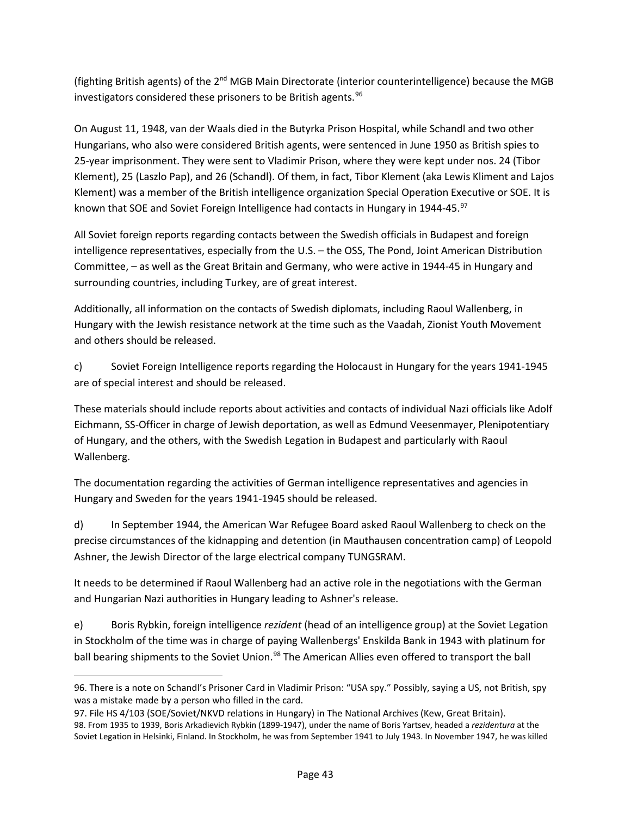(fighting British agents) of the  $2<sup>nd</sup> MGB$  Main Directorate (interior counterintelligence) because the MGB investigators considered these prisoners to be British agents.<sup>[96](#page-42-0)</sup>

On August 11, 1948, van der Waals died in the Butyrka Prison Hospital, while Schandl and two other Hungarians, who also were considered British agents, were sentenced in June 1950 as British spies to 25-year imprisonment. They were sent to Vladimir Prison, where they were kept under nos. 24 (Tibor Klement), 25 (Laszlo Pap), and 26 (Schandl). Of them, in fact, Tibor Klement (aka Lewis Kliment and Lajos Klement) was a member of the British intelligence organization Special Operation Executive or SOE. It is known that SOE and Soviet Foreign Intelligence had contacts in Hungary in 1944-45.[97](#page-42-1)

All Soviet foreign reports regarding contacts between the Swedish officials in Budapest and foreign intelligence representatives, especially from the U.S. – the OSS, The Pond, Joint American Distribution Committee, – as well as the Great Britain and Germany, who were active in 1944-45 in Hungary and surrounding countries, including Turkey, are of great interest.

Additionally, all information on the contacts of Swedish diplomats, including Raoul Wallenberg, in Hungary with the Jewish resistance network at the time such as the Vaadah, Zionist Youth Movement and others should be released.

c) Soviet Foreign Intelligence reports regarding the Holocaust in Hungary for the years 1941-1945 are of special interest and should be released.

These materials should include reports about activities and contacts of individual Nazi officials like Adolf Eichmann, SS-Officer in charge of Jewish deportation, as well as Edmund Veesenmayer, Plenipotentiary of Hungary, and the others, with the Swedish Legation in Budapest and particularly with Raoul Wallenberg.

The documentation regarding the activities of German intelligence representatives and agencies in Hungary and Sweden for the years 1941-1945 should be released.

d) In September 1944, the American War Refugee Board asked Raoul Wallenberg to check on the precise circumstances of the kidnapping and detention (in Mauthausen concentration camp) of Leopold Ashner, the Jewish Director of the large electrical company TUNGSRAM.

It needs to be determined if Raoul Wallenberg had an active role in the negotiations with the German and Hungarian Nazi authorities in Hungary leading to Ashner's release.

e) Boris Rybkin, foreign intelligence *rezident* (head of an intelligence group) at the Soviet Legation in Stockholm of the time was in charge of paying Wallenbergs' Enskilda Bank in 1943 with platinum for ball bearing shipments to the Soviet Union.<sup>[98](#page-42-2)</sup> The American Allies even offered to transport the ball

 $\overline{\phantom{a}}$ 

<span id="page-42-0"></span><sup>96.</sup> There is a note on Schandl's Prisoner Card in Vladimir Prison: "USA spy." Possibly, saying a US, not British, spy was a mistake made by a person who filled in the card.

<span id="page-42-2"></span><span id="page-42-1"></span><sup>97.</sup> File HS 4/103 (SOE/Soviet/NKVD relations in Hungary) in The National Archives (Kew, Great Britain). 98. From 1935 to 1939, Boris Arkadievich Rybkin (1899-1947), under the name of Boris Yartsev, headed a *rezidentura* at the Soviet Legation in Helsinki, Finland. In Stockholm, he was from September 1941 to July 1943. In November 1947, he was killed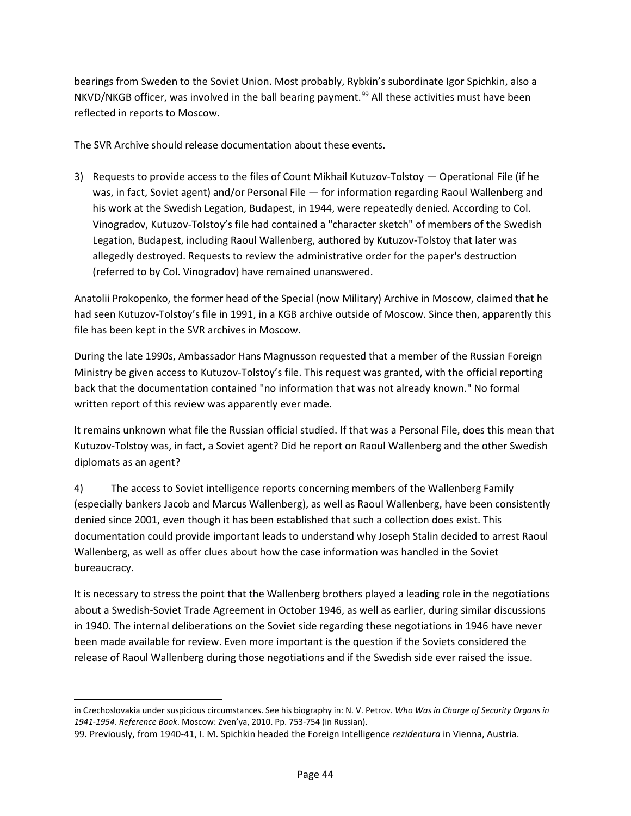bearings from Sweden to the Soviet Union. Most probably, Rybkin's subordinate Igor Spichkin, also a NKVD/NKGB officer, was involved in the ball bearing payment.<sup>[99](#page-43-0)</sup> All these activities must have been reflected in reports to Moscow.

The SVR Archive should release documentation about these events.

3) Requests to provide access to the files of Count Mikhail Kutuzov-Tolstoy — Operational File (if he was, in fact, Soviet agent) and/or Personal File — for information regarding Raoul Wallenberg and his work at the Swedish Legation, Budapest, in 1944, were repeatedly denied. According to Col. Vinogradov, Kutuzov-Tolstoy's file had contained a "character sketch" of members of the Swedish Legation, Budapest, including Raoul Wallenberg, authored by Kutuzov-Tolstoy that later was allegedly destroyed. Requests to review the administrative order for the paper's destruction (referred to by Col. Vinogradov) have remained unanswered.

Anatolii Prokopenko, the former head of the Special (now Military) Archive in Moscow, claimed that he had seen Kutuzov-Tolstoy's file in 1991, in a KGB archive outside of Moscow. Since then, apparently this file has been kept in the SVR archives in Moscow.

During the late 1990s, Ambassador Hans Magnusson requested that a member of the Russian Foreign Ministry be given access to Kutuzov-Tolstoy's file. This request was granted, with the official reporting back that the documentation contained "no information that was not already known." No formal written report of this review was apparently ever made.

It remains unknown what file the Russian official studied. If that was a Personal File, does this mean that Kutuzov-Tolstoy was, in fact, a Soviet agent? Did he report on Raoul Wallenberg and the other Swedish diplomats as an agent?

4) The access to Soviet intelligence reports concerning members of the Wallenberg Family (especially bankers Jacob and Marcus Wallenberg), as well as Raoul Wallenberg, have been consistently denied since 2001, even though it has been established that such a collection does exist. This documentation could provide important leads to understand why Joseph Stalin decided to arrest Raoul Wallenberg, as well as offer clues about how the case information was handled in the Soviet bureaucracy.

It is necessary to stress the point that the Wallenberg brothers played a leading role in the negotiations about a Swedish-Soviet Trade Agreement in October 1946, as well as earlier, during similar discussions in 1940. The internal deliberations on the Soviet side regarding these negotiations in 1946 have never been made available for review. Even more important is the question if the Soviets considered the release of Raoul Wallenberg during those negotiations and if the Swedish side ever raised the issue.

 $\overline{a}$ 

in Czechoslovakia under suspicious circumstances. See his biography in: N. V. Petrov. *Who Was in Charge of Security Organs in 1941-1954. Reference Book*. Moscow: Zven'ya, 2010. Pp. 753-754 (in Russian).

<span id="page-43-0"></span><sup>99.</sup> Previously, from 1940-41, I. M. Spichkin headed the Foreign Intelligence *rezidentura* in Vienna, Austria.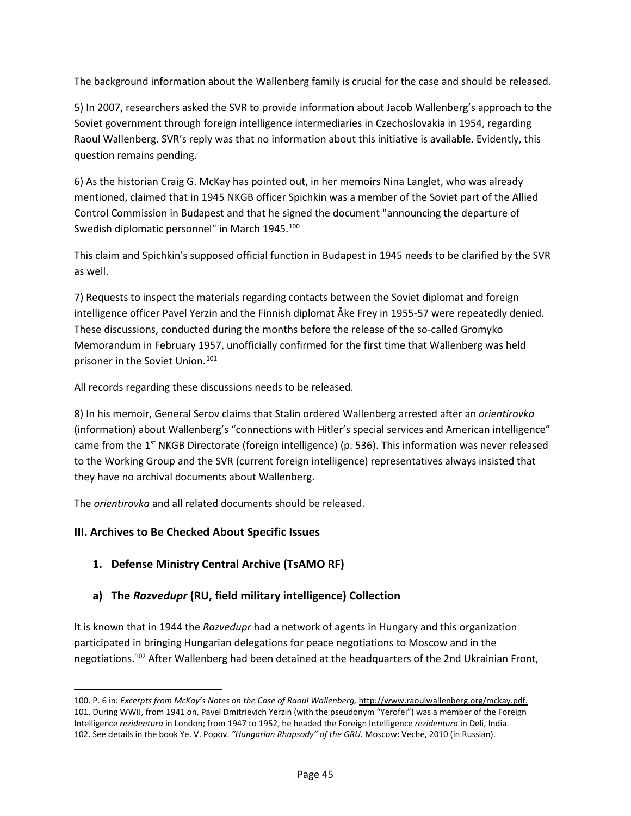The background information about the Wallenberg family is crucial for the case and should be released.

5) In 2007, researchers asked the SVR to provide information about Jacob Wallenberg's approach to the Soviet government through foreign intelligence intermediaries in Czechoslovakia in 1954, regarding Raoul Wallenberg. SVR's reply was that no information about this initiative is available. Evidently, this question remains pending.

6) As the historian Craig G. McKay has pointed out, in her memoirs Nina Langlet, who was already mentioned, claimed that in 1945 NKGB officer Spichkin was a member of the Soviet part of the Allied Control Commission in Budapest and that he signed the document "announcing the departure of Swedish diplomatic personnel" in March 1945.<sup>100</sup>

This claim and Spichkin's supposed official function in Budapest in 1945 needs to be clarified by the SVR as well.

7) Requests to inspect the materials regarding contacts between the Soviet diplomat and foreign intelligence officer Pavel Yerzin and the Finnish diplomat Åke Frey in 1955-57 were repeatedly denied. These discussions, conducted during the months before the release of the so-called Gromyko Memorandum in February 1957, unofficially confirmed for the first time that Wallenberg was held prisoner in the Soviet Union.[101](#page-44-1)

All records regarding these discussions needs to be released.

8) In his memoir, General Serov claims that Stalin ordered Wallenberg arrested after an *orientirovka* (information) about Wallenberg's "connections with Hitler's special services and American intelligence" came from the  $1<sup>st</sup>$  NKGB Directorate (foreign intelligence) (p. 536). This information was never released to the Working Group and the SVR (current foreign intelligence) representatives always insisted that they have no archival documents about Wallenberg.

The *orientirovka* and all related documents should be released.

# **III. Archives to Be Checked About Specific Issues**

l

# **1. Defense Ministry Central Archive (TsAMO RF)**

# **a) The** *Razvedupr* **(RU, field military intelligence) Collection**

It is known that in 1944 the *Razvedupr* had a network of agents in Hungary and this organization participated in bringing Hungarian delegations for peace negotiations to Moscow and in the negotiations.[102](#page-44-2) After Wallenberg had been detained at the headquarters of the 2nd Ukrainian Front,

<span id="page-44-2"></span><span id="page-44-1"></span><span id="page-44-0"></span><sup>100.</sup> P. 6 in: *Excerpts from McKay's Notes on the Case of Raoul Wallenberg,* [http://www.raoulwallenberg.org/mckay.pdf.](http://www.raoulwallenberg.org/mckay.pdf) 101. During WWII, from 1941 on, Pavel Dmitrievich Yerzin (with the pseudonym "Yerofei") was a member of the Foreign Intelligence *rezidentura* in London; from 1947 to 1952, he headed the Foreign Intelligence *rezidentura* in Deli, India. 102. See details in the book Ye. V. Popov. *"Hungarian Rhapsody" of the GRU*. Moscow: Veche, 2010 (in Russian).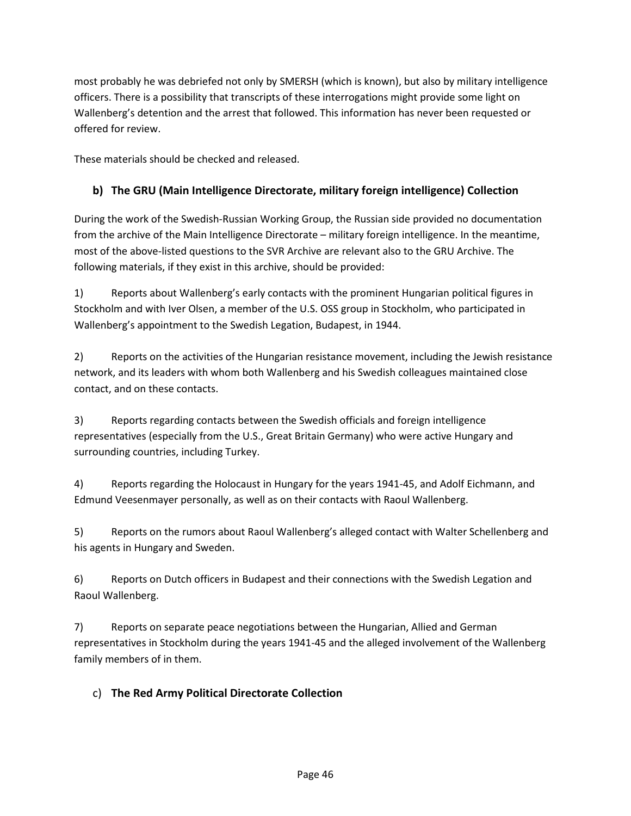most probably he was debriefed not only by SMERSH (which is known), but also by military intelligence officers. There is a possibility that transcripts of these interrogations might provide some light on Wallenberg's detention and the arrest that followed. This information has never been requested or offered for review.

These materials should be checked and released.

# **b) The GRU (Main Intelligence Directorate, military foreign intelligence) Collection**

During the work of the Swedish-Russian Working Group, the Russian side provided no documentation from the archive of the Main Intelligence Directorate – military foreign intelligence. In the meantime, most of the above-listed questions to the SVR Archive are relevant also to the GRU Archive. The following materials, if they exist in this archive, should be provided:

1) Reports about Wallenberg's early contacts with the prominent Hungarian political figures in Stockholm and with Iver Olsen, a member of the U.S. OSS group in Stockholm, who participated in Wallenberg's appointment to the Swedish Legation, Budapest, in 1944.

2) Reports on the activities of the Hungarian resistance movement, including the Jewish resistance network, and its leaders with whom both Wallenberg and his Swedish colleagues maintained close contact, and on these contacts.

3) Reports regarding contacts between the Swedish officials and foreign intelligence representatives (especially from the U.S., Great Britain Germany) who were active Hungary and surrounding countries, including Turkey.

4) Reports regarding the Holocaust in Hungary for the years 1941-45, and Adolf Eichmann, and Edmund Veesenmayer personally, as well as on their contacts with Raoul Wallenberg.

5) Reports on the rumors about Raoul Wallenberg's alleged contact with Walter Schellenberg and his agents in Hungary and Sweden.

6) Reports on Dutch officers in Budapest and their connections with the Swedish Legation and Raoul Wallenberg.

7) Reports on separate peace negotiations between the Hungarian, Allied and German representatives in Stockholm during the years 1941-45 and the alleged involvement of the Wallenberg family members of in them.

# c) **The Red Army Political Directorate Collection**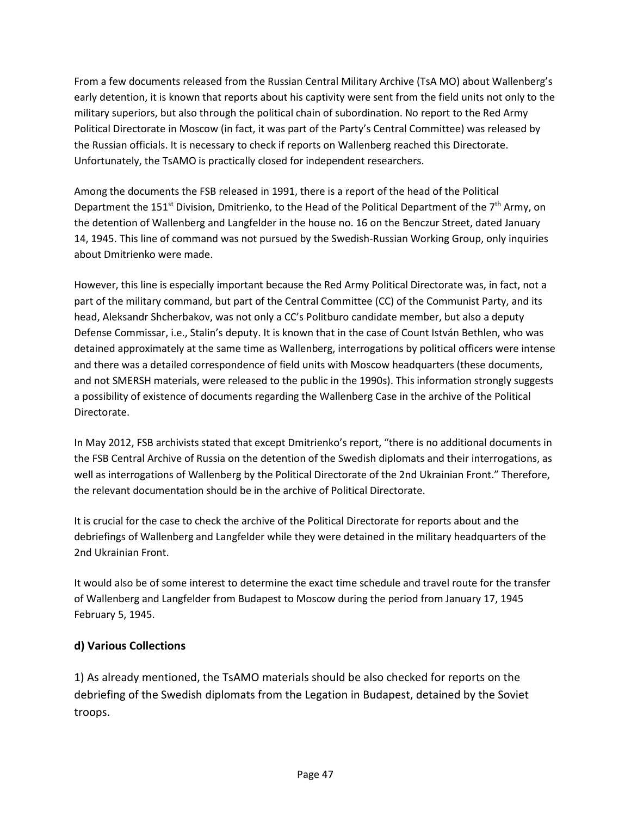From a few documents released from the Russian Central Military Archive (TsA MO) about Wallenberg's early detention, it is known that reports about his captivity were sent from the field units not only to the military superiors, but also through the political chain of subordination. No report to the Red Army Political Directorate in Moscow (in fact, it was part of the Party's Central Committee) was released by the Russian officials. It is necessary to check if reports on Wallenberg reached this Directorate. Unfortunately, the TsAMO is practically closed for independent researchers.

Among the documents the FSB released in 1991, there is a report of the head of the Political Department the 151<sup>st</sup> Division, Dmitrienko, to the Head of the Political Department of the 7<sup>th</sup> Army, on the detention of Wallenberg and Langfelder in the house no. 16 on the Benczur Street, dated January 14, 1945. This line of command was not pursued by the Swedish-Russian Working Group, only inquiries about Dmitrienko were made.

However, this line is especially important because the Red Army Political Directorate was, in fact, not a part of the military command, but part of the Central Committee (CC) of the Communist Party, and its head, Aleksandr Shcherbakov, was not only a CC's Politburo candidate member, but also a deputy Defense Commissar, i.e., Stalin's deputy. It is known that in the case of Count István Bethlen, who was detained approximately at the same time as Wallenberg, interrogations by political officers were intense and there was a detailed correspondence of field units with Moscow headquarters (these documents, and not SMERSH materials, were released to the public in the 1990s). This information strongly suggests a possibility of existence of documents regarding the Wallenberg Case in the archive of the Political Directorate.

In May 2012, FSB archivists stated that except Dmitrienko's report, "there is no additional documents in the FSB Central Archive of Russia on the detention of the Swedish diplomats and their interrogations, as well as interrogations of Wallenberg by the Political Directorate of the 2nd Ukrainian Front." Therefore, the relevant documentation should be in the archive of Political Directorate.

It is crucial for the case to check the archive of the Political Directorate for reports about and the debriefings of Wallenberg and Langfelder while they were detained in the military headquarters of the 2nd Ukrainian Front.

It would also be of some interest to determine the exact time schedule and travel route for the transfer of Wallenberg and Langfelder from Budapest to Moscow during the period from January 17, 1945 February 5, 1945.

# **d) Various Collections**

1) As already mentioned, the TsAMO materials should be also checked for reports on the debriefing of the Swedish diplomats from the Legation in Budapest, detained by the Soviet troops.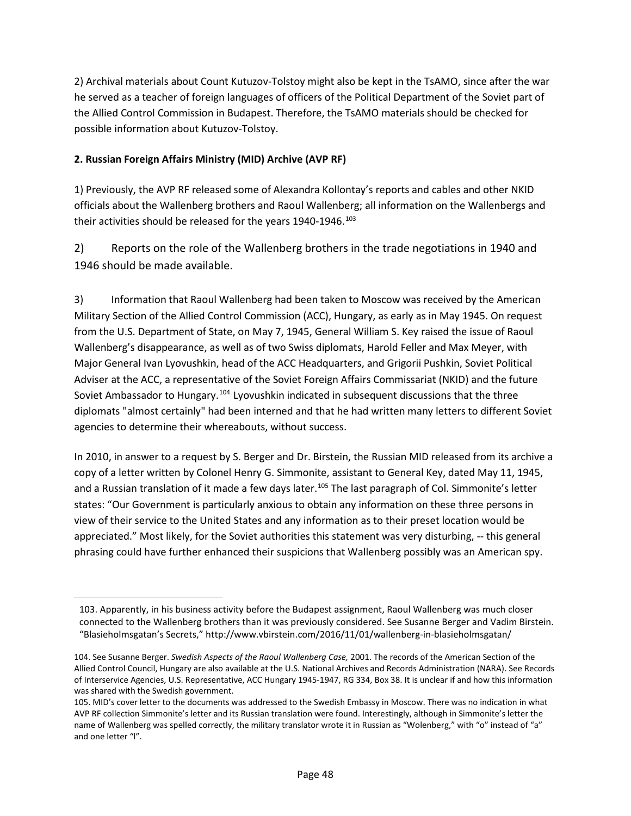2) Archival materials about Count Kutuzov-Tolstoy might also be kept in the TsAMO, since after the war he served as a teacher of foreign languages of officers of the Political Department of the Soviet part of the Allied Control Commission in Budapest. Therefore, the TsAMO materials should be checked for possible information about Kutuzov-Tolstoy.

#### **2. Russian Foreign Affairs Ministry (MID) Archive (AVP RF)**

<span id="page-47-0"></span> $\overline{a}$ 

1) Previously, the AVP RF released some of Alexandra Kollontay's reports and cables and other NKID officials about the Wallenberg brothers and Raoul Wallenberg; all information on the Wallenbergs and their activities should be released for the years  $1940-1946$ .<sup>[103](#page-47-0)</sup>

2) Reports on the role of the Wallenberg brothers in the trade negotiations in 1940 and 1946 should be made available.

3) Information that Raoul Wallenberg had been taken to Moscow was received by the American Military Section of the Allied Control Commission (ACC), Hungary, as early as in May 1945. On request from the U.S. Department of State, on May 7, 1945, General William S. Key raised the issue of Raoul Wallenberg's disappearance, as well as of two Swiss diplomats, Harold Feller and Max Meyer, with Major General Ivan Lyovushkin, head of the ACC Headquarters, and Grigorii Pushkin, Soviet Political Adviser at the ACC, a representative of the Soviet Foreign Affairs Commissariat (NKID) and the future Soviet Ambassador to Hungary.[104](#page-47-1) Lyovushkin indicated in subsequent discussions that the three diplomats "almost certainly" had been interned and that he had written many letters to different Soviet agencies to determine their whereabouts, without success.

In 2010, in answer to a request by S. Berger and Dr. Birstein, the Russian MID released from its archive a copy of a letter written by Colonel Henry G. Simmonite, assistant to General Key, dated May 11, 1945, and a Russian translation of it made a few days later.<sup>[105](#page-47-2)</sup> The last paragraph of Col. Simmonite's letter states: "Our Government is particularly anxious to obtain any information on these three persons in view of their service to the United States and any information as to their preset location would be appreciated." Most likely, for the Soviet authorities this statement was very disturbing, -- this general phrasing could have further enhanced their suspicions that Wallenberg possibly was an American spy.

<sup>103.</sup> Apparently, in his business activity before the Budapest assignment, Raoul Wallenberg was much closer connected to the Wallenberg brothers than it was previously considered. See Susanne Berger and Vadim Birstein. "Blasieholmsgatan's Secrets," http://www.vbirstein.com/2016/11/01/wallenberg-in-blasieholmsgatan/

<span id="page-47-1"></span><sup>104.</sup> See Susanne Berger. *Swedish Aspects of the Raoul Wallenberg Case,* 2001. The records of the American Section of the Allied Control Council, Hungary are also available at the U.S. National Archives and Records Administration (NARA). See Records of Interservice Agencies, U.S. Representative, ACC Hungary 1945-1947, RG 334, Box 38. It is unclear if and how this information was shared with the Swedish government.

<span id="page-47-2"></span><sup>105.</sup> MID's cover letter to the documents was addressed to the Swedish Embassy in Moscow. There was no indication in what AVP RF collection Simmonite's letter and its Russian translation were found. Interestingly, although in Simmonite's letter the name of Wallenberg was spelled correctly, the military translator wrote it in Russian as "Wolenberg," with "o" instead of "a" and one letter "l".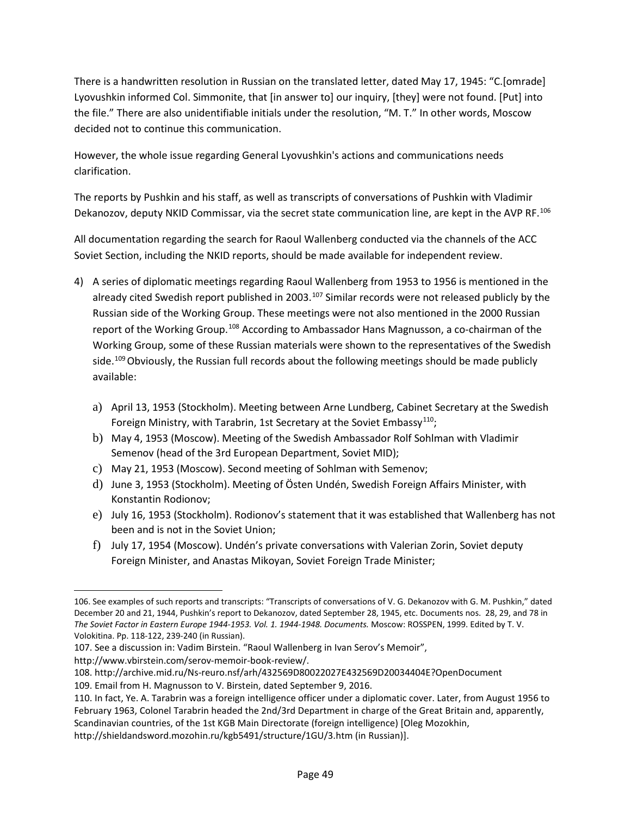There is a handwritten resolution in Russian on the translated letter, dated May 17, 1945: "C.[omrade] Lyovushkin informed Col. Simmonite, that [in answer to] our inquiry, [they] were not found. [Put] into the file." There are also unidentifiable initials under the resolution, "M. T." In other words, Moscow decided not to continue this communication.

However, the whole issue regarding General Lyovushkin's actions and communications needs clarification.

The reports by Pushkin and his staff, as well as transcripts of conversations of Pushkin with Vladimir Dekanozov, deputy NKID Commissar, via the secret state communication line, are kept in the AVP RF.<sup>[106](#page-48-0)</sup>

All documentation regarding the search for Raoul Wallenberg conducted via the channels of the ACC Soviet Section, including the NKID reports, should be made available for independent review.

- 4) A series of diplomatic meetings regarding Raoul Wallenberg from 1953 to 1956 is mentioned in the already cited Swedish report published in 2003.<sup>[107](#page-48-1)</sup> Similar records were not released publicly by the Russian side of the Working Group. These meetings were not also mentioned in the 2000 Russian report of the Working Group.<sup>[108](#page-48-2)</sup> According to Ambassador Hans Magnusson, a co-chairman of the Working Group, some of these Russian materials were shown to the representatives of the Swedish side.<sup>[109](#page-48-3)</sup> Obviously, the Russian full records about the following meetings should be made publicly available:
	- a) April 13, 1953 (Stockholm). Meeting between Arne Lundberg, Cabinet Secretary at the Swedish Foreign Ministry, with Tarabrin, 1st Secretary at the Soviet Embassy<sup>110</sup>;
	- b) May 4, 1953 (Moscow). Meeting of the Swedish Ambassador Rolf Sohlman with Vladimir Semenov (head of the 3rd European Department, Soviet MID);
	- c) May 21, 1953 (Moscow). Second meeting of Sohlman with Semenov;
	- d) June 3, 1953 (Stockholm). Meeting of Östen Undén, Swedish Foreign Affairs Minister, with Konstantin Rodionov;
	- e) July 16, 1953 (Stockholm). Rodionov's statement that it was established that Wallenberg has not been and is not in the Soviet Union;
	- f) July 17, 1954 (Moscow). Undén's private conversations with Valerian Zorin, Soviet deputy Foreign Minister, and Anastas Mikoyan, Soviet Foreign Trade Minister;

http://www.vbirstein.com/serov-memoir-book-review/.

l

<span id="page-48-0"></span><sup>106.</sup> See examples of such reports and transcripts: "Transcripts of conversations of V. G. Dekanozov with G. M. Pushkin," dated December 20 and 21, 1944, Pushkin's report to Dekanozov, dated September 28, 1945, etc. Documents nos. 28, 29, and 78 in *The Soviet Factor in Eastern Europe 1944-1953. Vol. 1. 1944-1948. Documents.* Moscow: ROSSPEN, 1999. Edited by T. V. Volokitina. Pp. 118-122, 239-240 (in Russian).

<span id="page-48-1"></span><sup>107.</sup> See a discussion in: Vadim Birstein. "Raoul Wallenberg in Ivan Serov's Memoir",

<span id="page-48-2"></span><sup>108.</sup><http://archive.mid.ru/Ns-reuro.nsf/arh/432569D80022027E432569D20034404E?OpenDocument>

<span id="page-48-3"></span><sup>109.</sup> Email from H. Magnusson to V. Birstein, dated September 9, 2016.

<span id="page-48-4"></span><sup>110.</sup> In fact, Ye. A. Tarabrin was a foreign intelligence officer under a diplomatic cover. Later, from August 1956 to February 1963, Colonel Tarabrin headed the 2nd/3rd Department in charge of the Great Britain and, apparently, Scandinavian countries, of the 1st KGB Main Directorate (foreign intelligence) [Oleg Mozokhin,

<http://shieldandsword.mozohin.ru/kgb5491/structure/1GU/3.htm> (in Russian)].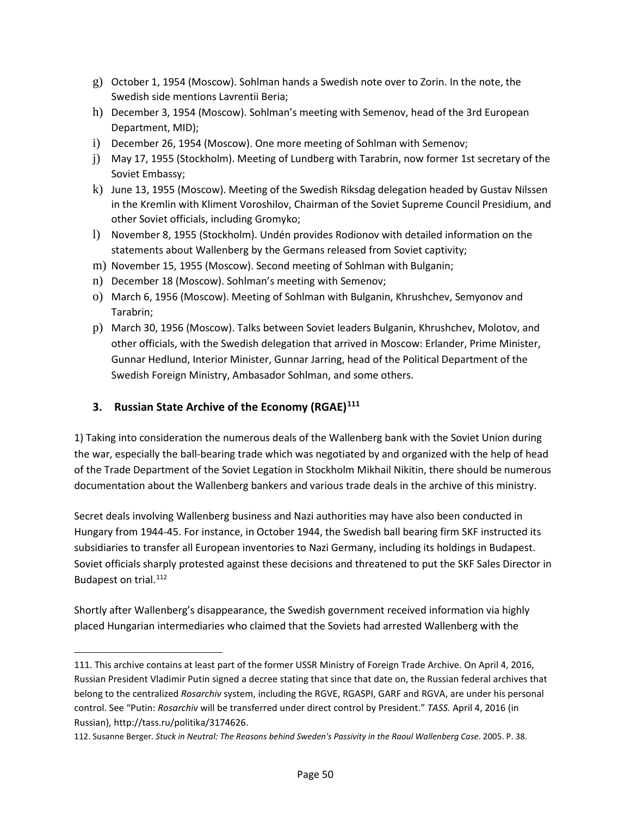- g) October 1, 1954 (Moscow). Sohlman hands a Swedish note over to Zorin. In the note, the Swedish side mentions Lavrentii Beria;
- h) December 3, 1954 (Moscow). Sohlman's meeting with Semenov, head of the 3rd European Department, MID);
- i) December 26, 1954 (Moscow). One more meeting of Sohlman with Semenov;
- j) May 17, 1955 (Stockholm). Meeting of Lundberg with Tarabrin, now former 1st secretary of the Soviet Embassy;
- k) June 13, 1955 (Moscow). Meeting of the Swedish Riksdag delegation headed by Gustav Nilssen in the Kremlin with Kliment Voroshilov, Chairman of the Soviet Supreme Council Presidium, and other Soviet officials, including Gromyko;
- l) November 8, 1955 (Stockholm). Undén provides Rodionov with detailed information on the statements about Wallenberg by the Germans released from Soviet captivity;
- m) November 15, 1955 (Moscow). Second meeting of Sohlman with Bulganin;
- n) December 18 (Moscow). Sohlman's meeting with Semenov;
- o) March 6, 1956 (Moscow). Meeting of Sohlman with Bulganin, Khrushchev, Semyonov and Tarabrin;
- p) March 30, 1956 (Moscow). Talks between Soviet leaders Bulganin, Khrushchev, Molotov, and other officials, with the Swedish delegation that arrived in Moscow: Erlander, Prime Minister, Gunnar Hedlund, Interior Minister, Gunnar Jarring, head of the Political Department of the Swedish Foreign Ministry, Ambasador Sohlman, and some others.

#### **3. Russian State Archive of the Economy (RGAE)[111](#page-49-0)**

 $\overline{\phantom{a}}$ 

1) Taking into consideration the numerous deals of the Wallenberg bank with the Soviet Union during the war, especially the ball-bearing trade which was negotiated by and organized with the help of head of the Trade Department of the Soviet Legation in Stockholm Mikhail Nikitin, there should be numerous documentation about the Wallenberg bankers and various trade deals in the archive of this ministry.

Secret deals involving Wallenberg business and Nazi authorities may have also been conducted in Hungary from 1944-45. For instance, in October 1944, the Swedish ball bearing firm SKF instructed its subsidiaries to transfer all European inventories to Nazi Germany, including its holdings in Budapest. Soviet officials sharply protested against these decisions and threatened to put the SKF Sales Director in Budapest on trial.<sup>[112](#page-49-1)</sup>

Shortly after Wallenberg's disappearance, the Swedish government received information via highly placed Hungarian intermediaries who claimed that the Soviets had arrested Wallenberg with the

<span id="page-49-0"></span><sup>111.</sup> This archive contains at least part of the former USSR Ministry of Foreign Trade Archive. On April 4, 2016, Russian President Vladimir Putin signed a decree stating that since that date on, the Russian federal archives that belong to the centralized *Rosarchiv* system, including the RGVE, RGASPI, GARF and RGVA, are under his personal control. See "Putin: *Rosarchiv* will be transferred under direct control by President." *TASS.* April 4, 2016 (in Russian), http://tass.ru/politika/3174626.

<span id="page-49-1"></span><sup>112.</sup> Susanne Berger. *Stuck in Neutral: The Reasons behind Sweden's Passivity in the Raoul Wallenberg Case*. 2005. P. 38.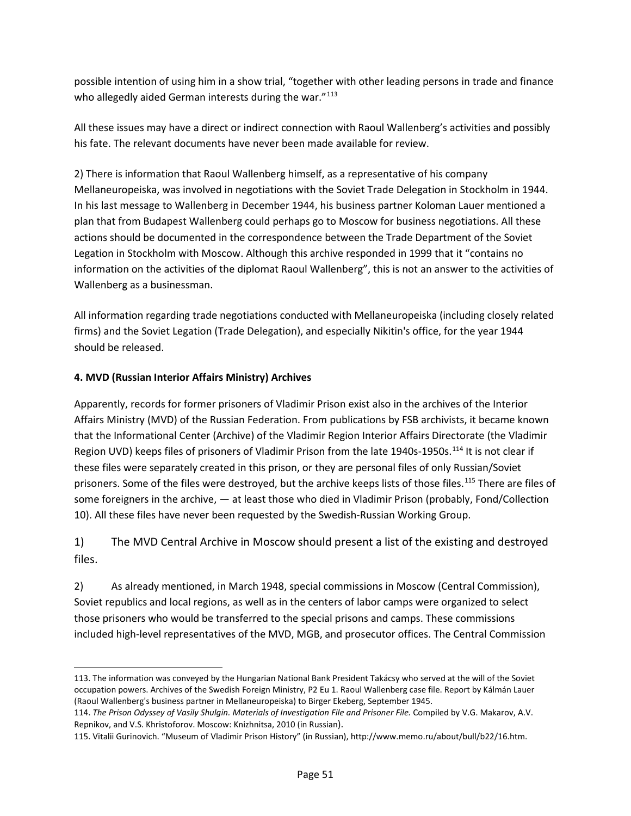possible intention of using him in a show trial, "together with other leading persons in trade and finance who allegedly aided German interests during the war."<sup>[113](#page-50-0)</sup>

All these issues may have a direct or indirect connection with Raoul Wallenberg's activities and possibly his fate. The relevant documents have never been made available for review.

2) There is information that Raoul Wallenberg himself, as a representative of his company Mellaneuropeiska, was involved in negotiations with the Soviet Trade Delegation in Stockholm in 1944. In his last message to Wallenberg in December 1944, his business partner Koloman Lauer mentioned a plan that from Budapest Wallenberg could perhaps go to Moscow for business negotiations. All these actions should be documented in the correspondence between the Trade Department of the Soviet Legation in Stockholm with Moscow. Although this archive responded in 1999 that it "contains no information on the activities of the diplomat Raoul Wallenberg", this is not an answer to the activities of Wallenberg as a businessman.

All information regarding trade negotiations conducted with Mellaneuropeiska (including closely related firms) and the Soviet Legation (Trade Delegation), and especially Nikitin's office, for the year 1944 should be released.

#### **4. MVD (Russian Interior Affairs Ministry) Archives**

 $\overline{a}$ 

Apparently, records for former prisoners of Vladimir Prison exist also in the archives of the Interior Affairs Ministry (MVD) of the Russian Federation. From publications by FSB archivists, it became known that the Informational Center (Archive) of the Vladimir Region Interior Affairs Directorate (the Vladimir Region UVD) keeps files of prisoners of Vladimir Prison from the late 1940s-1950s.[114](#page-50-1) It is not clear if these files were separately created in this prison, or they are personal files of only Russian/Soviet prisoners. Some of the files were destroyed, but the archive keeps lists of those files.[115](#page-50-2) There are files of some foreigners in the archive, — at least those who died in Vladimir Prison (probably, Fond/Collection 10). All these files have never been requested by the Swedish-Russian Working Group.

# 1) The MVD Central Archive in Moscow should present a list of the existing and destroyed files.

2) As already mentioned, in March 1948, special commissions in Moscow (Central Commission), Soviet republics and local regions, as well as in the centers of labor camps were organized to select those prisoners who would be transferred to the special prisons and camps. These commissions included high-level representatives of the MVD, MGB, and prosecutor offices. The Central Commission

<span id="page-50-0"></span><sup>113.</sup> The information was conveyed by the Hungarian National Bank President Takácsy who served at the will of the Soviet occupation powers. Archives of the Swedish Foreign Ministry, P2 Eu 1. Raoul Wallenberg case file. Report by Kálmán Lauer (Raoul Wallenberg's business partner in Mellaneuropeiska) to Birger Ekeberg, September 1945.

<span id="page-50-1"></span><sup>114.</sup> *The Prison Odyssey of Vasily Shulgin. Materials of Investigation File and Prisoner File.* Compiled by V.G. Makarov, A.V. Repnikov, and V.S. Khristoforov. Moscow: Knizhnitsa, 2010 (in Russian).

<span id="page-50-2"></span><sup>115.</sup> Vitalii Gurinovich. "Museum of Vladimir Prison History" (in Russian), http://www.memo.ru/about/bull/b22/16.htm.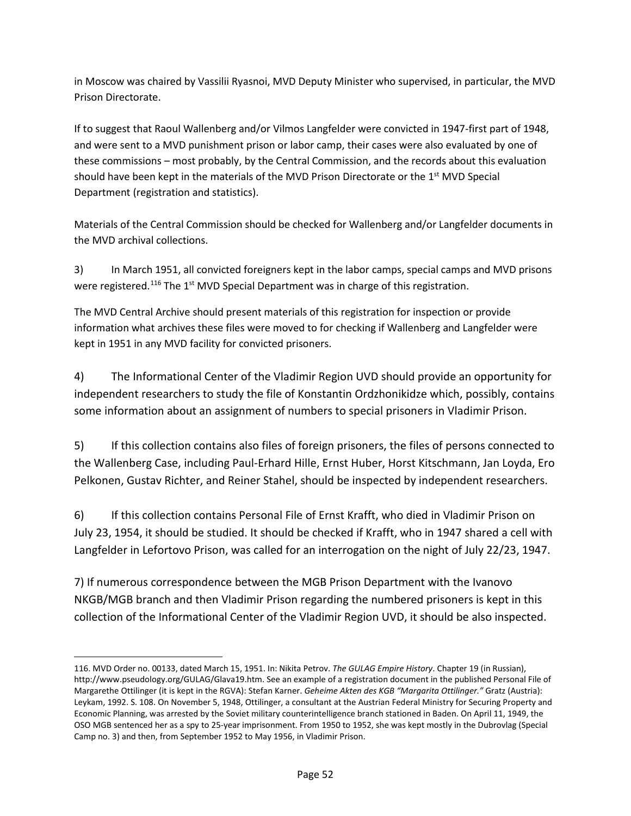in Moscow was chaired by Vassilii Ryasnoi, MVD Deputy Minister who supervised, in particular, the MVD Prison Directorate.

If to suggest that Raoul Wallenberg and/or Vilmos Langfelder were convicted in 1947-first part of 1948, and were sent to a MVD punishment prison or labor camp, their cases were also evaluated by one of these commissions – most probably, by the Central Commission, and the records about this evaluation should have been kept in the materials of the MVD Prison Directorate or the  $1<sup>st</sup>$  MVD Special Department (registration and statistics).

Materials of the Central Commission should be checked for Wallenberg and/or Langfelder documents in the MVD archival collections.

3) In March 1951, all convicted foreigners kept in the labor camps, special camps and MVD prisons were registered.<sup>[116](#page-51-0)</sup> The 1<sup>st</sup> MVD Special Department was in charge of this registration.

The MVD Central Archive should present materials of this registration for inspection or provide information what archives these files were moved to for checking if Wallenberg and Langfelder were kept in 1951 in any MVD facility for convicted prisoners.

4) The Informational Center of the Vladimir Region UVD should provide an opportunity for independent researchers to study the file of Konstantin Ordzhonikidze which, possibly, contains some information about an assignment of numbers to special prisoners in Vladimir Prison.

5) If this collection contains also files of foreign prisoners, the files of persons connected to the Wallenberg Case, including Paul-Erhard Hille, Ernst Huber, Horst Kitschmann, Jan Loyda, Ero Pelkonen, Gustav Richter, and Reiner Stahel, should be inspected by independent researchers.

6) If this collection contains Personal File of Ernst Krafft, who died in Vladimir Prison on July 23, 1954, it should be studied. It should be checked if Krafft, who in 1947 shared a cell with Langfelder in Lefortovo Prison, was called for an interrogation on the night of July 22/23, 1947.

7) If numerous correspondence between the MGB Prison Department with the Ivanovo NKGB/MGB branch and then Vladimir Prison regarding the numbered prisoners is kept in this collection of the Informational Center of the Vladimir Region UVD, it should be also inspected.

 $\overline{\phantom{a}}$ 

<span id="page-51-0"></span><sup>116.</sup> MVD Order no. 00133, dated March 15, 1951. In: Nikita Petrov. *The GULAG Empire History*. Chapter 19 (in Russian), [http://www.pseudology.org/GULAG/Glava19.htm.](http://www.pseudology.org/GULAG/Glava19.htm) See an example of a registration document in the published Personal File of Margarethe Ottilinger (it is kept in the RGVA): Stefan Karner. *Geheime Akten des KGB "Margarita Ottilinger."* Gratz (Austria): Leykam, 1992. S. 108. On November 5, 1948, Ottilinger, a consultant at the Austrian Federal Ministry for Securing Property and Economic Planning, was arrested by the Soviet military counterintelligence branch stationed in Baden. On April 11, 1949, the OSO MGB sentenced her as a spy to 25-year imprisonment. From 1950 to 1952, she was kept mostly in the Dubrovlag (Special Camp no. 3) and then, from September 1952 to May 1956, in Vladimir Prison.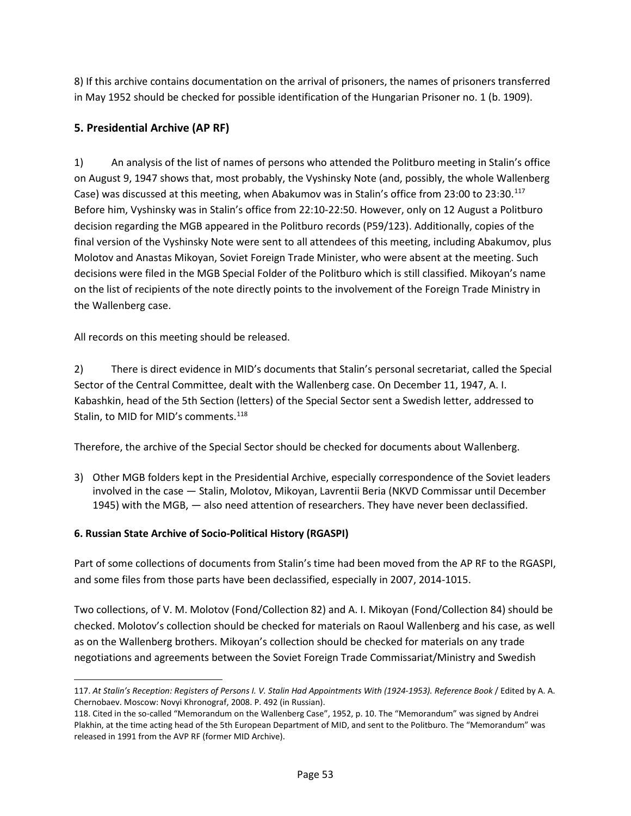8) If this archive contains documentation on the arrival of prisoners, the names of prisoners transferred in May 1952 should be checked for possible identification of the Hungarian Prisoner no. 1 (b. 1909).

# **5. Presidential Archive (AP RF)**

1) An analysis of the list of names of persons who attended the Politburo meeting in Stalin's office on August 9, 1947 shows that, most probably, the Vyshinsky Note (and, possibly, the whole Wallenberg Case) was discussed at this meeting, when Abakumov was in Stalin's office from 23:00 to 23:30.[117](#page-52-0) Before him, Vyshinsky was in Stalin's office from 22:10-22:50. However, only on 12 August a Politburo decision regarding the MGB appeared in the Politburo records (P59/123). Additionally, copies of the final version of the Vyshinsky Note were sent to all attendees of this meeting, including Abakumov, plus Molotov and Anastas Mikoyan, Soviet Foreign Trade Minister, who were absent at the meeting. Such decisions were filed in the MGB Special Folder of the Politburo which is still classified. Mikoyan's name on the list of recipients of the note directly points to the involvement of the Foreign Trade Ministry in the Wallenberg case.

All records on this meeting should be released.

2) There is direct evidence in MID's documents that Stalin's personal secretariat, called the Special Sector of the Central Committee, dealt with the Wallenberg case. On December 11, 1947, A. I. Kabashkin, head of the 5th Section (letters) of the Special Sector sent a Swedish letter, addressed to Stalin, to MID for MID's comments.<sup>[118](#page-52-1)</sup>

Therefore, the archive of the Special Sector should be checked for documents about Wallenberg.

3) Other MGB folders kept in the Presidential Archive, especially correspondence of the Soviet leaders involved in the case — Stalin, Molotov, Mikoyan, Lavrentii Beria (NKVD Commissar until December 1945) with the MGB, — also need attention of researchers. They have never been declassified.

# **6. Russian State Archive of Socio-Political History (RGASPI)**

l

Part of some collections of documents from Stalin's time had been moved from the AP RF to the RGASPI, and some files from those parts have been declassified, especially in 2007, 2014-1015.

Two collections, of V. M. Molotov (Fond/Collection 82) and A. I. Mikoyan (Fond/Collection 84) should be checked. Molotov's collection should be checked for materials on Raoul Wallenberg and his case, as well as on the Wallenberg brothers. Mikoyan's collection should be checked for materials on any trade negotiations and agreements between the Soviet Foreign Trade Commissariat/Ministry and Swedish

<span id="page-52-0"></span><sup>117.</sup> *At Stalin's Reception: Registers of Persons I. V. Stalin Had Appointments With (1924-1953). Reference Book* / Edited by A. A. Chernobaev. Moscow: Novyi Khronograf, 2008. P. 492 (in Russian).

<span id="page-52-1"></span><sup>118.</sup> Cited in the so-called "Memorandum on the Wallenberg Case", 1952, p. 10. The "Memorandum" was signed by Andrei Plakhin, at the time acting head of the 5th European Department of MID, and sent to the Politburo. The "Memorandum" was released in 1991 from the AVP RF (former MID Archive).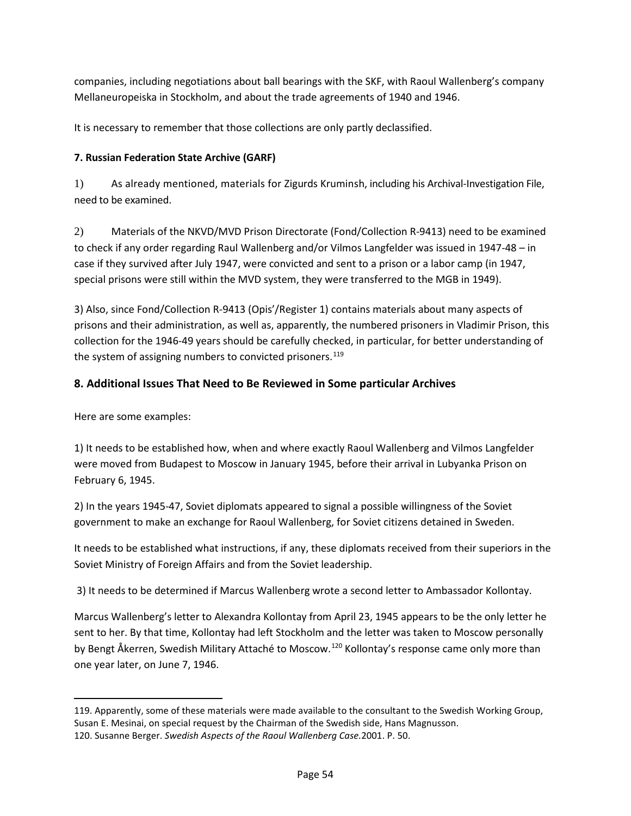companies, including negotiations about ball bearings with the SKF, with Raoul Wallenberg's company Mellaneuropeiska in Stockholm, and about the trade agreements of 1940 and 1946.

It is necessary to remember that those collections are only partly declassified.

# **7. Russian Federation State Archive (GARF)**

1) As already mentioned, materials for Zigurds Kruminsh, including his Archival-Investigation File, need to be examined.

2) Materials of the NKVD/MVD Prison Directorate (Fond/Collection R-9413) need to be examined to check if any order regarding Raul Wallenberg and/or Vilmos Langfelder was issued in 1947-48 – in case if they survived after July 1947, were convicted and sent to a prison or a labor camp (in 1947, special prisons were still within the MVD system, they were transferred to the MGB in 1949).

3) Also, since Fond/Collection R-9413 (Opis'/Register 1) contains materials about many aspects of prisons and their administration, as well as, apparently, the numbered prisoners in Vladimir Prison, this collection for the 1946-49 years should be carefully checked, in particular, for better understanding of the system of assigning numbers to convicted prisoners.<sup>[119](#page-53-0)</sup>

# **8. Additional Issues That Need to Be Reviewed in Some particular Archives**

Here are some examples:

l

1) It needs to be established how, when and where exactly Raoul Wallenberg and Vilmos Langfelder were moved from Budapest to Moscow in January 1945, before their arrival in Lubyanka Prison on February 6, 1945.

2) In the years 1945-47, Soviet diplomats appeared to signal a possible willingness of the Soviet government to make an exchange for Raoul Wallenberg, for Soviet citizens detained in Sweden.

It needs to be established what instructions, if any, these diplomats received from their superiors in the Soviet Ministry of Foreign Affairs and from the Soviet leadership.

3) It needs to be determined if Marcus Wallenberg wrote a second letter to Ambassador Kollontay.

Marcus Wallenberg's letter to Alexandra Kollontay from April 23, 1945 appears to be the only letter he sent to her. By that time, Kollontay had left Stockholm and the letter was taken to Moscow personally by Bengt Åkerren, Swedish Military Attaché to Moscow.<sup>[120](#page-53-1)</sup> Kollontay's response came only more than one year later, on June 7, 1946.

<span id="page-53-1"></span><span id="page-53-0"></span><sup>119.</sup> Apparently, some of these materials were made available to the consultant to the Swedish Working Group, Susan E. Mesinai, on special request by the Chairman of the Swedish side, Hans Magnusson. 120. Susanne Berger. *Swedish Aspects of the Raoul Wallenberg Case.*2001. P. 50.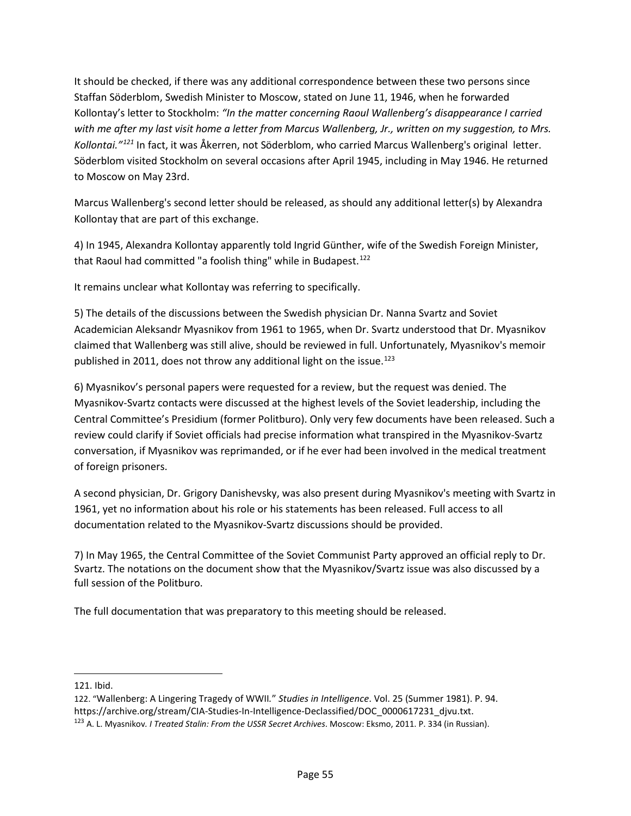It should be checked, if there was any additional correspondence between these two persons since Staffan Söderblom, Swedish Minister to Moscow, stated on June 11, 1946, when he forwarded Kollontay's letter to Stockholm: *"In the matter concerning Raoul Wallenberg's disappearance I carried with me after my last visit home a letter from Marcus Wallenberg, Jr., written on my suggestion, to Mrs. Kollontai."[121](#page-54-0)* In fact, it was Åkerren, not Söderblom, who carried Marcus Wallenberg's original letter. Söderblom visited Stockholm on several occasions after April 1945, including in May 1946. He returned to Moscow on May 23rd.

Marcus Wallenberg's second letter should be released, as should any additional letter(s) by Alexandra Kollontay that are part of this exchange.

4) In 1945, Alexandra Kollontay apparently told Ingrid Günther, wife of the Swedish Foreign Minister, that Raoul had committed "a foolish thing" while in Budapest.<sup>[122](#page-54-1)</sup>

It remains unclear what Kollontay was referring to specifically.

5) The details of the discussions between the Swedish physician Dr. Nanna Svartz and Soviet Academician Aleksandr Myasnikov from 1961 to 1965, when Dr. Svartz understood that Dr. Myasnikov claimed that Wallenberg was still alive, should be reviewed in full. Unfortunately, Myasnikov's memoir published in 2011, does not throw any additional light on the issue.<sup>[123](#page-54-2)</sup>

6) Myasnikov's personal papers were requested for a review, but the request was denied. The Myasnikov-Svartz contacts were discussed at the highest levels of the Soviet leadership, including the Central Committee's Presidium (former Politburo). Only very few documents have been released. Such a review could clarify if Soviet officials had precise information what transpired in the Myasnikov-Svartz conversation, if Myasnikov was reprimanded, or if he ever had been involved in the medical treatment of foreign prisoners.

A second physician, Dr. Grigory Danishevsky, was also present during Myasnikov's meeting with Svartz in 1961, yet no information about his role or his statements has been released. Full access to all documentation related to the Myasnikov-Svartz discussions should be provided.

7) In May 1965, the Central Committee of the Soviet Communist Party approved an official reply to Dr. Svartz. The notations on the document show that the Myasnikov/Svartz issue was also discussed by a full session of the Politburo.

The full documentation that was preparatory to this meeting should be released.

l

<span id="page-54-0"></span><sup>121.</sup> Ibid.

<span id="page-54-1"></span><sup>122. &</sup>quot;Wallenberg: A Lingering Tragedy of WWII*.*" *Studies in Intelligence*. Vol. 25 (Summer 1981). P. 94. [https://archive.org/stream/CIA-Studies-In-Intelligence-Declassified/DOC\\_0000617231\\_djvu.txt.](https://archive.org/stream/CIA-Studies-In-Intelligence-Declassified/DOC_0000617231_djvu.txt)

<span id="page-54-2"></span><sup>123</sup> A. L. Myasnikov*. I Treated Stalin: From the USSR Secret Archives*. Moscow: Eksmo, 2011. P. 334 (in Russian).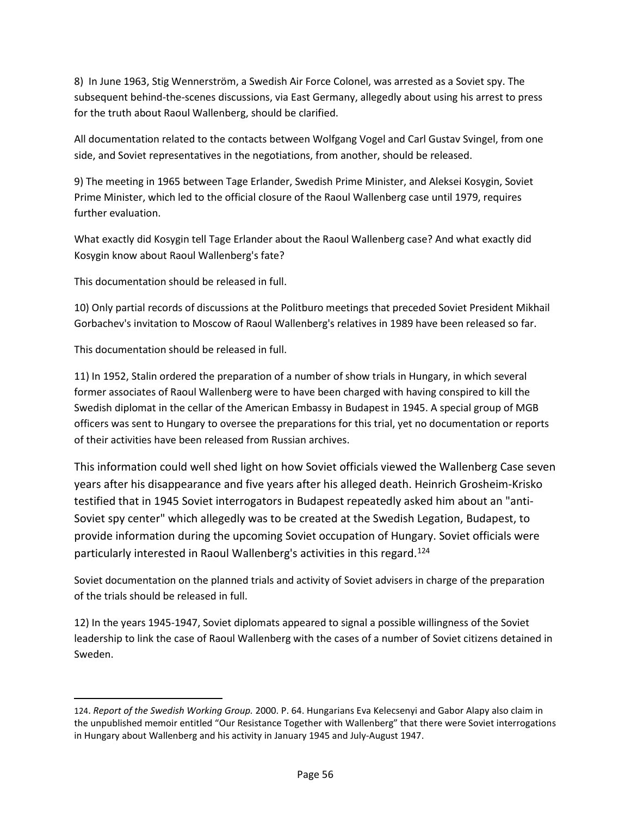8) In June 1963, Stig Wennerström, a Swedish Air Force Colonel, was arrested as a Soviet spy. The subsequent behind-the-scenes discussions, via East Germany, allegedly about using his arrest to press for the truth about Raoul Wallenberg, should be clarified.

All documentation related to the contacts between Wolfgang Vogel and Carl Gustav Svingel, from one side, and Soviet representatives in the negotiations, from another, should be released.

9) The meeting in 1965 between Tage Erlander, Swedish Prime Minister, and Aleksei Kosygin, Soviet Prime Minister, which led to the official closure of the Raoul Wallenberg case until 1979, requires further evaluation.

What exactly did Kosygin tell Tage Erlander about the Raoul Wallenberg case? And what exactly did Kosygin know about Raoul Wallenberg's fate?

This documentation should be released in full.

10) Only partial records of discussions at the Politburo meetings that preceded Soviet President Mikhail Gorbachev's invitation to Moscow of Raoul Wallenberg's relatives in 1989 have been released so far.

This documentation should be released in full.

l

11) In 1952, Stalin ordered the preparation of a number of show trials in Hungary, in which several former associates of Raoul Wallenberg were to have been charged with having conspired to kill the Swedish diplomat in the cellar of the American Embassy in Budapest in 1945. A special group of MGB officers was sent to Hungary to oversee the preparations for this trial, yet no documentation or reports of their activities have been released from Russian archives.

This information could well shed light on how Soviet officials viewed the Wallenberg Case seven years after his disappearance and five years after his alleged death. Heinrich Grosheim-Krisko testified that in 1945 Soviet interrogators in Budapest repeatedly asked him about an "anti-Soviet spy center" which allegedly was to be created at the Swedish Legation, Budapest, to provide information during the upcoming Soviet occupation of Hungary. Soviet officials were particularly interested in Raoul Wallenberg's activities in this regard.[124](#page-55-0)

Soviet documentation on the planned trials and activity of Soviet advisers in charge of the preparation of the trials should be released in full.

12) In the years 1945-1947, Soviet diplomats appeared to signal a possible willingness of the Soviet leadership to link the case of Raoul Wallenberg with the cases of a number of Soviet citizens detained in Sweden.

<span id="page-55-0"></span><sup>124.</sup> *Report of the Swedish Working Group.* 2000. P. 64. Hungarians Eva Kelecsenyi and Gabor Alapy also claim in the unpublished memoir entitled "Our Resistance Together with Wallenberg" that there were Soviet interrogations in Hungary about Wallenberg and his activity in January 1945 and July-August 1947.